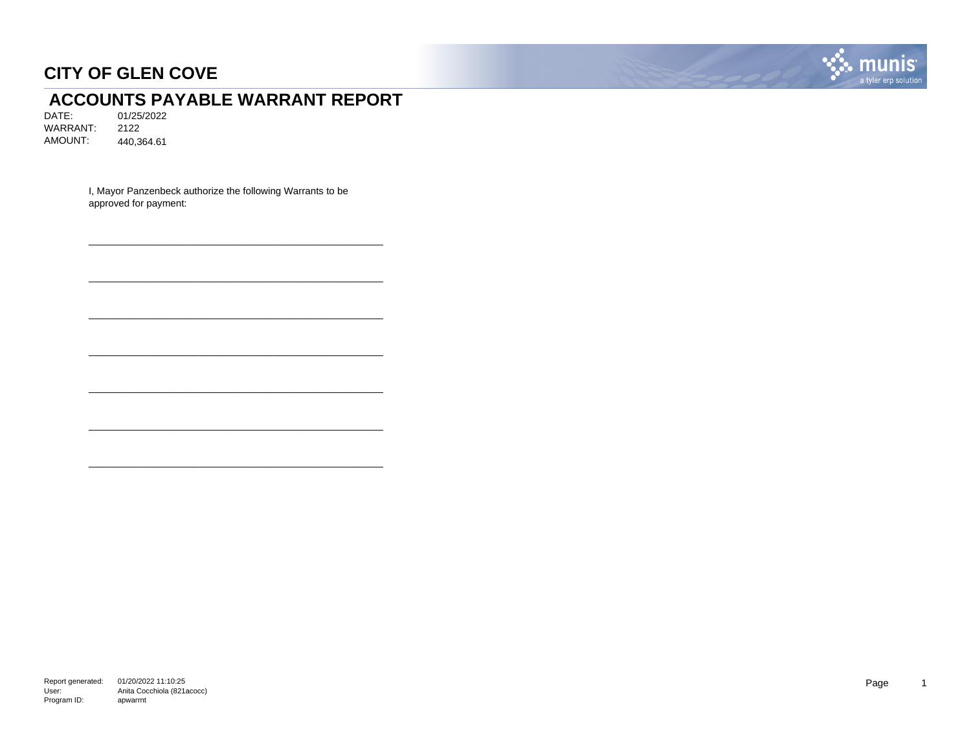

## **ACCOUNTS PAYABLE WARRANT REPORT**<br>DATE: 01/25/2022

DATE: 01/25/2022 WARRANT: 2122 AMOUNT: 440,364.61

> I, Mayor Panzenbeck authorize the following Warrants to be approved for payment:

\_\_\_\_\_\_\_\_\_\_\_\_\_\_\_\_\_\_\_\_\_\_\_\_\_\_\_\_\_\_\_\_\_\_\_\_\_\_\_\_\_\_\_\_\_\_\_\_\_\_\_\_\_\_

\_\_\_\_\_\_\_\_\_\_\_\_\_\_\_\_\_\_\_\_\_\_\_\_\_\_\_\_\_\_\_\_\_\_\_\_\_\_\_\_\_\_\_\_\_\_\_\_\_\_\_\_\_\_

\_\_\_\_\_\_\_\_\_\_\_\_\_\_\_\_\_\_\_\_\_\_\_\_\_\_\_\_\_\_\_\_\_\_\_\_\_\_\_\_\_\_\_\_\_\_\_\_\_\_\_\_\_\_

\_\_\_\_\_\_\_\_\_\_\_\_\_\_\_\_\_\_\_\_\_\_\_\_\_\_\_\_\_\_\_\_\_\_\_\_\_\_\_\_\_\_\_\_\_\_\_\_\_\_\_\_\_\_

\_\_\_\_\_\_\_\_\_\_\_\_\_\_\_\_\_\_\_\_\_\_\_\_\_\_\_\_\_\_\_\_\_\_\_\_\_\_\_\_\_\_\_\_\_\_\_\_\_\_\_\_\_\_

\_\_\_\_\_\_\_\_\_\_\_\_\_\_\_\_\_\_\_\_\_\_\_\_\_\_\_\_\_\_\_\_\_\_\_\_\_\_\_\_\_\_\_\_\_\_\_\_\_\_\_\_\_\_

\_\_\_\_\_\_\_\_\_\_\_\_\_\_\_\_\_\_\_\_\_\_\_\_\_\_\_\_\_\_\_\_\_\_\_\_\_\_\_\_\_\_\_\_\_\_\_\_\_\_\_\_\_\_

Report generated: 01/20/2022 11:10:25 User: Program ID: Anita Cocchiola (821acocc) apwarrnt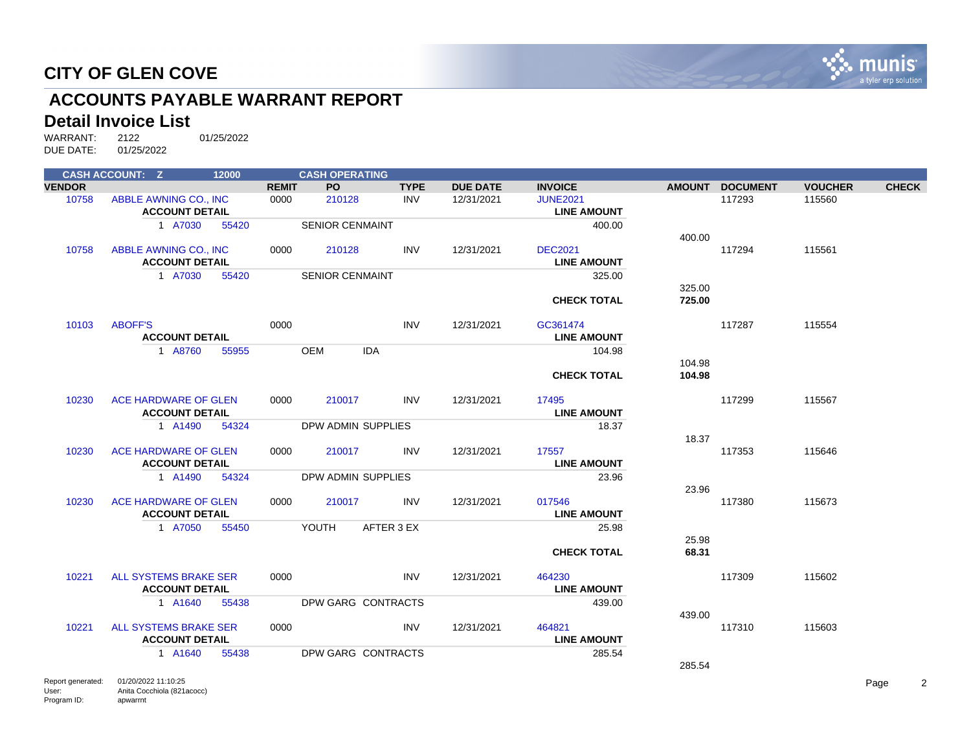

## **ACCOUNTS PAYABLE WARRANT REPORT**

#### **Detail Invoice List**

|               | <b>CASH ACCOUNT: Z</b> | 12000 |              | <b>CASH OPERATING</b>    |             |                 |                    |        |                 |                |              |
|---------------|------------------------|-------|--------------|--------------------------|-------------|-----------------|--------------------|--------|-----------------|----------------|--------------|
| <b>VENDOR</b> |                        |       | <b>REMIT</b> | PO                       | <b>TYPE</b> | <b>DUE DATE</b> | <b>INVOICE</b>     |        | AMOUNT DOCUMENT | <b>VOUCHER</b> | <b>CHECK</b> |
| 10758         | ABBLE AWNING CO., INC  |       | 0000         | 210128                   | <b>INV</b>  | 12/31/2021      | <b>JUNE2021</b>    |        | 117293          | 115560         |              |
|               | <b>ACCOUNT DETAIL</b>  |       |              |                          |             |                 | <b>LINE AMOUNT</b> |        |                 |                |              |
|               | 1 A7030                | 55420 |              | <b>SENIOR CENMAINT</b>   |             |                 | 400.00             |        |                 |                |              |
|               |                        |       |              |                          |             |                 |                    | 400.00 |                 |                |              |
| 10758         | ABBLE AWNING CO., INC  |       | 0000         | 210128                   | <b>INV</b>  | 12/31/2021      | <b>DEC2021</b>     |        | 117294          | 115561         |              |
|               | <b>ACCOUNT DETAIL</b>  |       |              |                          |             |                 | <b>LINE AMOUNT</b> |        |                 |                |              |
|               | 1 A7030                | 55420 |              | <b>SENIOR CENMAINT</b>   |             |                 | 325.00             |        |                 |                |              |
|               |                        |       |              |                          |             |                 |                    | 325.00 |                 |                |              |
|               |                        |       |              |                          |             |                 | <b>CHECK TOTAL</b> | 725.00 |                 |                |              |
|               |                        |       |              |                          |             |                 |                    |        |                 |                |              |
| 10103         | <b>ABOFF'S</b>         |       | 0000         |                          | <b>INV</b>  | 12/31/2021      | GC361474           |        | 117287          | 115554         |              |
|               | <b>ACCOUNT DETAIL</b>  |       |              |                          |             |                 | <b>LINE AMOUNT</b> |        |                 |                |              |
|               | 1 A8760                | 55955 |              | <b>OEM</b><br><b>IDA</b> |             |                 | 104.98             |        |                 |                |              |
|               |                        |       |              |                          |             |                 |                    | 104.98 |                 |                |              |
|               |                        |       |              |                          |             |                 | <b>CHECK TOTAL</b> | 104.98 |                 |                |              |
|               |                        |       |              |                          |             |                 |                    |        |                 |                |              |
| 10230         | ACE HARDWARE OF GLEN   |       | 0000         | 210017                   | <b>INV</b>  | 12/31/2021      | 17495              |        | 117299          | 115567         |              |
|               | <b>ACCOUNT DETAIL</b>  |       |              |                          |             |                 | <b>LINE AMOUNT</b> |        |                 |                |              |
|               | 1 A1490                | 54324 |              | DPW ADMIN SUPPLIES       |             |                 | 18.37              |        |                 |                |              |
|               |                        |       |              |                          |             |                 |                    | 18.37  |                 |                |              |
| 10230         | ACE HARDWARE OF GLEN   |       | 0000         | 210017                   | <b>INV</b>  | 12/31/2021      | 17557              |        | 117353          | 115646         |              |
|               | <b>ACCOUNT DETAIL</b>  |       |              |                          |             |                 | <b>LINE AMOUNT</b> |        |                 |                |              |
|               | 1 A1490                | 54324 |              | DPW ADMIN SUPPLIES       |             |                 | 23.96              |        |                 |                |              |
|               |                        |       |              |                          |             |                 |                    | 23.96  |                 |                |              |
| 10230         | ACE HARDWARE OF GLEN   |       | 0000         | 210017                   | <b>INV</b>  | 12/31/2021      | 017546             |        | 117380          | 115673         |              |
|               | <b>ACCOUNT DETAIL</b>  |       |              |                          |             |                 | <b>LINE AMOUNT</b> |        |                 |                |              |
|               | 1 A7050                | 55450 |              | YOUTH                    | AFTER 3 EX  |                 | 25.98              |        |                 |                |              |
|               |                        |       |              |                          |             |                 |                    | 25.98  |                 |                |              |
|               |                        |       |              |                          |             |                 | <b>CHECK TOTAL</b> | 68.31  |                 |                |              |
|               |                        |       |              |                          |             |                 |                    |        |                 |                |              |
| 10221         | ALL SYSTEMS BRAKE SER  |       | 0000         |                          | <b>INV</b>  | 12/31/2021      | 464230             |        | 117309          | 115602         |              |
|               | <b>ACCOUNT DETAIL</b>  |       |              |                          |             |                 | <b>LINE AMOUNT</b> |        |                 |                |              |
|               | 1 A1640                | 55438 |              | DPW GARG CONTRACTS       |             |                 | 439.00             |        |                 |                |              |
|               |                        |       |              |                          |             |                 |                    | 439.00 |                 |                |              |
| 10221         | ALL SYSTEMS BRAKE SER  |       | 0000         |                          | <b>INV</b>  | 12/31/2021      | 464821             |        | 117310          | 115603         |              |
|               | <b>ACCOUNT DETAIL</b>  |       |              |                          |             |                 | <b>LINE AMOUNT</b> |        |                 |                |              |
|               | 1 A1640                | 55438 |              | DPW GARG CONTRACTS       |             |                 | 285.54             |        |                 |                |              |
|               |                        |       |              |                          |             |                 |                    | 285.54 |                 |                |              |
|               |                        |       |              |                          |             |                 |                    |        |                 |                |              |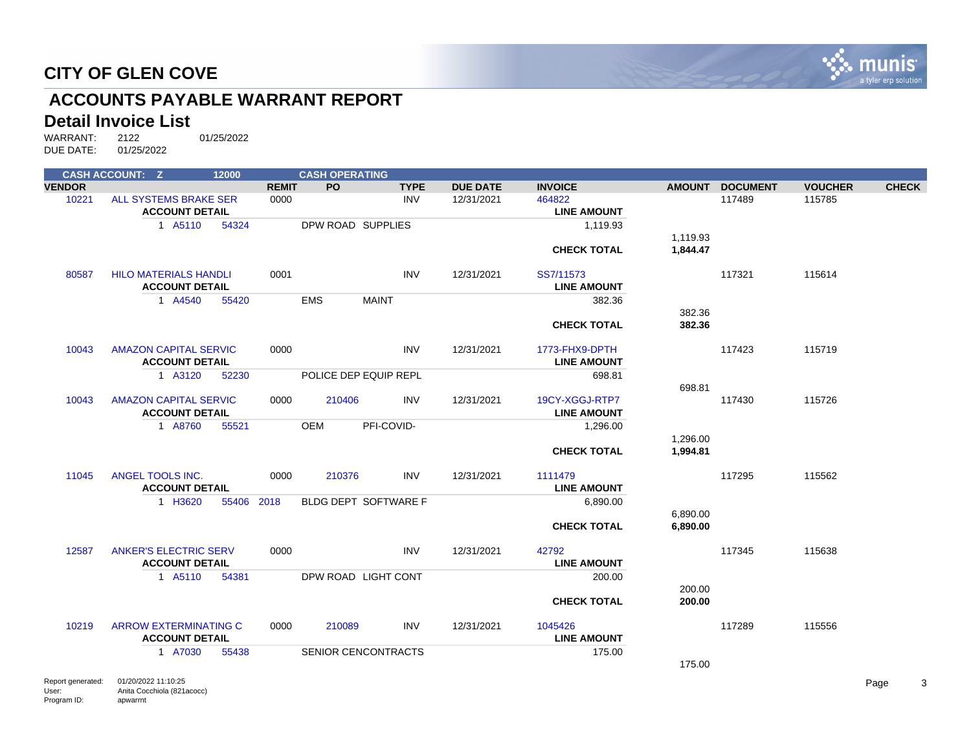

## **ACCOUNTS PAYABLE WARRANT REPORT**

#### **Detail Invoice List**

|               | <b>CASH ACCOUNT: Z</b>                                | 12000 |              | <b>CASH OPERATING</b> |                            |                 |                                      |               |                 |                |              |
|---------------|-------------------------------------------------------|-------|--------------|-----------------------|----------------------------|-----------------|--------------------------------------|---------------|-----------------|----------------|--------------|
| <b>VENDOR</b> |                                                       |       | <b>REMIT</b> | <b>PO</b>             | <b>TYPE</b>                | <b>DUE DATE</b> | <b>INVOICE</b>                       | <b>AMOUNT</b> | <b>DOCUMENT</b> | <b>VOUCHER</b> | <b>CHECK</b> |
| 10221         | ALL SYSTEMS BRAKE SER                                 |       | 0000         |                       | <b>INV</b>                 | 12/31/2021      | 464822                               |               | 117489          | 115785         |              |
|               | <b>ACCOUNT DETAIL</b>                                 |       |              |                       |                            |                 | <b>LINE AMOUNT</b>                   |               |                 |                |              |
|               | 1 A5110                                               | 54324 |              |                       | DPW ROAD SUPPLIES          |                 | 1,119.93                             |               |                 |                |              |
|               |                                                       |       |              |                       |                            |                 |                                      | 1,119.93      |                 |                |              |
|               |                                                       |       |              |                       |                            |                 | <b>CHECK TOTAL</b>                   | 1,844.47      |                 |                |              |
| 80587         | <b>HILO MATERIALS HANDLI</b>                          |       | 0001         |                       | <b>INV</b>                 | 12/31/2021      | SS7/11573                            |               | 117321          | 115614         |              |
|               | <b>ACCOUNT DETAIL</b>                                 |       |              |                       |                            |                 | <b>LINE AMOUNT</b>                   |               |                 |                |              |
|               | 1 A4540                                               | 55420 |              | <b>EMS</b>            | <b>MAINT</b>               |                 | 382.36                               |               |                 |                |              |
|               |                                                       |       |              |                       |                            |                 |                                      | 382.36        |                 |                |              |
|               |                                                       |       |              |                       |                            |                 | <b>CHECK TOTAL</b>                   | 382.36        |                 |                |              |
| 10043         | <b>AMAZON CAPITAL SERVIC</b>                          |       | 0000         |                       | <b>INV</b>                 | 12/31/2021      | 1773-FHX9-DPTH                       |               | 117423          | 115719         |              |
|               | <b>ACCOUNT DETAIL</b>                                 |       |              |                       |                            |                 | <b>LINE AMOUNT</b>                   |               |                 |                |              |
|               | 1 A3120                                               | 52230 |              |                       | POLICE DEP EQUIP REPL      |                 | 698.81                               |               |                 |                |              |
|               |                                                       |       |              |                       |                            |                 |                                      | 698.81        |                 |                |              |
| 10043         | <b>AMAZON CAPITAL SERVIC</b><br><b>ACCOUNT DETAIL</b> |       | 0000         | 210406                | INV                        | 12/31/2021      | 19CY-XGGJ-RTP7<br><b>LINE AMOUNT</b> |               | 117430          | 115726         |              |
|               | 1 A8760                                               | 55521 |              | <b>OEM</b>            | PFI-COVID-                 |                 | 1,296.00                             |               |                 |                |              |
|               |                                                       |       |              |                       |                            |                 |                                      | 1,296.00      |                 |                |              |
|               |                                                       |       |              |                       |                            |                 | <b>CHECK TOTAL</b>                   | 1,994.81      |                 |                |              |
|               |                                                       |       |              |                       |                            |                 |                                      |               |                 |                |              |
| 11045         | ANGEL TOOLS INC.                                      |       | 0000         | 210376                | <b>INV</b>                 | 12/31/2021      | 1111479                              |               | 117295          | 115562         |              |
|               | <b>ACCOUNT DETAIL</b>                                 |       |              |                       |                            |                 | <b>LINE AMOUNT</b>                   |               |                 |                |              |
|               | 1 H3620                                               | 55406 | 2018         |                       | BLDG DEPT SOFTWARE F       |                 | 6,890.00                             |               |                 |                |              |
|               |                                                       |       |              |                       |                            |                 |                                      | 6,890.00      |                 |                |              |
|               |                                                       |       |              |                       |                            |                 | <b>CHECK TOTAL</b>                   | 6,890.00      |                 |                |              |
|               |                                                       |       |              |                       |                            |                 |                                      |               |                 |                |              |
| 12587         | <b>ANKER'S ELECTRIC SERV</b>                          |       | 0000         |                       | <b>INV</b>                 | 12/31/2021      | 42792                                |               | 117345          | 115638         |              |
|               | <b>ACCOUNT DETAIL</b>                                 |       |              |                       |                            |                 | <b>LINE AMOUNT</b>                   |               |                 |                |              |
|               | 1 A5110                                               | 54381 |              |                       | DPW ROAD LIGHT CONT        |                 | 200.00                               |               |                 |                |              |
|               |                                                       |       |              |                       |                            |                 |                                      | 200.00        |                 |                |              |
|               |                                                       |       |              |                       |                            |                 | <b>CHECK TOTAL</b>                   | 200.00        |                 |                |              |
|               |                                                       |       |              |                       |                            |                 |                                      |               |                 |                |              |
| 10219         | <b>ARROW EXTERMINATING C</b>                          |       | 0000         | 210089                | <b>INV</b>                 | 12/31/2021      | 1045426                              |               | 117289          | 115556         |              |
|               | <b>ACCOUNT DETAIL</b>                                 |       |              |                       |                            |                 | <b>LINE AMOUNT</b>                   |               |                 |                |              |
|               | 1 A7030                                               | 55438 |              |                       | <b>SENIOR CENCONTRACTS</b> |                 | 175.00                               |               |                 |                |              |
|               |                                                       |       |              |                       |                            |                 |                                      | 175.00        |                 |                |              |
|               |                                                       |       |              |                       |                            |                 |                                      |               |                 |                |              |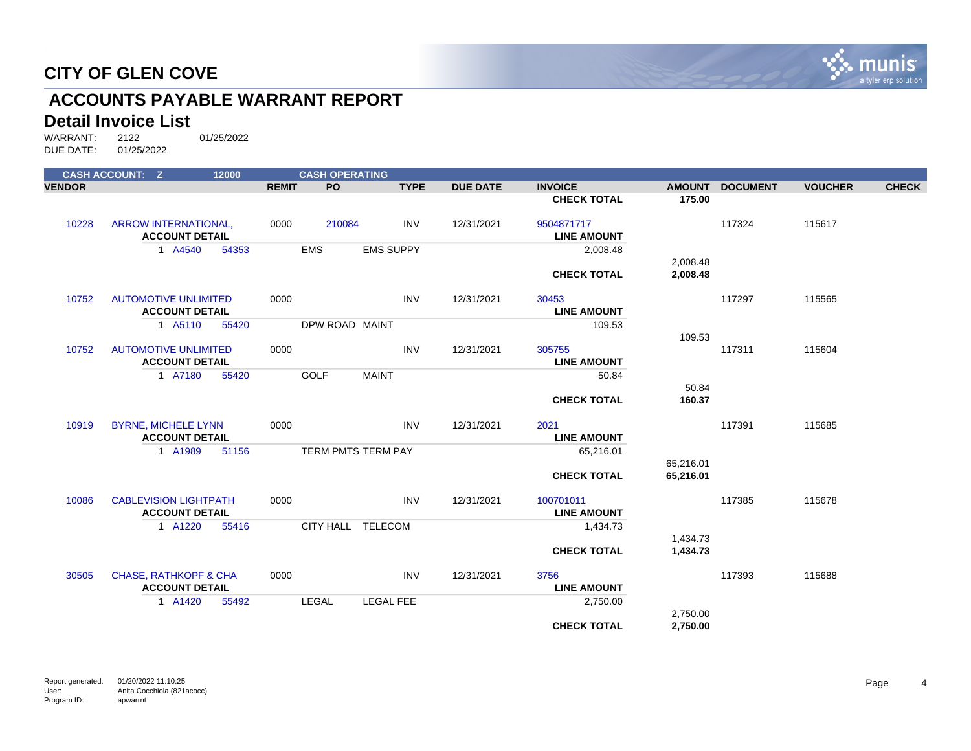

## **ACCOUNTS PAYABLE WARRANT REPORT**

#### **Detail Invoice List**

WARRANT: 2122 01/25/2022 DUE DATE: 01/25/2022

|               | <b>CASH ACCOUNT: Z</b>                               | 12000 |              | <b>CASH OPERATING</b> |                  |                 |                             |                        |                 |                |              |
|---------------|------------------------------------------------------|-------|--------------|-----------------------|------------------|-----------------|-----------------------------|------------------------|-----------------|----------------|--------------|
| <b>VENDOR</b> |                                                      |       | <b>REMIT</b> | <b>PO</b>             | <b>TYPE</b>      | <b>DUE DATE</b> | <b>INVOICE</b>              | <b>AMOUNT</b>          | <b>DOCUMENT</b> | <b>VOUCHER</b> | <b>CHECK</b> |
|               |                                                      |       |              |                       |                  |                 | <b>CHECK TOTAL</b>          | 175.00                 |                 |                |              |
| 10228         | <b>ARROW INTERNATIONAL,</b>                          |       | 0000         | 210084                | <b>INV</b>       | 12/31/2021      | 9504871717                  |                        | 117324          | 115617         |              |
|               | <b>ACCOUNT DETAIL</b>                                |       |              |                       |                  |                 | <b>LINE AMOUNT</b>          |                        |                 |                |              |
|               | 1 A4540                                              | 54353 |              | <b>EMS</b>            | <b>EMS SUPPY</b> |                 | 2,008.48                    | 2,008.48               |                 |                |              |
|               |                                                      |       |              |                       |                  |                 | <b>CHECK TOTAL</b>          | 2,008.48               |                 |                |              |
|               |                                                      |       |              |                       |                  |                 |                             |                        |                 |                |              |
| 10752         | <b>AUTOMOTIVE UNLIMITED</b><br><b>ACCOUNT DETAIL</b> |       | 0000         |                       | <b>INV</b>       | 12/31/2021      | 30453<br><b>LINE AMOUNT</b> |                        | 117297          | 115565         |              |
|               | 1 A5110                                              | 55420 |              | DPW ROAD MAINT        |                  |                 | 109.53                      |                        |                 |                |              |
|               |                                                      |       |              |                       |                  |                 |                             | 109.53                 |                 |                |              |
| 10752         | <b>AUTOMOTIVE UNLIMITED</b>                          |       | 0000         |                       | <b>INV</b>       | 12/31/2021      | 305755                      |                        | 117311          | 115604         |              |
|               | <b>ACCOUNT DETAIL</b>                                |       |              |                       |                  |                 | <b>LINE AMOUNT</b>          |                        |                 |                |              |
|               | 1 A7180                                              | 55420 |              | <b>GOLF</b>           | <b>MAINT</b>     |                 | 50.84                       | 50.84                  |                 |                |              |
|               |                                                      |       |              |                       |                  |                 | <b>CHECK TOTAL</b>          | 160.37                 |                 |                |              |
| 10919         | <b>BYRNE, MICHELE LYNN</b>                           |       | 0000         |                       | <b>INV</b>       | 12/31/2021      | 2021                        |                        | 117391          | 115685         |              |
|               | <b>ACCOUNT DETAIL</b>                                |       |              |                       |                  |                 | <b>LINE AMOUNT</b>          |                        |                 |                |              |
|               | 1 A1989                                              | 51156 |              | TERM PMTS TERM PAY    |                  |                 | 65,216.01                   |                        |                 |                |              |
|               |                                                      |       |              |                       |                  |                 | <b>CHECK TOTAL</b>          | 65,216.01<br>65,216.01 |                 |                |              |
|               |                                                      |       |              |                       |                  |                 |                             |                        |                 |                |              |
| 10086         | <b>CABLEVISION LIGHTPATH</b>                         |       | 0000         |                       | <b>INV</b>       | 12/31/2021      | 100701011                   |                        | 117385          | 115678         |              |
|               | <b>ACCOUNT DETAIL</b>                                |       |              |                       |                  |                 | <b>LINE AMOUNT</b>          |                        |                 |                |              |
|               | 1 A1220                                              | 55416 |              | CITY HALL TELECOM     |                  |                 | 1,434.73                    | 1,434.73               |                 |                |              |
|               |                                                      |       |              |                       |                  |                 | <b>CHECK TOTAL</b>          | 1,434.73               |                 |                |              |
|               |                                                      |       |              |                       |                  |                 |                             |                        |                 |                |              |
| 30505         | <b>CHASE, RATHKOPF &amp; CHA</b>                     |       | 0000         |                       | <b>INV</b>       | 12/31/2021      | 3756                        |                        | 117393          | 115688         |              |
|               | <b>ACCOUNT DETAIL</b>                                |       |              |                       |                  |                 | <b>LINE AMOUNT</b>          |                        |                 |                |              |
|               | 1 A1420                                              | 55492 |              | <b>LEGAL</b>          | <b>LEGAL FEE</b> |                 | 2,750.00                    | 2,750.00               |                 |                |              |
|               |                                                      |       |              |                       |                  |                 | <b>CHECK TOTAL</b>          | 2,750.00               |                 |                |              |
|               |                                                      |       |              |                       |                  |                 |                             |                        |                 |                |              |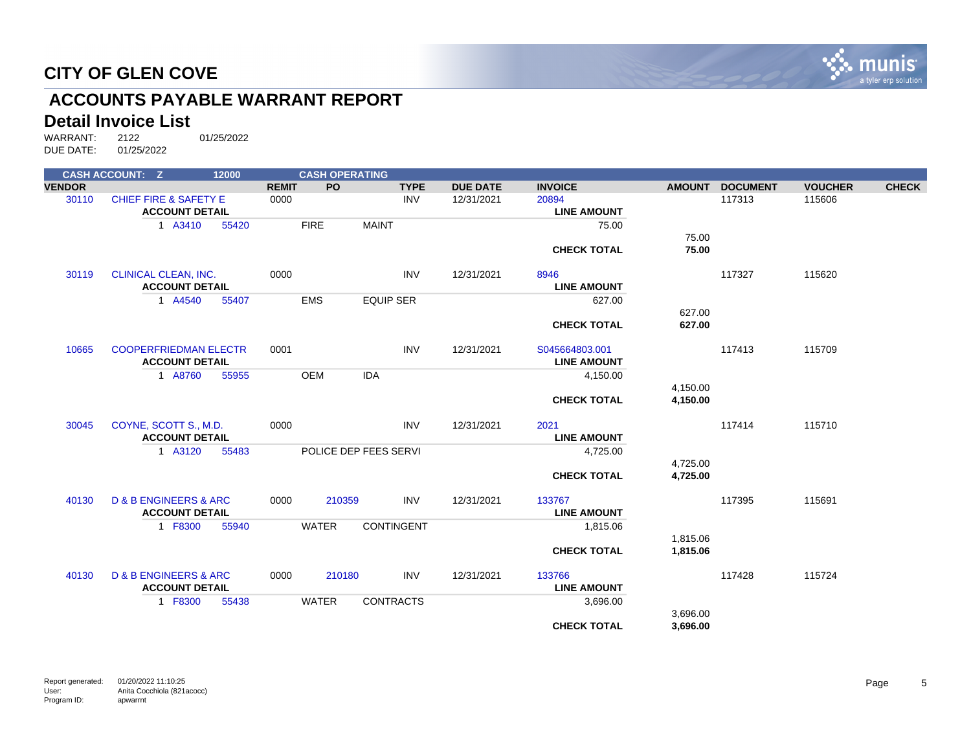

## **ACCOUNTS PAYABLE WARRANT REPORT**

#### **Detail Invoice List**

|               | <b>CASH ACCOUNT: Z</b>               | 12000 |              | <b>CASH OPERATING</b> |                       |                 |                    |               |                 |                |              |
|---------------|--------------------------------------|-------|--------------|-----------------------|-----------------------|-----------------|--------------------|---------------|-----------------|----------------|--------------|
| <b>VENDOR</b> |                                      |       | <b>REMIT</b> | <b>PO</b>             | <b>TYPE</b>           | <b>DUE DATE</b> | <b>INVOICE</b>     | <b>AMOUNT</b> | <b>DOCUMENT</b> | <b>VOUCHER</b> | <b>CHECK</b> |
| 30110         | <b>CHIEF FIRE &amp; SAFETY E</b>     |       | 0000         |                       | <b>INV</b>            | 12/31/2021      | 20894              |               | 117313          | 115606         |              |
|               | <b>ACCOUNT DETAIL</b>                |       |              |                       |                       |                 | <b>LINE AMOUNT</b> |               |                 |                |              |
|               | 1 A3410                              | 55420 |              | <b>FIRE</b>           | <b>MAINT</b>          |                 | 75.00              |               |                 |                |              |
|               |                                      |       |              |                       |                       |                 |                    | 75.00         |                 |                |              |
|               |                                      |       |              |                       |                       |                 | <b>CHECK TOTAL</b> | 75.00         |                 |                |              |
| 30119         | <b>CLINICAL CLEAN, INC.</b>          |       | 0000         |                       | <b>INV</b>            | 12/31/2021      | 8946               |               | 117327          | 115620         |              |
|               | <b>ACCOUNT DETAIL</b>                |       |              |                       |                       |                 | <b>LINE AMOUNT</b> |               |                 |                |              |
|               | 1 A4540                              | 55407 |              | <b>EMS</b>            | <b>EQUIP SER</b>      |                 | 627.00             |               |                 |                |              |
|               |                                      |       |              |                       |                       |                 |                    | 627.00        |                 |                |              |
|               |                                      |       |              |                       |                       |                 | <b>CHECK TOTAL</b> | 627.00        |                 |                |              |
| 10665         | <b>COOPERFRIEDMAN ELECTR</b>         |       | 0001         |                       | <b>INV</b>            | 12/31/2021      | S045664803.001     |               | 117413          | 115709         |              |
|               | <b>ACCOUNT DETAIL</b>                |       |              |                       |                       |                 | <b>LINE AMOUNT</b> |               |                 |                |              |
|               | 1 A8760                              | 55955 |              | <b>OEM</b>            | <b>IDA</b>            |                 | 4,150.00           |               |                 |                |              |
|               |                                      |       |              |                       |                       |                 |                    | 4,150.00      |                 |                |              |
|               |                                      |       |              |                       |                       |                 | <b>CHECK TOTAL</b> | 4,150.00      |                 |                |              |
| 30045         | COYNE, SCOTT S., M.D.                |       | 0000         |                       | <b>INV</b>            | 12/31/2021      | 2021               |               | 117414          | 115710         |              |
|               | <b>ACCOUNT DETAIL</b>                |       |              |                       |                       |                 | <b>LINE AMOUNT</b> |               |                 |                |              |
|               | 1 A3120                              | 55483 |              |                       | POLICE DEP FEES SERVI |                 | 4,725.00           |               |                 |                |              |
|               |                                      |       |              |                       |                       |                 |                    | 4,725.00      |                 |                |              |
|               |                                      |       |              |                       |                       |                 | <b>CHECK TOTAL</b> | 4,725.00      |                 |                |              |
| 40130         | <b>D &amp; B ENGINEERS &amp; ARC</b> |       | 0000         | 210359                | <b>INV</b>            | 12/31/2021      | 133767             |               | 117395          | 115691         |              |
|               | <b>ACCOUNT DETAIL</b>                |       |              |                       |                       |                 | <b>LINE AMOUNT</b> |               |                 |                |              |
|               | 1 F8300                              | 55940 |              | <b>WATER</b>          | <b>CONTINGENT</b>     |                 | 1,815.06           |               |                 |                |              |
|               |                                      |       |              |                       |                       |                 |                    | 1,815.06      |                 |                |              |
|               |                                      |       |              |                       |                       |                 | <b>CHECK TOTAL</b> | 1,815.06      |                 |                |              |
| 40130         | <b>D &amp; B ENGINEERS &amp; ARC</b> |       | 0000         | 210180                | <b>INV</b>            | 12/31/2021      | 133766             |               | 117428          | 115724         |              |
|               | <b>ACCOUNT DETAIL</b>                |       |              |                       |                       |                 | <b>LINE AMOUNT</b> |               |                 |                |              |
|               | 1 F8300                              | 55438 |              | <b>WATER</b>          | <b>CONTRACTS</b>      |                 | 3,696.00           |               |                 |                |              |
|               |                                      |       |              |                       |                       |                 |                    | 3,696.00      |                 |                |              |
|               |                                      |       |              |                       |                       |                 | <b>CHECK TOTAL</b> | 3,696.00      |                 |                |              |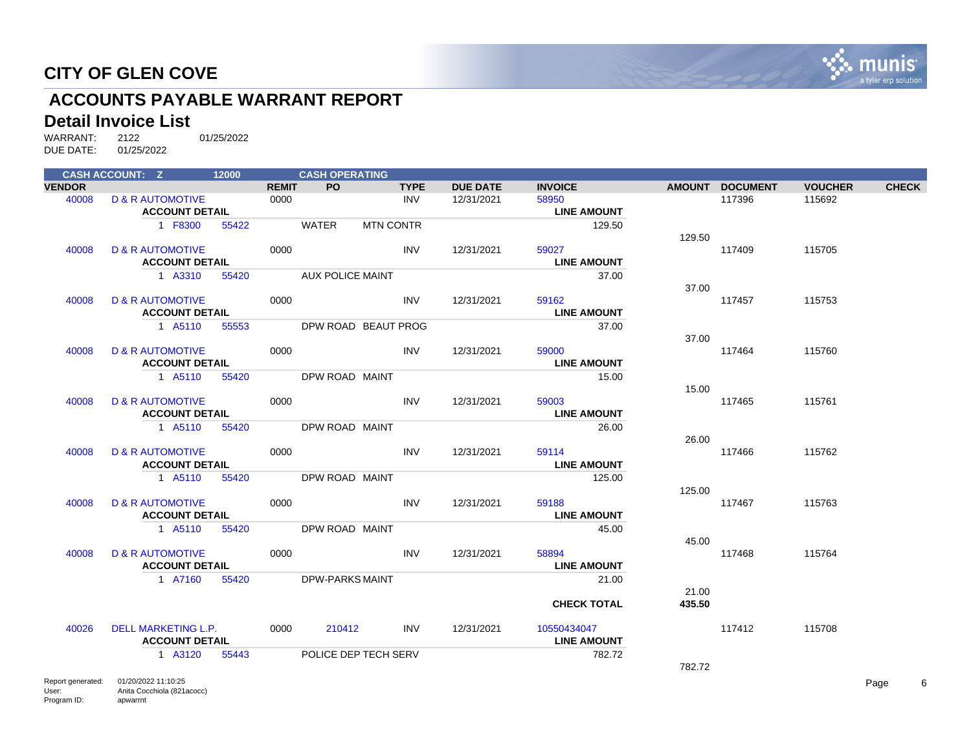

## **ACCOUNTS PAYABLE WARRANT REPORT**

#### **Detail Invoice List**

|               | <b>CASH ACCOUNT: Z</b>                       |       |              | <b>CASH OPERATING</b>   |                      |             |                 |                    |                |                 |                |              |
|---------------|----------------------------------------------|-------|--------------|-------------------------|----------------------|-------------|-----------------|--------------------|----------------|-----------------|----------------|--------------|
| <b>VENDOR</b> |                                              |       | <b>REMIT</b> | <b>PO</b>               |                      | <b>TYPE</b> | <b>DUE DATE</b> | <b>INVOICE</b>     |                | AMOUNT DOCUMENT | <b>VOUCHER</b> | <b>CHECK</b> |
| 40008         | <b>D &amp; R AUTOMOTIVE</b>                  |       | 0000         |                         |                      | INV         | 12/31/2021      | 58950              |                | 117396          | 115692         |              |
|               | <b>ACCOUNT DETAIL</b>                        |       |              |                         |                      |             |                 | <b>LINE AMOUNT</b> |                |                 |                |              |
|               | 1 F8300                                      | 55422 |              | WATER                   | <b>MTN CONTR</b>     |             |                 |                    | 129.50         |                 |                |              |
|               |                                              |       |              |                         |                      |             |                 |                    | 129.50         |                 |                |              |
| 40008         | <b>D &amp; R AUTOMOTIVE</b>                  |       | 0000         |                         |                      | <b>INV</b>  | 12/31/2021      | 59027              |                | 117409          | 115705         |              |
|               | <b>ACCOUNT DETAIL</b>                        |       |              |                         |                      |             |                 | <b>LINE AMOUNT</b> |                |                 |                |              |
|               | 1 A3310                                      | 55420 |              | <b>AUX POLICE MAINT</b> |                      |             |                 |                    | 37.00          |                 |                |              |
|               |                                              |       |              |                         |                      |             |                 |                    | 37.00          |                 |                |              |
| 40008         | <b>D &amp; R AUTOMOTIVE</b>                  |       | 0000         |                         |                      | <b>INV</b>  | 12/31/2021      | 59162              |                | 117457          | 115753         |              |
|               | <b>ACCOUNT DETAIL</b>                        |       |              |                         |                      |             |                 | <b>LINE AMOUNT</b> |                |                 |                |              |
|               | 1 A5110                                      | 55553 |              |                         | DPW ROAD BEAUT PROG  |             |                 |                    | 37.00<br>37.00 |                 |                |              |
| 40008         | <b>D &amp; R AUTOMOTIVE</b>                  |       | 0000         |                         |                      | INV         | 12/31/2021      | 59000              |                | 117464          | 115760         |              |
|               | <b>ACCOUNT DETAIL</b>                        |       |              |                         |                      |             |                 | <b>LINE AMOUNT</b> |                |                 |                |              |
|               | 1 A5110                                      | 55420 |              | DPW ROAD MAINT          |                      |             |                 |                    | 15.00          |                 |                |              |
|               |                                              |       |              |                         |                      |             |                 |                    | 15.00          |                 |                |              |
| 40008         | <b>D &amp; R AUTOMOTIVE</b>                  |       | 0000         |                         |                      | <b>INV</b>  | 12/31/2021      | 59003              |                | 117465          | 115761         |              |
|               | <b>ACCOUNT DETAIL</b>                        |       |              |                         |                      |             |                 | <b>LINE AMOUNT</b> |                |                 |                |              |
|               | 1 A5110                                      | 55420 |              | DPW ROAD MAINT          |                      |             |                 |                    | 26.00          |                 |                |              |
|               |                                              |       |              |                         |                      |             |                 |                    | 26.00          |                 |                |              |
| 40008         | <b>D &amp; R AUTOMOTIVE</b>                  |       | 0000         |                         |                      | <b>INV</b>  | 12/31/2021      | 59114              |                | 117466          | 115762         |              |
|               | <b>ACCOUNT DETAIL</b>                        |       |              |                         |                      |             |                 | <b>LINE AMOUNT</b> |                |                 |                |              |
|               | 1 A5110                                      | 55420 |              | DPW ROAD MAINT          |                      |             |                 |                    | 125.00         |                 |                |              |
|               |                                              |       |              |                         |                      |             |                 |                    | 125.00         |                 |                |              |
| 40008         | <b>D &amp; R AUTOMOTIVE</b>                  |       | 0000         |                         |                      | <b>INV</b>  | 12/31/2021      | 59188              |                | 117467          | 115763         |              |
|               | <b>ACCOUNT DETAIL</b>                        |       |              |                         |                      |             |                 | <b>LINE AMOUNT</b> |                |                 |                |              |
|               | 1 A5110                                      | 55420 |              | DPW ROAD MAINT          |                      |             |                 |                    | 45.00          |                 |                |              |
|               |                                              |       |              |                         |                      |             |                 |                    | 45.00          |                 |                |              |
| 40008         | <b>D &amp; R AUTOMOTIVE</b>                  |       | 0000         |                         |                      | <b>INV</b>  | 12/31/2021      | 58894              |                | 117468          | 115764         |              |
|               | <b>ACCOUNT DETAIL</b>                        |       |              |                         |                      |             |                 | <b>LINE AMOUNT</b> |                |                 |                |              |
|               | 1 A7160                                      | 55420 |              | <b>DPW-PARKS MAINT</b>  |                      |             |                 |                    | 21.00          |                 |                |              |
|               |                                              |       |              |                         |                      |             |                 |                    | 21.00          |                 |                |              |
|               |                                              |       |              |                         |                      |             |                 | <b>CHECK TOTAL</b> | 435.50         |                 |                |              |
| 40026         | DELL MARKETING L.P.                          |       | 0000         | 210412                  |                      | INV         | 12/31/2021      | 10550434047        |                | 117412          | 115708         |              |
|               | <b>ACCOUNT DETAIL</b>                        |       |              |                         |                      |             |                 | <b>LINE AMOUNT</b> |                |                 |                |              |
|               | 1 A3120                                      | 55443 |              |                         | POLICE DEP TECH SERV |             |                 |                    | 782.72         |                 |                |              |
|               |                                              |       |              |                         |                      |             |                 |                    | 782.72         |                 |                |              |
|               | <b>Department of the C4/00/0000 44:40:05</b> |       |              |                         |                      |             |                 |                    |                |                 |                |              |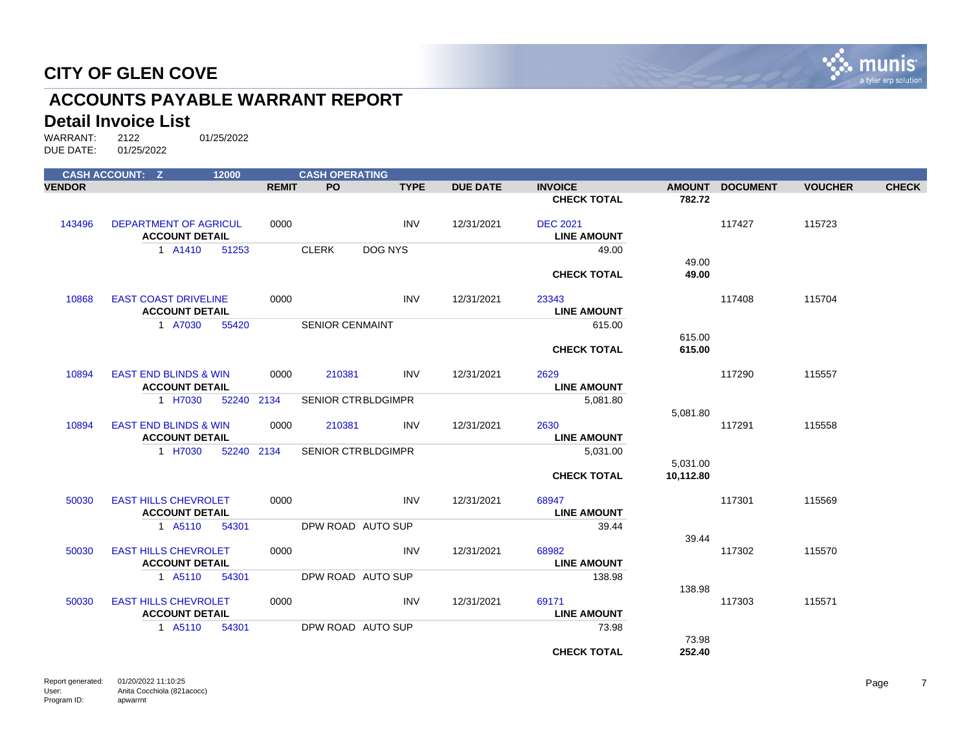

## **ACCOUNTS PAYABLE WARRANT REPORT**

#### **Detail Invoice List**

WARRANT: 2122 01/25/2022 DUE DATE: 01/25/2022

|               | <b>CASH ACCOUNT: Z</b>           |                       | 12000      |              | <b>CASH OPERATING</b>     |             |                 |                                       |           |                 |                |              |
|---------------|----------------------------------|-----------------------|------------|--------------|---------------------------|-------------|-----------------|---------------------------------------|-----------|-----------------|----------------|--------------|
| <b>VENDOR</b> |                                  |                       |            | <b>REMIT</b> | PO                        | <b>TYPE</b> | <b>DUE DATE</b> | <b>INVOICE</b>                        |           | AMOUNT DOCUMENT | <b>VOUCHER</b> | <b>CHECK</b> |
|               |                                  |                       |            |              |                           |             |                 | <b>CHECK TOTAL</b>                    | 782.72    |                 |                |              |
| 143496        | <b>DEPARTMENT OF AGRICUL</b>     | <b>ACCOUNT DETAIL</b> |            | 0000         |                           | <b>INV</b>  | 12/31/2021      | <b>DEC 2021</b><br><b>LINE AMOUNT</b> |           | 117427          | 115723         |              |
|               |                                  | 1 A1410               | 51253      |              | <b>CLERK</b>              | DOG NYS     |                 | 49.00                                 |           |                 |                |              |
|               |                                  |                       |            |              |                           |             |                 |                                       | 49.00     |                 |                |              |
|               |                                  |                       |            |              |                           |             |                 | <b>CHECK TOTAL</b>                    | 49.00     |                 |                |              |
| 10868         | <b>EAST COAST DRIVELINE</b>      | <b>ACCOUNT DETAIL</b> |            | 0000         |                           | <b>INV</b>  | 12/31/2021      | 23343<br><b>LINE AMOUNT</b>           |           | 117408          | 115704         |              |
|               |                                  | 1 A7030               | 55420      |              | <b>SENIOR CENMAINT</b>    |             |                 | 615.00                                |           |                 |                |              |
|               |                                  |                       |            |              |                           |             |                 |                                       | 615.00    |                 |                |              |
|               |                                  |                       |            |              |                           |             |                 | <b>CHECK TOTAL</b>                    | 615.00    |                 |                |              |
| 10894         | <b>EAST END BLINDS &amp; WIN</b> |                       |            | 0000         | 210381                    | <b>INV</b>  | 12/31/2021      | 2629                                  |           | 117290          | 115557         |              |
|               |                                  | <b>ACCOUNT DETAIL</b> |            |              |                           |             |                 | <b>LINE AMOUNT</b>                    |           |                 |                |              |
|               |                                  | 1 H7030               | 52240 2134 |              | <b>SENIOR CTRBLDGIMPR</b> |             |                 | 5,081.80                              | 5,081.80  |                 |                |              |
| 10894         | <b>EAST END BLINDS &amp; WIN</b> | <b>ACCOUNT DETAIL</b> |            | 0000         | 210381                    | <b>INV</b>  | 12/31/2021      | 2630<br><b>LINE AMOUNT</b>            |           | 117291          | 115558         |              |
|               |                                  | 1 H7030               | 52240 2134 |              | <b>SENIOR CTRBLDGIMPR</b> |             |                 | 5,031.00                              |           |                 |                |              |
|               |                                  |                       |            |              |                           |             |                 |                                       | 5,031.00  |                 |                |              |
|               |                                  |                       |            |              |                           |             |                 | <b>CHECK TOTAL</b>                    | 10,112.80 |                 |                |              |
| 50030         | <b>EAST HILLS CHEVROLET</b>      |                       |            | 0000         |                           | <b>INV</b>  | 12/31/2021      | 68947                                 |           | 117301          | 115569         |              |
|               |                                  | <b>ACCOUNT DETAIL</b> |            |              |                           |             |                 | <b>LINE AMOUNT</b>                    |           |                 |                |              |
|               |                                  | 1 A5110               | 54301      |              | DPW ROAD AUTO SUP         |             |                 | 39.44                                 |           |                 |                |              |
|               |                                  |                       |            |              |                           |             |                 |                                       | 39.44     |                 |                |              |
| 50030         | <b>EAST HILLS CHEVROLET</b>      |                       |            | 0000         |                           | <b>INV</b>  | 12/31/2021      | 68982                                 |           | 117302          | 115570         |              |
|               |                                  | <b>ACCOUNT DETAIL</b> |            |              |                           |             |                 | <b>LINE AMOUNT</b>                    |           |                 |                |              |
|               |                                  | 1 A5110               | 54301      |              | DPW ROAD AUTO SUP         |             |                 | 138.98                                |           |                 |                |              |
| 50030         | <b>EAST HILLS CHEVROLET</b>      |                       |            | 0000         |                           | <b>INV</b>  | 12/31/2021      | 69171                                 | 138.98    | 117303          | 115571         |              |
|               |                                  | <b>ACCOUNT DETAIL</b> |            |              |                           |             |                 | <b>LINE AMOUNT</b>                    |           |                 |                |              |
|               |                                  | 1 A5110               | 54301      |              | DPW ROAD AUTO SUP         |             |                 | 73.98                                 |           |                 |                |              |
|               |                                  |                       |            |              |                           |             |                 |                                       | 73.98     |                 |                |              |
|               |                                  |                       |            |              |                           |             |                 | <b>CHECK TOTAL</b>                    | 252.40    |                 |                |              |
|               |                                  |                       |            |              |                           |             |                 |                                       |           |                 |                |              |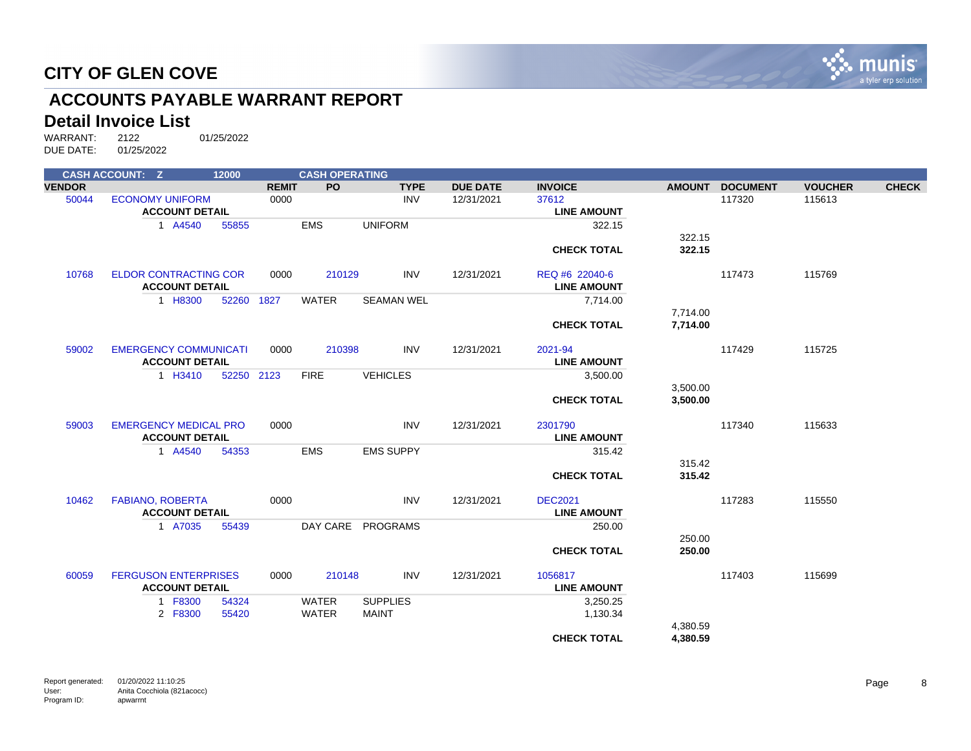

## **ACCOUNTS PAYABLE WARRANT REPORT**

#### **Detail Invoice List**

|               | <b>CASH ACCOUNT: Z</b>       | 12000      |              | <b>CASH OPERATING</b> |                   |                 |                    |               |                 |                |              |
|---------------|------------------------------|------------|--------------|-----------------------|-------------------|-----------------|--------------------|---------------|-----------------|----------------|--------------|
| <b>VENDOR</b> |                              |            | <b>REMIT</b> | <b>PO</b>             | <b>TYPE</b>       | <b>DUE DATE</b> | <b>INVOICE</b>     | <b>AMOUNT</b> | <b>DOCUMENT</b> | <b>VOUCHER</b> | <b>CHECK</b> |
| 50044         | <b>ECONOMY UNIFORM</b>       |            | 0000         |                       | <b>INV</b>        | 12/31/2021      | 37612              |               | 117320          | 115613         |              |
|               | <b>ACCOUNT DETAIL</b>        |            |              |                       |                   |                 | <b>LINE AMOUNT</b> |               |                 |                |              |
|               | 1 A4540                      | 55855      |              | <b>EMS</b>            | <b>UNIFORM</b>    |                 | 322.15             |               |                 |                |              |
|               |                              |            |              |                       |                   |                 |                    | 322.15        |                 |                |              |
|               |                              |            |              |                       |                   |                 | <b>CHECK TOTAL</b> | 322.15        |                 |                |              |
| 10768         | <b>ELDOR CONTRACTING COR</b> |            | 0000         | 210129                | <b>INV</b>        | 12/31/2021      | REQ #6 22040-6     |               | 117473          | 115769         |              |
|               | <b>ACCOUNT DETAIL</b>        |            |              |                       |                   |                 | <b>LINE AMOUNT</b> |               |                 |                |              |
|               | 1 H8300                      | 52260      | 1827         | <b>WATER</b>          | <b>SEAMAN WEL</b> |                 | 7,714.00           |               |                 |                |              |
|               |                              |            |              |                       |                   |                 |                    | 7,714.00      |                 |                |              |
|               |                              |            |              |                       |                   |                 | <b>CHECK TOTAL</b> | 7,714.00      |                 |                |              |
| 59002         | <b>EMERGENCY COMMUNICATI</b> |            | 0000         | 210398                | <b>INV</b>        | 12/31/2021      | 2021-94            |               | 117429          | 115725         |              |
|               | <b>ACCOUNT DETAIL</b>        |            |              |                       |                   |                 | <b>LINE AMOUNT</b> |               |                 |                |              |
|               | 1 H3410                      | 52250 2123 |              | <b>FIRE</b>           | <b>VEHICLES</b>   |                 | 3,500.00           |               |                 |                |              |
|               |                              |            |              |                       |                   |                 |                    | 3,500.00      |                 |                |              |
|               |                              |            |              |                       |                   |                 | <b>CHECK TOTAL</b> | 3,500.00      |                 |                |              |
| 59003         | <b>EMERGENCY MEDICAL PRO</b> |            | 0000         |                       | <b>INV</b>        | 12/31/2021      | 2301790            |               | 117340          | 115633         |              |
|               | <b>ACCOUNT DETAIL</b>        |            |              |                       |                   |                 | <b>LINE AMOUNT</b> |               |                 |                |              |
|               | 1 A4540                      | 54353      |              | <b>EMS</b>            | <b>EMS SUPPY</b>  |                 | 315.42             |               |                 |                |              |
|               |                              |            |              |                       |                   |                 |                    | 315.42        |                 |                |              |
|               |                              |            |              |                       |                   |                 | <b>CHECK TOTAL</b> | 315.42        |                 |                |              |
| 10462         | <b>FABIANO, ROBERTA</b>      |            | 0000         |                       | <b>INV</b>        | 12/31/2021      | <b>DEC2021</b>     |               | 117283          | 115550         |              |
|               | <b>ACCOUNT DETAIL</b>        |            |              |                       |                   |                 | <b>LINE AMOUNT</b> |               |                 |                |              |
|               | 1 A7035                      | 55439      |              |                       | DAY CARE PROGRAMS |                 | 250.00             |               |                 |                |              |
|               |                              |            |              |                       |                   |                 |                    | 250.00        |                 |                |              |
|               |                              |            |              |                       |                   |                 | <b>CHECK TOTAL</b> | 250.00        |                 |                |              |
| 60059         | <b>FERGUSON ENTERPRISES</b>  |            | 0000         | 210148                | <b>INV</b>        | 12/31/2021      | 1056817            |               | 117403          | 115699         |              |
|               | <b>ACCOUNT DETAIL</b>        |            |              |                       |                   |                 | <b>LINE AMOUNT</b> |               |                 |                |              |
|               | 1 F8300                      | 54324      |              | <b>WATER</b>          | <b>SUPPLIES</b>   |                 | 3,250.25           |               |                 |                |              |
|               | 2 F8300                      | 55420      |              | <b>WATER</b>          | <b>MAINT</b>      |                 | 1,130.34           |               |                 |                |              |
|               |                              |            |              |                       |                   |                 |                    | 4,380.59      |                 |                |              |
|               |                              |            |              |                       |                   |                 | <b>CHECK TOTAL</b> | 4,380.59      |                 |                |              |
|               |                              |            |              |                       |                   |                 |                    |               |                 |                |              |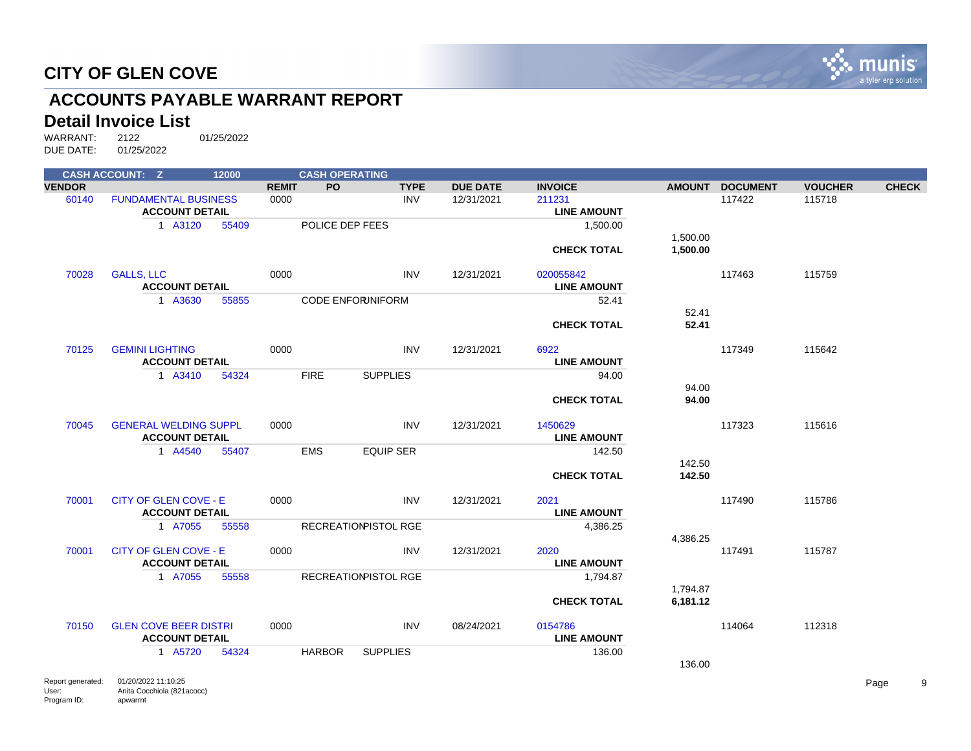

## **ACCOUNTS PAYABLE WARRANT REPORT**

#### **Detail Invoice List**

|               | <b>CASH ACCOUNT: Z</b>                     | 12000 |              | <b>CASH OPERATING</b> |                             |                 |                    |          |                 |                |              |
|---------------|--------------------------------------------|-------|--------------|-----------------------|-----------------------------|-----------------|--------------------|----------|-----------------|----------------|--------------|
| <b>VENDOR</b> |                                            |       | <b>REMIT</b> | <b>PO</b>             | <b>TYPE</b>                 | <b>DUE DATE</b> | <b>INVOICE</b>     |          | AMOUNT DOCUMENT | <b>VOUCHER</b> | <b>CHECK</b> |
| 60140         | <b>FUNDAMENTAL BUSINESS</b>                |       | 0000         |                       | <b>INV</b>                  | 12/31/2021      | 211231             |          | 117422          | 115718         |              |
|               | <b>ACCOUNT DETAIL</b>                      |       |              |                       |                             |                 | <b>LINE AMOUNT</b> |          |                 |                |              |
|               | 1 A3120                                    | 55409 |              | POLICE DEP FEES       |                             |                 | 1,500.00           |          |                 |                |              |
|               |                                            |       |              |                       |                             |                 |                    | 1,500.00 |                 |                |              |
|               |                                            |       |              |                       |                             |                 | <b>CHECK TOTAL</b> | 1,500.00 |                 |                |              |
|               |                                            |       |              |                       |                             |                 |                    |          |                 |                |              |
| 70028         | <b>GALLS, LLC</b>                          |       | 0000         |                       | <b>INV</b>                  | 12/31/2021      | 020055842          |          | 117463          | 115759         |              |
|               | <b>ACCOUNT DETAIL</b>                      |       |              |                       |                             |                 | <b>LINE AMOUNT</b> |          |                 |                |              |
|               | 1 A3630                                    | 55855 |              |                       | <b>CODE ENFORUNIFORM</b>    |                 | 52.41              |          |                 |                |              |
|               |                                            |       |              |                       |                             |                 |                    | 52.41    |                 |                |              |
|               |                                            |       |              |                       |                             |                 | <b>CHECK TOTAL</b> | 52.41    |                 |                |              |
| 70125         | <b>GEMINI LIGHTING</b>                     |       | 0000         |                       | <b>INV</b>                  | 12/31/2021      | 6922               |          | 117349          | 115642         |              |
|               | <b>ACCOUNT DETAIL</b>                      |       |              |                       |                             |                 | <b>LINE AMOUNT</b> |          |                 |                |              |
|               | 1 A3410                                    | 54324 |              | <b>FIRE</b>           | <b>SUPPLIES</b>             |                 | 94.00              |          |                 |                |              |
|               |                                            |       |              |                       |                             |                 |                    | 94.00    |                 |                |              |
|               |                                            |       |              |                       |                             |                 | <b>CHECK TOTAL</b> | 94.00    |                 |                |              |
|               |                                            |       |              |                       |                             |                 |                    |          |                 |                |              |
| 70045         | <b>GENERAL WELDING SUPPL</b>               |       | 0000         |                       | <b>INV</b>                  | 12/31/2021      | 1450629            |          | 117323          | 115616         |              |
|               | <b>ACCOUNT DETAIL</b>                      |       |              |                       |                             |                 | <b>LINE AMOUNT</b> |          |                 |                |              |
|               | 1 A4540                                    | 55407 |              | <b>EMS</b>            | <b>EQUIP SER</b>            |                 | 142.50             |          |                 |                |              |
|               |                                            |       |              |                       |                             |                 |                    | 142.50   |                 |                |              |
|               |                                            |       |              |                       |                             |                 | <b>CHECK TOTAL</b> | 142.50   |                 |                |              |
|               |                                            |       |              |                       |                             |                 |                    |          |                 |                |              |
| 70001         | <b>CITY OF GLEN COVE - E</b>               |       | 0000         |                       | <b>INV</b>                  | 12/31/2021      | 2021               |          | 117490          | 115786         |              |
|               | <b>ACCOUNT DETAIL</b>                      |       |              |                       |                             |                 | <b>LINE AMOUNT</b> |          |                 |                |              |
|               | 1 A7055                                    | 55558 |              |                       | <b>RECREATIONPISTOL RGE</b> |                 | 4,386.25           |          |                 |                |              |
|               |                                            |       |              |                       |                             |                 |                    | 4,386.25 |                 |                |              |
| 70001         | <b>CITY OF GLEN COVE - E</b>               |       | 0000         |                       | <b>INV</b>                  | 12/31/2021      | 2020               |          | 117491          | 115787         |              |
|               | <b>ACCOUNT DETAIL</b>                      |       |              |                       |                             |                 | <b>LINE AMOUNT</b> |          |                 |                |              |
|               | 1 A7055                                    | 55558 |              |                       | <b>RECREATIONPISTOL RGE</b> |                 | 1,794.87           |          |                 |                |              |
|               |                                            |       |              |                       |                             |                 |                    | 1,794.87 |                 |                |              |
|               |                                            |       |              |                       |                             |                 | <b>CHECK TOTAL</b> | 6,181.12 |                 |                |              |
|               |                                            |       |              |                       |                             |                 |                    |          |                 |                |              |
| 70150         | <b>GLEN COVE BEER DISTRI</b>               |       | 0000         |                       | <b>INV</b>                  | 08/24/2021      | 0154786            |          | 114064          | 112318         |              |
|               | <b>ACCOUNT DETAIL</b>                      |       |              |                       |                             |                 | <b>LINE AMOUNT</b> |          |                 |                |              |
|               | 1 A5720                                    | 54324 |              | <b>HARBOR</b>         | <b>SUPPLIES</b>             |                 | 136.00             |          |                 |                |              |
|               |                                            |       |              |                       |                             |                 |                    | 136.00   |                 |                |              |
|               | <b>Department of the CAROOCOOCA4-40-OF</b> |       |              |                       |                             |                 |                    |          |                 |                |              |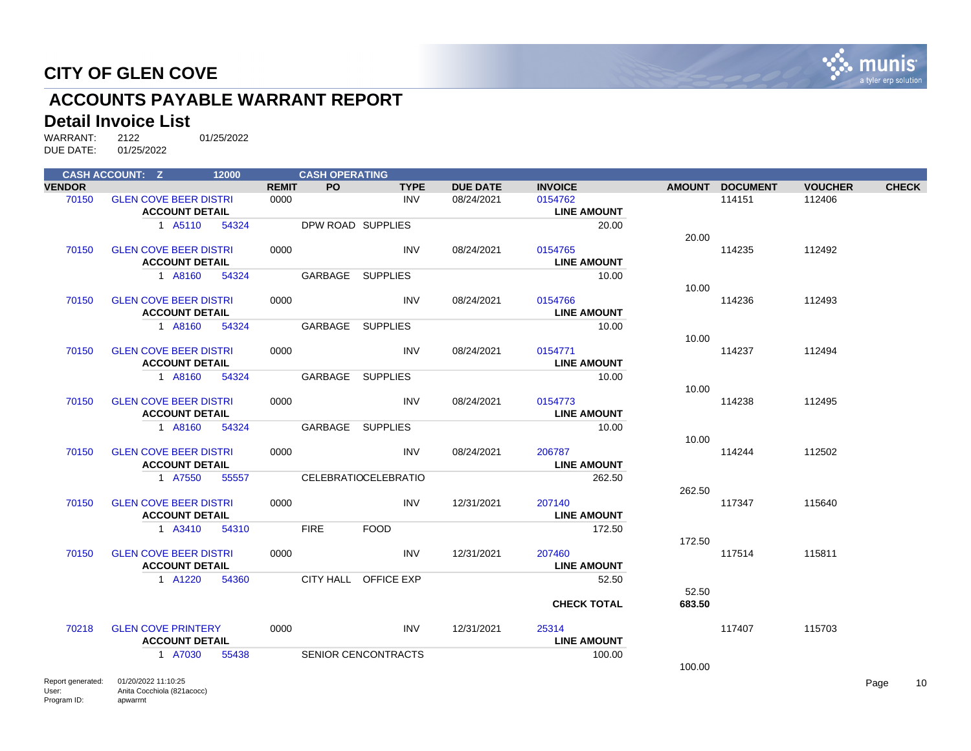

## **ACCOUNTS PAYABLE WARRANT REPORT**

#### **Detail Invoice List**

|               | <b>CASH ACCOUNT: Z</b>                                | 12000 |              | <b>CASH OPERATING</b> |                             |                 |                               |        |                 |                |              |
|---------------|-------------------------------------------------------|-------|--------------|-----------------------|-----------------------------|-----------------|-------------------------------|--------|-----------------|----------------|--------------|
| <b>VENDOR</b> |                                                       |       | <b>REMIT</b> | PO.                   | <b>TYPE</b>                 | <b>DUE DATE</b> | <b>INVOICE</b>                |        | AMOUNT DOCUMENT | <b>VOUCHER</b> | <b>CHECK</b> |
| 70150         | <b>GLEN COVE BEER DISTRI</b><br><b>ACCOUNT DETAIL</b> |       | 0000         |                       | <b>INV</b>                  | 08/24/2021      | 0154762<br><b>LINE AMOUNT</b> |        | 114151          | 112406         |              |
|               | 1 A5110                                               | 54324 |              |                       | DPW ROAD SUPPLIES           |                 | 20.00                         | 20.00  |                 |                |              |
| 70150         | <b>GLEN COVE BEER DISTRI</b><br><b>ACCOUNT DETAIL</b> |       | 0000         |                       | <b>INV</b>                  | 08/24/2021      | 0154765<br><b>LINE AMOUNT</b> |        | 114235          | 112492         |              |
|               | 1 A8160                                               | 54324 |              | GARBAGE               | <b>SUPPLIES</b>             |                 | 10.00                         | 10.00  |                 |                |              |
| 70150         | <b>GLEN COVE BEER DISTRI</b><br><b>ACCOUNT DETAIL</b> |       | 0000         |                       | <b>INV</b>                  | 08/24/2021      | 0154766<br><b>LINE AMOUNT</b> |        | 114236          | 112493         |              |
|               | 1 A8160                                               | 54324 |              | GARBAGE               | <b>SUPPLIES</b>             |                 | 10.00                         | 10.00  |                 |                |              |
| 70150         | <b>GLEN COVE BEER DISTRI</b><br><b>ACCOUNT DETAIL</b> |       | 0000         |                       | <b>INV</b>                  | 08/24/2021      | 0154771<br><b>LINE AMOUNT</b> |        | 114237          | 112494         |              |
|               | 1 A8160                                               | 54324 |              | GARBAGE               | <b>SUPPLIES</b>             |                 | 10.00                         | 10.00  |                 |                |              |
| 70150         | <b>GLEN COVE BEER DISTRI</b><br><b>ACCOUNT DETAIL</b> |       | 0000         |                       | <b>INV</b>                  | 08/24/2021      | 0154773<br><b>LINE AMOUNT</b> |        | 114238          | 112495         |              |
|               | 1 A8160                                               | 54324 |              | GARBAGE SUPPLIES      |                             |                 | 10.00                         | 10.00  |                 |                |              |
| 70150         | <b>GLEN COVE BEER DISTRI</b><br><b>ACCOUNT DETAIL</b> |       | 0000         |                       | <b>INV</b>                  | 08/24/2021      | 206787<br><b>LINE AMOUNT</b>  |        | 114244          | 112502         |              |
|               | 1 A7550                                               | 55557 |              |                       | <b>CELEBRATIOCELEBRATIO</b> |                 | 262.50                        | 262.50 |                 |                |              |
| 70150         | <b>GLEN COVE BEER DISTRI</b><br><b>ACCOUNT DETAIL</b> |       | 0000         |                       | <b>INV</b>                  | 12/31/2021      | 207140<br><b>LINE AMOUNT</b>  |        | 117347          | 115640         |              |
|               | 1 A3410                                               | 54310 |              | <b>FIRE</b>           | <b>FOOD</b>                 |                 | 172.50                        | 172.50 |                 |                |              |
| 70150         | <b>GLEN COVE BEER DISTRI</b><br><b>ACCOUNT DETAIL</b> |       | 0000         |                       | <b>INV</b>                  | 12/31/2021      | 207460<br><b>LINE AMOUNT</b>  |        | 117514          | 115811         |              |
|               | 1 A1220                                               | 54360 |              |                       | CITY HALL OFFICE EXP        |                 | 52.50                         | 52.50  |                 |                |              |
|               |                                                       |       |              |                       |                             |                 | <b>CHECK TOTAL</b>            | 683.50 |                 |                |              |
| 70218         | <b>GLEN COVE PRINTERY</b><br><b>ACCOUNT DETAIL</b>    |       | 0000         |                       | <b>INV</b>                  | 12/31/2021      | 25314<br><b>LINE AMOUNT</b>   |        | 117407          | 115703         |              |
|               | 1 A7030                                               | 55438 |              |                       | <b>SENIOR CENCONTRACTS</b>  |                 | 100.00                        | 100.00 |                 |                |              |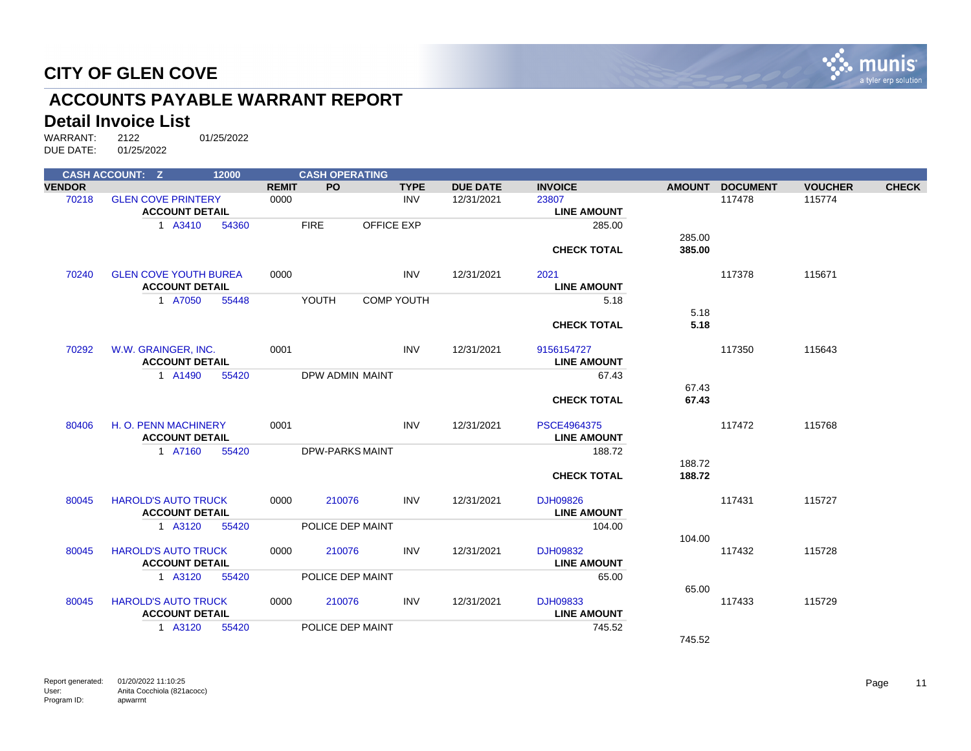

## **ACCOUNTS PAYABLE WARRANT REPORT**

#### **Detail Invoice List**

| <b>CASH ACCOUNT: Z</b><br>12000 |                              |       | <b>CASH OPERATING</b> |                        |                   |                 |                    |               |                 |                |              |
|---------------------------------|------------------------------|-------|-----------------------|------------------------|-------------------|-----------------|--------------------|---------------|-----------------|----------------|--------------|
| <b>VENDOR</b>                   |                              |       | <b>REMIT</b>          | <b>PO</b>              | <b>TYPE</b>       | <b>DUE DATE</b> | <b>INVOICE</b>     | <b>AMOUNT</b> | <b>DOCUMENT</b> | <b>VOUCHER</b> | <b>CHECK</b> |
| 70218                           | <b>GLEN COVE PRINTERY</b>    |       | 0000                  |                        | <b>INV</b>        | 12/31/2021      | 23807              |               | 117478          | 115774         |              |
|                                 | <b>ACCOUNT DETAIL</b>        |       |                       |                        |                   |                 | <b>LINE AMOUNT</b> |               |                 |                |              |
|                                 | 1 A3410                      | 54360 |                       | <b>FIRE</b>            | <b>OFFICE EXP</b> |                 | 285.00             |               |                 |                |              |
|                                 |                              |       |                       |                        |                   |                 |                    | 285.00        |                 |                |              |
|                                 |                              |       |                       |                        |                   |                 | <b>CHECK TOTAL</b> | 385.00        |                 |                |              |
| 70240                           | <b>GLEN COVE YOUTH BUREA</b> |       | 0000                  |                        | <b>INV</b>        | 12/31/2021      | 2021               |               | 117378          | 115671         |              |
|                                 | <b>ACCOUNT DETAIL</b>        |       |                       |                        |                   |                 | <b>LINE AMOUNT</b> |               |                 |                |              |
|                                 | 1 A7050                      | 55448 |                       | YOUTH                  | <b>COMP YOUTH</b> |                 | 5.18               |               |                 |                |              |
|                                 |                              |       |                       |                        |                   |                 |                    | 5.18          |                 |                |              |
|                                 |                              |       |                       |                        |                   |                 | <b>CHECK TOTAL</b> | 5.18          |                 |                |              |
| 70292                           | W.W. GRAINGER, INC.          |       | 0001                  |                        | <b>INV</b>        | 12/31/2021      | 9156154727         |               | 117350          | 115643         |              |
|                                 | <b>ACCOUNT DETAIL</b>        |       |                       |                        |                   |                 | <b>LINE AMOUNT</b> |               |                 |                |              |
|                                 | 1 A1490                      | 55420 |                       | DPW ADMIN MAINT        |                   |                 | 67.43              |               |                 |                |              |
|                                 |                              |       |                       |                        |                   |                 |                    | 67.43         |                 |                |              |
|                                 |                              |       |                       |                        |                   |                 | <b>CHECK TOTAL</b> | 67.43         |                 |                |              |
| 80406                           | H. O. PENN MACHINERY         |       | 0001                  |                        | <b>INV</b>        | 12/31/2021      | PSCE4964375        |               | 117472          | 115768         |              |
|                                 | <b>ACCOUNT DETAIL</b>        |       |                       |                        |                   |                 | <b>LINE AMOUNT</b> |               |                 |                |              |
|                                 | 1 A7160                      | 55420 |                       | <b>DPW-PARKS MAINT</b> |                   |                 | 188.72             |               |                 |                |              |
|                                 |                              |       |                       |                        |                   |                 |                    | 188.72        |                 |                |              |
|                                 |                              |       |                       |                        |                   |                 | <b>CHECK TOTAL</b> | 188.72        |                 |                |              |
| 80045                           | <b>HAROLD'S AUTO TRUCK</b>   |       | 0000                  | 210076                 | <b>INV</b>        | 12/31/2021      | DJH09826           |               | 117431          | 115727         |              |
|                                 | <b>ACCOUNT DETAIL</b>        |       |                       |                        |                   |                 | <b>LINE AMOUNT</b> |               |                 |                |              |
|                                 | 1 A3120                      | 55420 |                       | POLICE DEP MAINT       |                   |                 | 104.00             |               |                 |                |              |
|                                 |                              |       |                       |                        |                   |                 |                    | 104.00        |                 |                |              |
| 80045                           | <b>HAROLD'S AUTO TRUCK</b>   |       | 0000                  | 210076                 | <b>INV</b>        | 12/31/2021      | DJH09832           |               | 117432          | 115728         |              |
|                                 | <b>ACCOUNT DETAIL</b>        |       |                       |                        |                   |                 | <b>LINE AMOUNT</b> |               |                 |                |              |
|                                 | 1 A3120                      | 55420 |                       | POLICE DEP MAINT       |                   |                 | 65.00              |               |                 |                |              |
|                                 |                              |       |                       |                        |                   |                 |                    | 65.00         |                 |                |              |
| 80045                           | <b>HAROLD'S AUTO TRUCK</b>   |       | 0000                  | 210076                 | <b>INV</b>        | 12/31/2021      | DJH09833           |               | 117433          | 115729         |              |
|                                 | <b>ACCOUNT DETAIL</b>        |       |                       |                        |                   |                 | <b>LINE AMOUNT</b> |               |                 |                |              |
|                                 | 1 A3120                      | 55420 |                       | POLICE DEP MAINT       |                   |                 | 745.52             |               |                 |                |              |
|                                 |                              |       |                       |                        |                   |                 |                    | 745.52        |                 |                |              |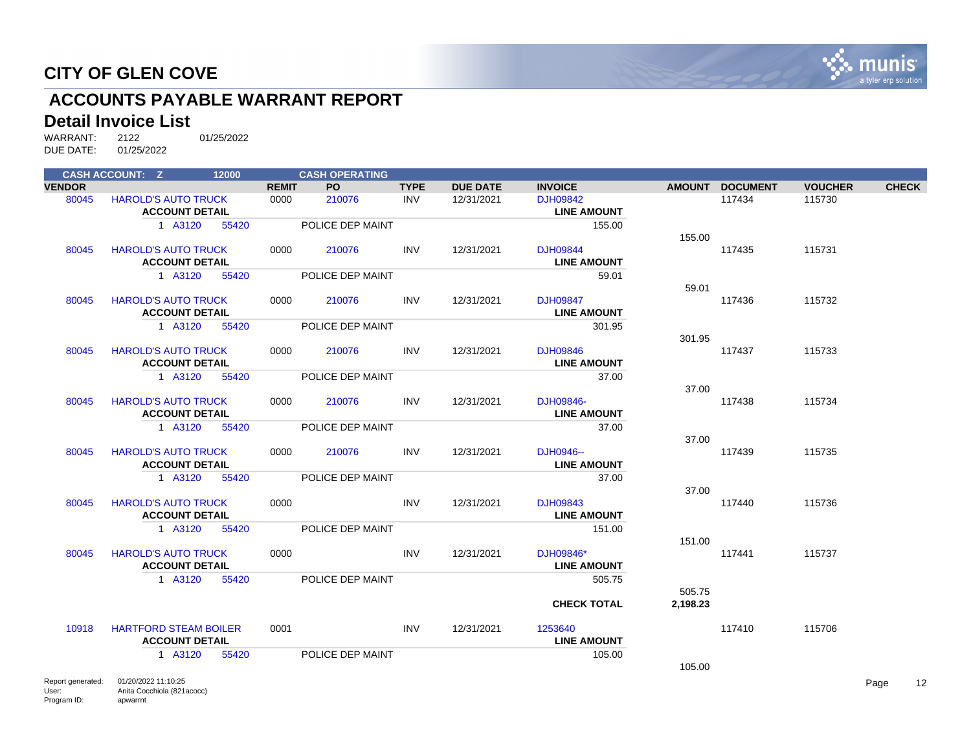

## **ACCOUNTS PAYABLE WARRANT REPORT**

#### **Detail Invoice List**

|               | <b>CASH ACCOUNT: Z</b>                                | 12000 |              | <b>CASH OPERATING</b> |             |                 |                                       |          |                 |                |              |
|---------------|-------------------------------------------------------|-------|--------------|-----------------------|-------------|-----------------|---------------------------------------|----------|-----------------|----------------|--------------|
| <b>VENDOR</b> |                                                       |       | <b>REMIT</b> | PO.                   | <b>TYPE</b> | <b>DUE DATE</b> | <b>INVOICE</b>                        |          | AMOUNT DOCUMENT | <b>VOUCHER</b> | <b>CHECK</b> |
| 80045         | <b>HAROLD'S AUTO TRUCK</b><br><b>ACCOUNT DETAIL</b>   |       | 0000         | 210076                | <b>INV</b>  | 12/31/2021      | DJH09842<br><b>LINE AMOUNT</b>        |          | 117434          | 115730         |              |
|               | 1 A3120                                               | 55420 |              | POLICE DEP MAINT      |             |                 | 155.00                                | 155.00   |                 |                |              |
| 80045         | <b>HAROLD'S AUTO TRUCK</b><br><b>ACCOUNT DETAIL</b>   |       | 0000         | 210076                | <b>INV</b>  | 12/31/2021      | <b>DJH09844</b><br><b>LINE AMOUNT</b> |          | 117435          | 115731         |              |
|               | 1 A3120                                               | 55420 |              | POLICE DEP MAINT      |             |                 | 59.01                                 | 59.01    |                 |                |              |
| 80045         | <b>HAROLD'S AUTO TRUCK</b><br><b>ACCOUNT DETAIL</b>   |       | 0000         | 210076                | <b>INV</b>  | 12/31/2021      | <b>DJH09847</b><br><b>LINE AMOUNT</b> |          | 117436          | 115732         |              |
|               | 1 A3120                                               | 55420 |              | POLICE DEP MAINT      |             |                 | 301.95                                | 301.95   |                 |                |              |
| 80045         | <b>HAROLD'S AUTO TRUCK</b><br><b>ACCOUNT DETAIL</b>   |       | 0000         | 210076                | <b>INV</b>  | 12/31/2021      | DJH09846<br><b>LINE AMOUNT</b>        |          | 117437          | 115733         |              |
|               | 1 A3120                                               | 55420 |              | POLICE DEP MAINT      |             |                 | 37.00                                 | 37.00    |                 |                |              |
| 80045         | <b>HAROLD'S AUTO TRUCK</b><br><b>ACCOUNT DETAIL</b>   |       | 0000         | 210076                | <b>INV</b>  | 12/31/2021      | DJH09846-<br><b>LINE AMOUNT</b>       |          | 117438          | 115734         |              |
|               | 1 A3120                                               | 55420 |              | POLICE DEP MAINT      |             |                 | 37.00                                 | 37.00    |                 |                |              |
| 80045         | <b>HAROLD'S AUTO TRUCK</b><br><b>ACCOUNT DETAIL</b>   |       | 0000         | 210076                | <b>INV</b>  | 12/31/2021      | DJH0946--<br><b>LINE AMOUNT</b>       |          | 117439          | 115735         |              |
|               | 1 A3120                                               | 55420 |              | POLICE DEP MAINT      |             |                 | 37.00                                 | 37.00    |                 |                |              |
| 80045         | <b>HAROLD'S AUTO TRUCK</b><br><b>ACCOUNT DETAIL</b>   |       | 0000         |                       | <b>INV</b>  | 12/31/2021      | DJH09843<br><b>LINE AMOUNT</b>        |          | 117440          | 115736         |              |
|               | 1 A3120                                               | 55420 |              | POLICE DEP MAINT      |             |                 | 151.00                                | 151.00   |                 |                |              |
| 80045         | <b>HAROLD'S AUTO TRUCK</b><br><b>ACCOUNT DETAIL</b>   |       | 0000         |                       | <b>INV</b>  | 12/31/2021      | DJH09846*<br><b>LINE AMOUNT</b>       |          | 117441          | 115737         |              |
|               | 1 A3120                                               | 55420 |              | POLICE DEP MAINT      |             |                 | 505.75                                | 505.75   |                 |                |              |
|               |                                                       |       |              |                       |             |                 | <b>CHECK TOTAL</b>                    | 2,198.23 |                 |                |              |
| 10918         | <b>HARTFORD STEAM BOILER</b><br><b>ACCOUNT DETAIL</b> |       | 0001         |                       | <b>INV</b>  | 12/31/2021      | 1253640<br><b>LINE AMOUNT</b>         |          | 117410          | 115706         |              |
|               | 1 A3120                                               | 55420 |              | POLICE DEP MAINT      |             |                 | 105.00                                | 105.00   |                 |                |              |
|               |                                                       |       |              |                       |             |                 |                                       |          |                 |                |              |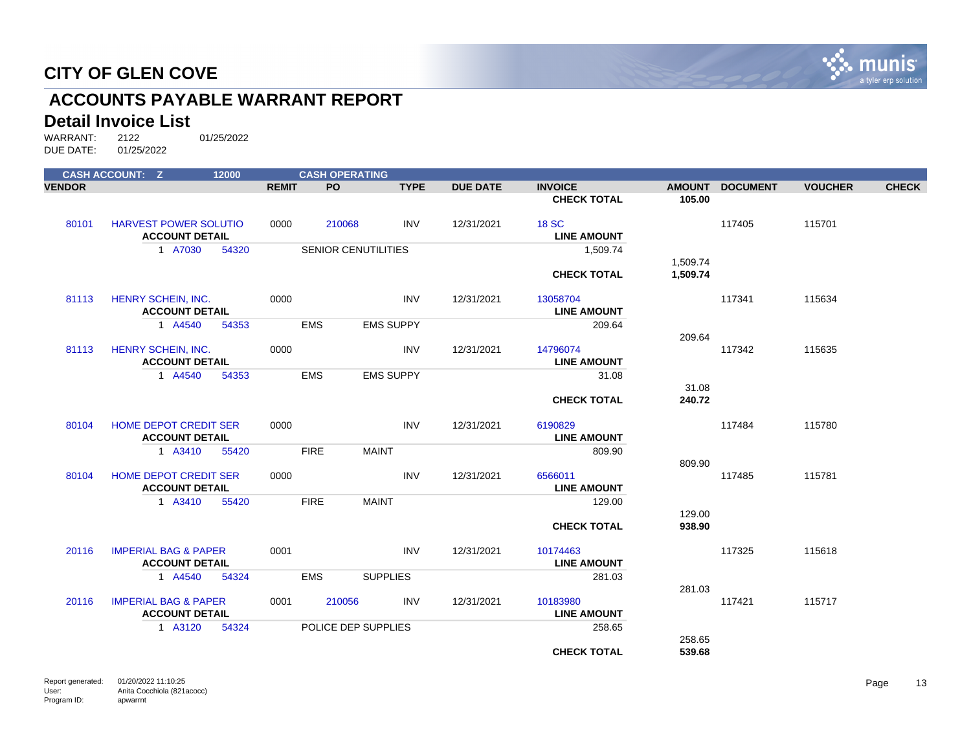

## **ACCOUNTS PAYABLE WARRANT REPORT**

#### **Detail Invoice List**

|               | <b>CASH ACCOUNT: Z</b>                                   |       |              | <b>CASH OPERATING</b>      |                  |                 |                                    |                      |                 |                |              |
|---------------|----------------------------------------------------------|-------|--------------|----------------------------|------------------|-----------------|------------------------------------|----------------------|-----------------|----------------|--------------|
| <b>VENDOR</b> |                                                          |       | <b>REMIT</b> | PO.                        | <b>TYPE</b>      | <b>DUE DATE</b> | <b>INVOICE</b>                     |                      | AMOUNT DOCUMENT | <b>VOUCHER</b> | <b>CHECK</b> |
|               |                                                          |       |              |                            |                  |                 | <b>CHECK TOTAL</b>                 | 105.00               |                 |                |              |
| 80101         | <b>HARVEST POWER SOLUTIO</b><br><b>ACCOUNT DETAIL</b>    |       | 0000         | 210068                     | <b>INV</b>       | 12/31/2021      | <b>18 SC</b><br><b>LINE AMOUNT</b> |                      | 117405          | 115701         |              |
|               | 1 A7030                                                  | 54320 |              | <b>SENIOR CENUTILITIES</b> |                  |                 | 1,509.74                           |                      |                 |                |              |
|               |                                                          |       |              |                            |                  |                 | <b>CHECK TOTAL</b>                 | 1,509.74<br>1,509.74 |                 |                |              |
| 81113         | HENRY SCHEIN, INC.<br><b>ACCOUNT DETAIL</b>              |       | 0000         |                            | <b>INV</b>       | 12/31/2021      | 13058704<br><b>LINE AMOUNT</b>     |                      | 117341          | 115634         |              |
|               | 1 A4540                                                  | 54353 |              | <b>EMS</b>                 | <b>EMS SUPPY</b> |                 | 209.64                             |                      |                 |                |              |
| 81113         | HENRY SCHEIN, INC.<br><b>ACCOUNT DETAIL</b>              |       | 0000         |                            | <b>INV</b>       | 12/31/2021      | 14796074<br><b>LINE AMOUNT</b>     | 209.64               | 117342          | 115635         |              |
|               | 1 A4540                                                  | 54353 |              | <b>EMS</b>                 | <b>EMS SUPPY</b> |                 | 31.08                              |                      |                 |                |              |
|               |                                                          |       |              |                            |                  |                 | <b>CHECK TOTAL</b>                 | 31.08<br>240.72      |                 |                |              |
| 80104         | HOME DEPOT CREDIT SER<br><b>ACCOUNT DETAIL</b>           |       | 0000         |                            | <b>INV</b>       | 12/31/2021      | 6190829<br><b>LINE AMOUNT</b>      |                      | 117484          | 115780         |              |
|               | 1 A3410                                                  | 55420 |              | <b>FIRE</b>                | <b>MAINT</b>     |                 | 809.90                             |                      |                 |                |              |
| 80104         | <b>HOME DEPOT CREDIT SER</b><br><b>ACCOUNT DETAIL</b>    |       | 0000         |                            | <b>INV</b>       | 12/31/2021      | 6566011<br><b>LINE AMOUNT</b>      | 809.90               | 117485          | 115781         |              |
|               | 1 A3410                                                  | 55420 |              | <b>FIRE</b>                | <b>MAINT</b>     |                 | 129.00                             |                      |                 |                |              |
|               |                                                          |       |              |                            |                  |                 | <b>CHECK TOTAL</b>                 | 129.00<br>938.90     |                 |                |              |
| 20116         | <b>IMPERIAL BAG &amp; PAPER</b><br><b>ACCOUNT DETAIL</b> |       | 0001         |                            | <b>INV</b>       | 12/31/2021      | 10174463<br><b>LINE AMOUNT</b>     |                      | 117325          | 115618         |              |
|               | 1 A4540                                                  | 54324 |              | <b>EMS</b>                 | <b>SUPPLIES</b>  |                 | 281.03                             |                      |                 |                |              |
| 20116         | <b>IMPERIAL BAG &amp; PAPER</b><br><b>ACCOUNT DETAIL</b> |       | 0001         | 210056                     | <b>INV</b>       | 12/31/2021      | 10183980<br><b>LINE AMOUNT</b>     | 281.03               | 117421          | 115717         |              |
|               | 1 A3120                                                  | 54324 |              | POLICE DEP SUPPLIES        |                  |                 | 258.65                             |                      |                 |                |              |
|               |                                                          |       |              |                            |                  |                 | <b>CHECK TOTAL</b>                 | 258.65<br>539.68     |                 |                |              |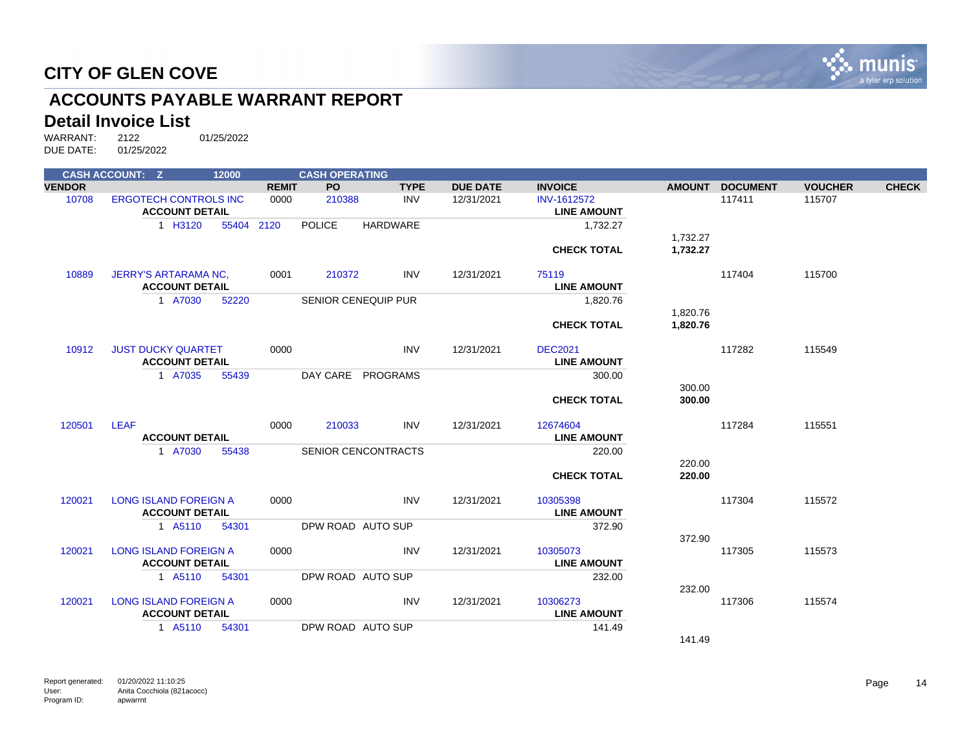

## **ACCOUNTS PAYABLE WARRANT REPORT**

#### **Detail Invoice List**

|               | <b>CASH ACCOUNT: Z</b>       | 12000      |              | <b>CASH OPERATING</b>      |                 |                 |                    |               |                 |                |              |
|---------------|------------------------------|------------|--------------|----------------------------|-----------------|-----------------|--------------------|---------------|-----------------|----------------|--------------|
| <b>VENDOR</b> |                              |            | <b>REMIT</b> | PO.                        | <b>TYPE</b>     | <b>DUE DATE</b> | <b>INVOICE</b>     | <b>AMOUNT</b> | <b>DOCUMENT</b> | <b>VOUCHER</b> | <b>CHECK</b> |
| 10708         | <b>ERGOTECH CONTROLS INC</b> |            | 0000         | 210388                     | <b>INV</b>      | 12/31/2021      | <b>INV-1612572</b> |               | 117411          | 115707         |              |
|               | <b>ACCOUNT DETAIL</b>        |            |              |                            |                 |                 | <b>LINE AMOUNT</b> |               |                 |                |              |
|               | 1 H3120                      | 55404 2120 |              | <b>POLICE</b>              | <b>HARDWARE</b> |                 | 1,732.27           |               |                 |                |              |
|               |                              |            |              |                            |                 |                 |                    | 1,732.27      |                 |                |              |
|               |                              |            |              |                            |                 |                 | <b>CHECK TOTAL</b> | 1,732.27      |                 |                |              |
| 10889         | <b>JERRY'S ARTARAMA NC,</b>  |            | 0001         | 210372                     | <b>INV</b>      | 12/31/2021      | 75119              |               | 117404          | 115700         |              |
|               | <b>ACCOUNT DETAIL</b>        |            |              |                            |                 |                 | <b>LINE AMOUNT</b> |               |                 |                |              |
|               | 1 A7030                      | 52220      |              | <b>SENIOR CENEQUIP PUR</b> |                 |                 | 1,820.76           |               |                 |                |              |
|               |                              |            |              |                            |                 |                 |                    | 1,820.76      |                 |                |              |
|               |                              |            |              |                            |                 |                 | <b>CHECK TOTAL</b> | 1,820.76      |                 |                |              |
| 10912         | <b>JUST DUCKY QUARTET</b>    |            | 0000         |                            | <b>INV</b>      | 12/31/2021      | <b>DEC2021</b>     |               | 117282          | 115549         |              |
|               | <b>ACCOUNT DETAIL</b>        |            |              |                            |                 |                 | <b>LINE AMOUNT</b> |               |                 |                |              |
|               | 1 A7035                      | 55439      |              | DAY CARE PROGRAMS          |                 |                 | 300.00             |               |                 |                |              |
|               |                              |            |              |                            |                 |                 |                    | 300.00        |                 |                |              |
|               |                              |            |              |                            |                 |                 | <b>CHECK TOTAL</b> | 300.00        |                 |                |              |
| 120501        | <b>LEAF</b>                  |            | 0000         | 210033                     | <b>INV</b>      | 12/31/2021      | 12674604           |               | 117284          | 115551         |              |
|               | <b>ACCOUNT DETAIL</b>        |            |              |                            |                 |                 | <b>LINE AMOUNT</b> |               |                 |                |              |
|               | 1 A7030                      | 55438      |              | SENIOR CENCONTRACTS        |                 |                 | 220.00             |               |                 |                |              |
|               |                              |            |              |                            |                 |                 |                    | 220.00        |                 |                |              |
|               |                              |            |              |                            |                 |                 | <b>CHECK TOTAL</b> | 220.00        |                 |                |              |
| 120021        | <b>LONG ISLAND FOREIGN A</b> |            | 0000         |                            | <b>INV</b>      | 12/31/2021      | 10305398           |               | 117304          | 115572         |              |
|               | <b>ACCOUNT DETAIL</b>        |            |              |                            |                 |                 | <b>LINE AMOUNT</b> |               |                 |                |              |
|               | 1 A5110                      | 54301      |              | DPW ROAD AUTO SUP          |                 |                 | 372.90             |               |                 |                |              |
|               |                              |            |              |                            |                 |                 |                    | 372.90        |                 |                |              |
| 120021        | <b>LONG ISLAND FOREIGN A</b> |            | 0000         |                            | <b>INV</b>      | 12/31/2021      | 10305073           |               | 117305          | 115573         |              |
|               | <b>ACCOUNT DETAIL</b>        |            |              |                            |                 |                 | <b>LINE AMOUNT</b> |               |                 |                |              |
|               | 1 A5110                      | 54301      |              | DPW ROAD AUTO SUP          |                 |                 | 232.00             |               |                 |                |              |
|               |                              |            |              |                            |                 |                 |                    | 232.00        |                 |                |              |
| 120021        | <b>LONG ISLAND FOREIGN A</b> |            | 0000         |                            | <b>INV</b>      | 12/31/2021      | 10306273           |               | 117306          | 115574         |              |
|               | <b>ACCOUNT DETAIL</b>        |            |              |                            |                 |                 | <b>LINE AMOUNT</b> |               |                 |                |              |
|               | 1 A5110                      | 54301      |              | DPW ROAD AUTO SUP          |                 |                 | 141.49             |               |                 |                |              |
|               |                              |            |              |                            |                 |                 |                    | 141.49        |                 |                |              |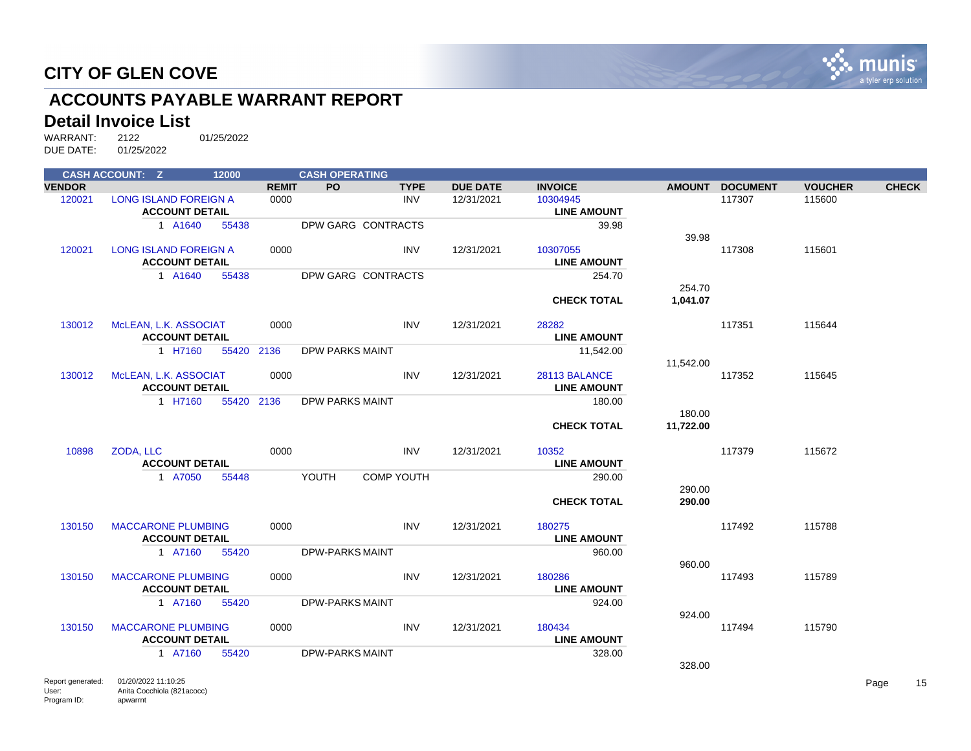

## **ACCOUNTS PAYABLE WARRANT REPORT**

#### **Detail Invoice List**

WARRANT: 2122 01/25/2022<br>DUE DATE: 01/25/2022 01/25/2022

|                   | <b>CASH ACCOUNT: Z</b>                                | 12000 |              | <b>CASH OPERATING</b>  |                   |                 |                                     |           |                 |                |              |
|-------------------|-------------------------------------------------------|-------|--------------|------------------------|-------------------|-----------------|-------------------------------------|-----------|-----------------|----------------|--------------|
| <b>VENDOR</b>     |                                                       |       | <b>REMIT</b> | <b>PO</b>              | <b>TYPE</b>       | <b>DUE DATE</b> | <b>INVOICE</b>                      |           | AMOUNT DOCUMENT | <b>VOUCHER</b> | <b>CHECK</b> |
| 120021            | LONG ISLAND FOREIGN A<br><b>ACCOUNT DETAIL</b>        |       | 0000         |                        | INV               | 12/31/2021      | 10304945<br><b>LINE AMOUNT</b>      |           | 117307          | 115600         |              |
|                   | 1 A1640                                               | 55438 |              | DPW GARG CONTRACTS     |                   |                 | 39.98                               | 39.98     |                 |                |              |
| 120021            | <b>LONG ISLAND FOREIGN A</b><br><b>ACCOUNT DETAIL</b> |       | 0000         |                        | <b>INV</b>        | 12/31/2021      | 10307055<br><b>LINE AMOUNT</b>      |           | 117308          | 115601         |              |
|                   | 1 A1640                                               | 55438 |              | DPW GARG CONTRACTS     |                   |                 | 254.70                              | 254.70    |                 |                |              |
|                   |                                                       |       |              |                        |                   |                 | <b>CHECK TOTAL</b>                  | 1,041.07  |                 |                |              |
| 130012            | MCLEAN, L.K. ASSOCIAT<br><b>ACCOUNT DETAIL</b>        |       | 0000         |                        | <b>INV</b>        | 12/31/2021      | 28282<br><b>LINE AMOUNT</b>         |           | 117351          | 115644         |              |
|                   | 1 H7160                                               | 55420 | 2136         | DPW PARKS MAINT        |                   |                 | 11,542.00                           | 11,542.00 |                 |                |              |
| 130012            | McLEAN, L.K. ASSOCIAT<br><b>ACCOUNT DETAIL</b>        |       | 0000         |                        | <b>INV</b>        | 12/31/2021      | 28113 BALANCE<br><b>LINE AMOUNT</b> |           | 117352          | 115645         |              |
|                   | 1 H7160                                               |       | 55420 2136   | DPW PARKS MAINT        |                   |                 | 180.00                              | 180.00    |                 |                |              |
|                   |                                                       |       |              |                        |                   |                 | <b>CHECK TOTAL</b>                  | 11,722.00 |                 |                |              |
| 10898             | ZODA, LLC<br><b>ACCOUNT DETAIL</b>                    |       | 0000         |                        | <b>INV</b>        | 12/31/2021      | 10352<br><b>LINE AMOUNT</b>         |           | 117379          | 115672         |              |
|                   | 1 A7050                                               | 55448 |              | YOUTH                  | <b>COMP YOUTH</b> |                 | 290.00                              | 290.00    |                 |                |              |
|                   |                                                       |       |              |                        |                   |                 | <b>CHECK TOTAL</b>                  | 290.00    |                 |                |              |
| 130150            | <b>MACCARONE PLUMBING</b><br><b>ACCOUNT DETAIL</b>    |       | 0000         |                        | <b>INV</b>        | 12/31/2021      | 180275<br><b>LINE AMOUNT</b>        |           | 117492          | 115788         |              |
|                   | 1 A7160                                               | 55420 |              | <b>DPW-PARKS MAINT</b> |                   |                 | 960.00                              | 960.00    |                 |                |              |
| 130150            | <b>MACCARONE PLUMBING</b><br><b>ACCOUNT DETAIL</b>    |       | 0000         |                        | <b>INV</b>        | 12/31/2021      | 180286<br><b>LINE AMOUNT</b>        |           | 117493          | 115789         |              |
|                   | 1 A7160                                               | 55420 |              | <b>DPW-PARKS MAINT</b> |                   |                 | 924.00                              | 924.00    |                 |                |              |
| 130150            | <b>MACCARONE PLUMBING</b><br><b>ACCOUNT DETAIL</b>    |       | 0000         |                        | <b>INV</b>        | 12/31/2021      | 180434<br><b>LINE AMOUNT</b>        |           | 117494          | 115790         |              |
|                   | 1 A7160                                               | 55420 |              | <b>DPW-PARKS MAINT</b> |                   |                 | 328.00                              | 328.00    |                 |                |              |
| Report generated: | 01/20/2022 11:10:25                                   |       |              |                        |                   |                 |                                     |           |                 |                | Page         |

User: Program ID: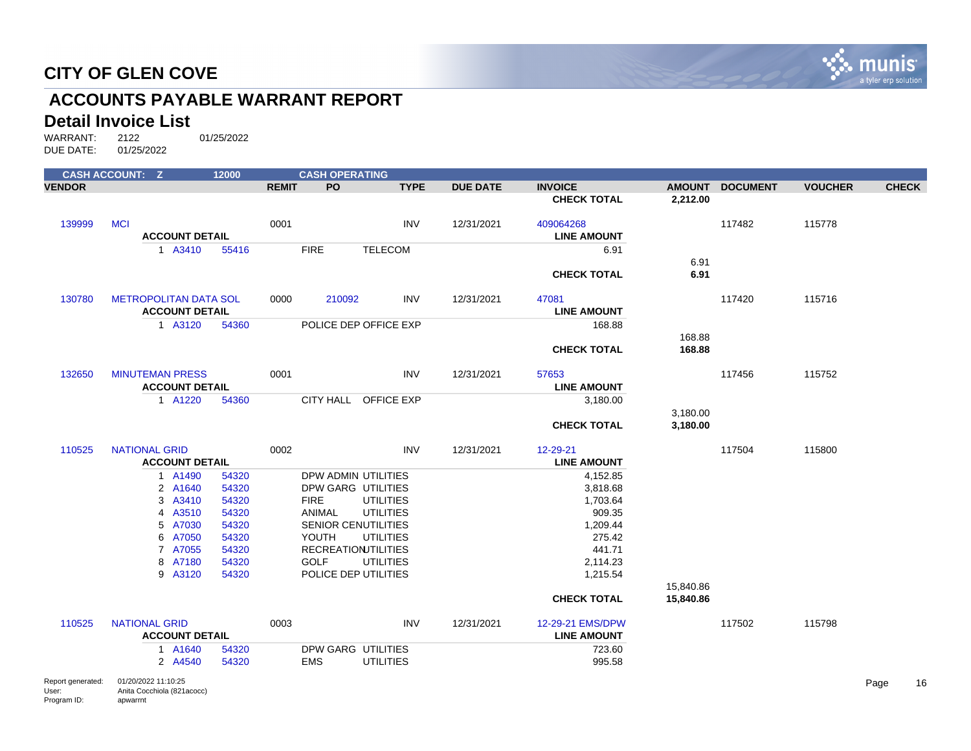

## **ACCOUNTS PAYABLE WARRANT REPORT**

#### **Detail Invoice List**

|               | <b>CASH ACCOUNT: Z</b>       | 12000 |              | <b>CASH OPERATING</b>      |                  |                 |                    |                        |                 |                |              |
|---------------|------------------------------|-------|--------------|----------------------------|------------------|-----------------|--------------------|------------------------|-----------------|----------------|--------------|
| <b>VENDOR</b> |                              |       | <b>REMIT</b> | PO                         | <b>TYPE</b>      | <b>DUE DATE</b> | <b>INVOICE</b>     | <b>AMOUNT</b>          | <b>DOCUMENT</b> | <b>VOUCHER</b> | <b>CHECK</b> |
|               |                              |       |              |                            |                  |                 | <b>CHECK TOTAL</b> | 2,212.00               |                 |                |              |
| 139999        | <b>MCI</b>                   |       | 0001         |                            | <b>INV</b>       | 12/31/2021      | 409064268          |                        | 117482          | 115778         |              |
|               | <b>ACCOUNT DETAIL</b>        |       |              |                            |                  |                 | <b>LINE AMOUNT</b> |                        |                 |                |              |
|               | 1 A3410                      | 55416 |              | <b>FIRE</b>                | <b>TELECOM</b>   |                 | 6.91               |                        |                 |                |              |
|               |                              |       |              |                            |                  |                 |                    | 6.91                   |                 |                |              |
|               |                              |       |              |                            |                  |                 | <b>CHECK TOTAL</b> | 6.91                   |                 |                |              |
| 130780        | <b>METROPOLITAN DATA SOL</b> |       | 0000         | 210092                     | INV              | 12/31/2021      | 47081              |                        | 117420          | 115716         |              |
|               | <b>ACCOUNT DETAIL</b>        |       |              |                            |                  |                 | <b>LINE AMOUNT</b> |                        |                 |                |              |
|               | 1 A3120                      | 54360 |              | POLICE DEP OFFICE EXP      |                  |                 | 168.88             |                        |                 |                |              |
|               |                              |       |              |                            |                  |                 |                    | 168.88                 |                 |                |              |
|               |                              |       |              |                            |                  |                 | <b>CHECK TOTAL</b> | 168.88                 |                 |                |              |
| 132650        | <b>MINUTEMAN PRESS</b>       |       | 0001         |                            | <b>INV</b>       | 12/31/2021      | 57653              |                        | 117456          | 115752         |              |
|               | <b>ACCOUNT DETAIL</b>        |       |              |                            |                  |                 | <b>LINE AMOUNT</b> |                        |                 |                |              |
|               | 1 A1220                      | 54360 |              | CITY HALL OFFICE EXP       |                  |                 | 3,180.00           |                        |                 |                |              |
|               |                              |       |              |                            |                  |                 |                    | 3,180.00               |                 |                |              |
|               |                              |       |              |                            |                  |                 | <b>CHECK TOTAL</b> | 3,180.00               |                 |                |              |
| 110525        | <b>NATIONAL GRID</b>         |       | 0002         |                            | <b>INV</b>       | 12/31/2021      | 12-29-21           |                        | 117504          | 115800         |              |
|               | <b>ACCOUNT DETAIL</b>        |       |              |                            |                  |                 | <b>LINE AMOUNT</b> |                        |                 |                |              |
|               | 1 A1490                      | 54320 |              | DPW ADMIN UTILITIES        |                  |                 | 4,152.85           |                        |                 |                |              |
|               | 2 A1640                      | 54320 |              | DPW GARG UTILITIES         |                  |                 | 3,818.68           |                        |                 |                |              |
|               | 3 A3410                      | 54320 |              | <b>FIRE</b>                | <b>UTILITIES</b> |                 | 1,703.64           |                        |                 |                |              |
|               | 4 A3510                      | 54320 |              | <b>ANIMAL</b>              | <b>UTILITIES</b> |                 | 909.35             |                        |                 |                |              |
|               | 5 A7030                      | 54320 |              | <b>SENIOR CENUTILITIES</b> |                  |                 | 1,209.44           |                        |                 |                |              |
|               | 6 A7050                      | 54320 |              | YOUTH                      | <b>UTILITIES</b> |                 | 275.42             |                        |                 |                |              |
|               | 7 A7055                      | 54320 |              | <b>RECREATION TILITIES</b> |                  |                 | 441.71             |                        |                 |                |              |
|               | 8 A7180                      | 54320 |              | <b>GOLF</b>                | <b>UTILITIES</b> |                 | 2,114.23           |                        |                 |                |              |
|               | 9 A3120                      | 54320 |              | POLICE DEP UTILITIES       |                  |                 | 1,215.54           |                        |                 |                |              |
|               |                              |       |              |                            |                  |                 | <b>CHECK TOTAL</b> | 15,840.86<br>15,840.86 |                 |                |              |
|               |                              |       |              |                            |                  |                 |                    |                        |                 |                |              |
| 110525        | <b>NATIONAL GRID</b>         |       | 0003         |                            | <b>INV</b>       | 12/31/2021      | 12-29-21 EMS/DPW   |                        | 117502          | 115798         |              |
|               | <b>ACCOUNT DETAIL</b>        |       |              |                            |                  |                 | <b>LINE AMOUNT</b> |                        |                 |                |              |
|               | 1 A1640                      | 54320 |              | DPW GARG UTILITIES         |                  |                 | 723.60             |                        |                 |                |              |
|               | 2 A4540                      | 54320 |              | <b>EMS</b>                 | <b>UTILITIES</b> |                 | 995.58             |                        |                 |                |              |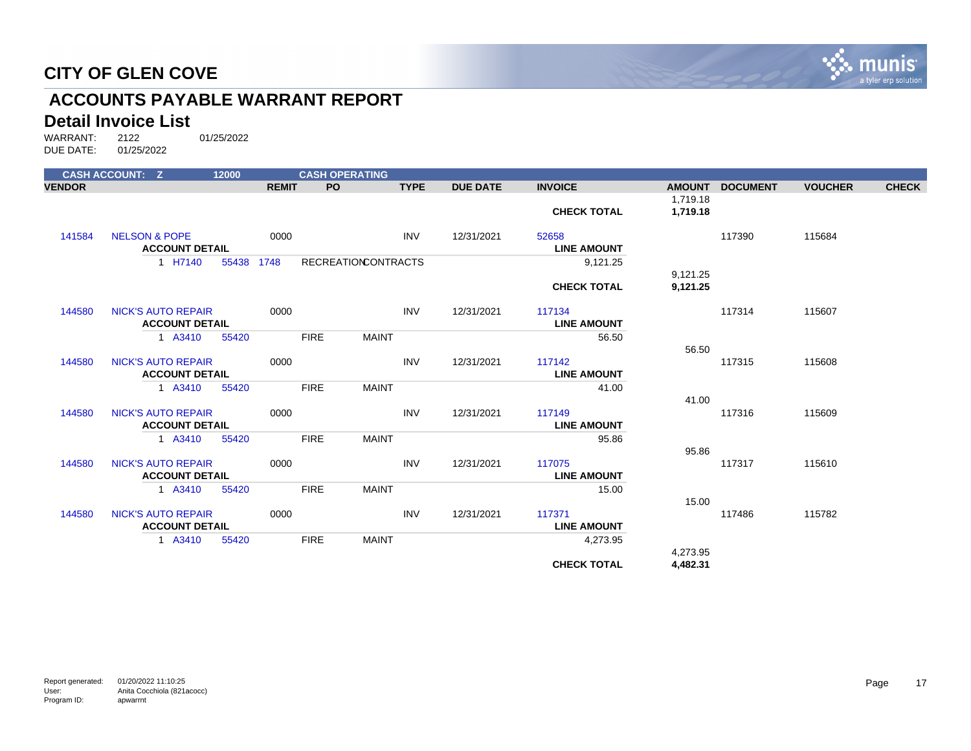

## **ACCOUNTS PAYABLE WARRANT REPORT**

#### **Detail Invoice List**

|               | <b>CASH ACCOUNT: Z</b>                             | 12000 |              | <b>CASH OPERATING</b> |                            |             |                 |                              |                      |                 |                |              |
|---------------|----------------------------------------------------|-------|--------------|-----------------------|----------------------------|-------------|-----------------|------------------------------|----------------------|-----------------|----------------|--------------|
| <b>VENDOR</b> |                                                    |       | <b>REMIT</b> | PO.                   |                            | <b>TYPE</b> | <b>DUE DATE</b> | <b>INVOICE</b>               | <b>AMOUNT</b>        | <b>DOCUMENT</b> | <b>VOUCHER</b> | <b>CHECK</b> |
|               |                                                    |       |              |                       |                            |             |                 |                              | 1,719.18             |                 |                |              |
|               |                                                    |       |              |                       |                            |             |                 | <b>CHECK TOTAL</b>           | 1,719.18             |                 |                |              |
| 141584        | <b>NELSON &amp; POPE</b>                           |       | 0000         |                       |                            | <b>INV</b>  | 12/31/2021      | 52658                        |                      | 117390          | 115684         |              |
|               | <b>ACCOUNT DETAIL</b>                              |       |              |                       |                            |             |                 | <b>LINE AMOUNT</b>           |                      |                 |                |              |
|               | 1 H7140                                            | 55438 | 1748         |                       | <b>RECREATIONCONTRACTS</b> |             |                 | 9,121.25                     |                      |                 |                |              |
|               |                                                    |       |              |                       |                            |             |                 | <b>CHECK TOTAL</b>           | 9,121.25<br>9,121.25 |                 |                |              |
|               |                                                    |       |              |                       |                            |             |                 |                              |                      |                 |                |              |
| 144580        | <b>NICK'S AUTO REPAIR</b>                          |       | 0000         |                       |                            | <b>INV</b>  | 12/31/2021      | 117134                       |                      | 117314          | 115607         |              |
|               | <b>ACCOUNT DETAIL</b>                              |       |              |                       |                            |             |                 | <b>LINE AMOUNT</b>           |                      |                 |                |              |
|               | 1 A3410                                            | 55420 |              | <b>FIRE</b>           | <b>MAINT</b>               |             |                 | 56.50                        |                      |                 |                |              |
| 144580        | <b>NICK'S AUTO REPAIR</b>                          |       | 0000         |                       |                            | <b>INV</b>  | 12/31/2021      | 117142                       | 56.50                | 117315          | 115608         |              |
|               | <b>ACCOUNT DETAIL</b>                              |       |              |                       |                            |             |                 | <b>LINE AMOUNT</b>           |                      |                 |                |              |
|               | 1 A3410                                            | 55420 |              | <b>FIRE</b>           | <b>MAINT</b>               |             |                 | 41.00                        |                      |                 |                |              |
|               |                                                    |       |              |                       |                            |             |                 |                              | 41.00                |                 |                |              |
| 144580        | <b>NICK'S AUTO REPAIR</b><br><b>ACCOUNT DETAIL</b> |       | 0000         |                       |                            | <b>INV</b>  | 12/31/2021      | 117149<br><b>LINE AMOUNT</b> |                      | 117316          | 115609         |              |
|               | 1 A3410                                            | 55420 |              | <b>FIRE</b>           | <b>MAINT</b>               |             |                 | 95.86                        |                      |                 |                |              |
|               |                                                    |       |              |                       |                            |             |                 |                              | 95.86                |                 |                |              |
| 144580        | <b>NICK'S AUTO REPAIR</b>                          |       | 0000         |                       |                            | <b>INV</b>  | 12/31/2021      | 117075                       |                      | 117317          | 115610         |              |
|               | <b>ACCOUNT DETAIL</b>                              |       |              |                       |                            |             |                 | <b>LINE AMOUNT</b>           |                      |                 |                |              |
|               | 1 A3410                                            | 55420 |              | <b>FIRE</b>           | <b>MAINT</b>               |             |                 | 15.00                        | 15.00                |                 |                |              |
| 144580        | <b>NICK'S AUTO REPAIR</b>                          |       | 0000         |                       |                            | <b>INV</b>  | 12/31/2021      | 117371                       |                      | 117486          | 115782         |              |
|               | <b>ACCOUNT DETAIL</b>                              |       |              |                       |                            |             |                 | <b>LINE AMOUNT</b>           |                      |                 |                |              |
|               | 1 A3410                                            | 55420 |              | <b>FIRE</b>           | <b>MAINT</b>               |             |                 | 4,273.95                     |                      |                 |                |              |
|               |                                                    |       |              |                       |                            |             |                 |                              | 4,273.95             |                 |                |              |
|               |                                                    |       |              |                       |                            |             |                 | <b>CHECK TOTAL</b>           | 4,482.31             |                 |                |              |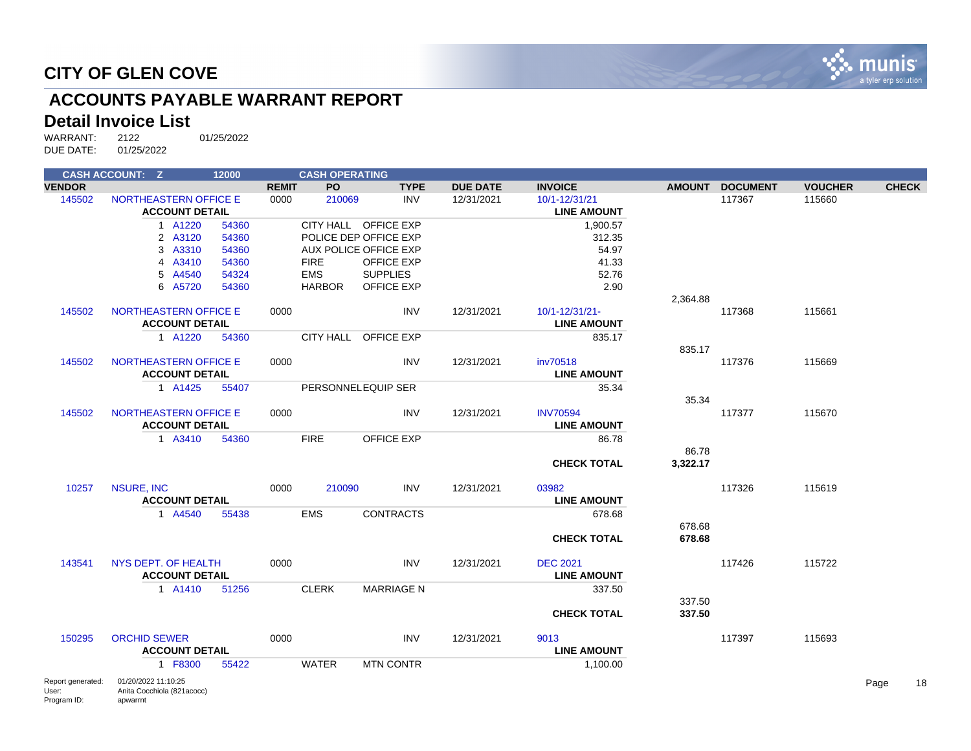

## **ACCOUNTS PAYABLE WARRANT REPORT**

### **Detail Invoice List**

|                            | <b>CASH ACCOUNT: Z</b>                            | 12000 |              | <b>CASH OPERATING</b> |                       |                 |                                     |               |                 |                |              |  |
|----------------------------|---------------------------------------------------|-------|--------------|-----------------------|-----------------------|-----------------|-------------------------------------|---------------|-----------------|----------------|--------------|--|
| <b>VENDOR</b>              |                                                   |       | <b>REMIT</b> | PO.                   | <b>TYPE</b>           | <b>DUE DATE</b> | <b>INVOICE</b>                      | <b>AMOUNT</b> | <b>DOCUMENT</b> | <b>VOUCHER</b> | <b>CHECK</b> |  |
| 145502                     | NORTHEASTERN OFFICE E<br><b>ACCOUNT DETAIL</b>    |       | 0000         | 210069                | <b>INV</b>            | 12/31/2021      | 10/1-12/31/21<br><b>LINE AMOUNT</b> |               | 117367          | 115660         |              |  |
|                            | 1 A1220                                           | 54360 |              |                       | CITY HALL OFFICE EXP  |                 | 1,900.57                            |               |                 |                |              |  |
|                            | 2 A3120                                           | 54360 |              |                       | POLICE DEP OFFICE EXP |                 | 312.35                              |               |                 |                |              |  |
|                            | 3 A3310                                           | 54360 |              |                       | AUX POLICE OFFICE EXP |                 | 54.97                               |               |                 |                |              |  |
|                            | 4 A3410                                           | 54360 |              | <b>FIRE</b>           | <b>OFFICE EXP</b>     |                 | 41.33                               |               |                 |                |              |  |
|                            | 5 A4540                                           | 54324 |              | <b>EMS</b>            | <b>SUPPLIES</b>       |                 | 52.76                               |               |                 |                |              |  |
|                            | 6 A5720                                           | 54360 |              | <b>HARBOR</b>         | <b>OFFICE EXP</b>     |                 | 2.90                                |               |                 |                |              |  |
|                            |                                                   |       |              |                       |                       |                 |                                     | 2,364.88      |                 |                |              |  |
| 145502                     | <b>NORTHEASTERN OFFICE E</b>                      |       | 0000         |                       | <b>INV</b>            | 12/31/2021      | 10/1-12/31/21-                      |               | 117368          | 115661         |              |  |
|                            | <b>ACCOUNT DETAIL</b>                             |       |              |                       |                       |                 | <b>LINE AMOUNT</b>                  |               |                 |                |              |  |
|                            | 1 A1220                                           | 54360 |              |                       | CITY HALL OFFICE EXP  |                 | 835.17                              |               |                 |                |              |  |
|                            |                                                   |       |              |                       |                       |                 |                                     | 835.17        |                 |                |              |  |
| 145502                     | NORTHEASTERN OFFICE E                             |       | 0000         |                       | <b>INV</b>            | 12/31/2021      | inv70518                            |               | 117376          | 115669         |              |  |
|                            | <b>ACCOUNT DETAIL</b>                             |       |              |                       |                       |                 | <b>LINE AMOUNT</b>                  |               |                 |                |              |  |
|                            | 1 A1425                                           | 55407 |              |                       | PERSONNELEQUIP SER    |                 | 35.34                               |               |                 |                |              |  |
|                            |                                                   |       |              |                       |                       |                 |                                     | 35.34         |                 |                |              |  |
| 145502                     | <b>NORTHEASTERN OFFICE E</b>                      |       | 0000         |                       | INV                   | 12/31/2021      | <b>INV70594</b>                     |               | 117377          | 115670         |              |  |
|                            | <b>ACCOUNT DETAIL</b>                             |       |              |                       |                       |                 | <b>LINE AMOUNT</b>                  |               |                 |                |              |  |
|                            | 1 A3410                                           | 54360 |              | <b>FIRE</b>           | <b>OFFICE EXP</b>     |                 | 86.78                               |               |                 |                |              |  |
|                            |                                                   |       |              |                       |                       |                 |                                     | 86.78         |                 |                |              |  |
|                            |                                                   |       |              |                       |                       |                 | <b>CHECK TOTAL</b>                  | 3,322.17      |                 |                |              |  |
| 10257                      | <b>NSURE, INC</b>                                 |       | 0000         | 210090                | INV                   | 12/31/2021      | 03982                               |               | 117326          | 115619         |              |  |
|                            | <b>ACCOUNT DETAIL</b>                             |       |              |                       |                       |                 | <b>LINE AMOUNT</b>                  |               |                 |                |              |  |
|                            | 1 A4540                                           | 55438 |              | <b>EMS</b>            | <b>CONTRACTS</b>      |                 | 678.68                              |               |                 |                |              |  |
|                            |                                                   |       |              |                       |                       |                 |                                     | 678.68        |                 |                |              |  |
|                            |                                                   |       |              |                       |                       |                 | <b>CHECK TOTAL</b>                  | 678.68        |                 |                |              |  |
| 143541                     | NYS DEPT. OF HEALTH                               |       | 0000         |                       | INV                   | 12/31/2021      | <b>DEC 2021</b>                     |               | 117426          | 115722         |              |  |
|                            | <b>ACCOUNT DETAIL</b>                             |       |              |                       |                       |                 | <b>LINE AMOUNT</b>                  |               |                 |                |              |  |
|                            | 1 A1410                                           | 51256 |              | <b>CLERK</b>          | <b>MARRIAGE N</b>     |                 | 337.50                              |               |                 |                |              |  |
|                            |                                                   |       |              |                       |                       |                 |                                     | 337.50        |                 |                |              |  |
|                            |                                                   |       |              |                       |                       |                 | <b>CHECK TOTAL</b>                  | 337.50        |                 |                |              |  |
| 150295                     | <b>ORCHID SEWER</b>                               |       | 0000         |                       | <b>INV</b>            | 12/31/2021      | 9013                                |               | 117397          | 115693         |              |  |
|                            | <b>ACCOUNT DETAIL</b>                             |       |              |                       |                       |                 | <b>LINE AMOUNT</b>                  |               |                 |                |              |  |
|                            | 1 F8300                                           | 55422 |              | <b>WATER</b>          | <b>MTN CONTR</b>      |                 | 1,100.00                            |               |                 |                |              |  |
| Report generated:<br>User: | 01/20/2022 11:10:25<br>Anita Cocchiola (821acocc) |       |              |                       |                       |                 |                                     |               |                 |                | Page         |  |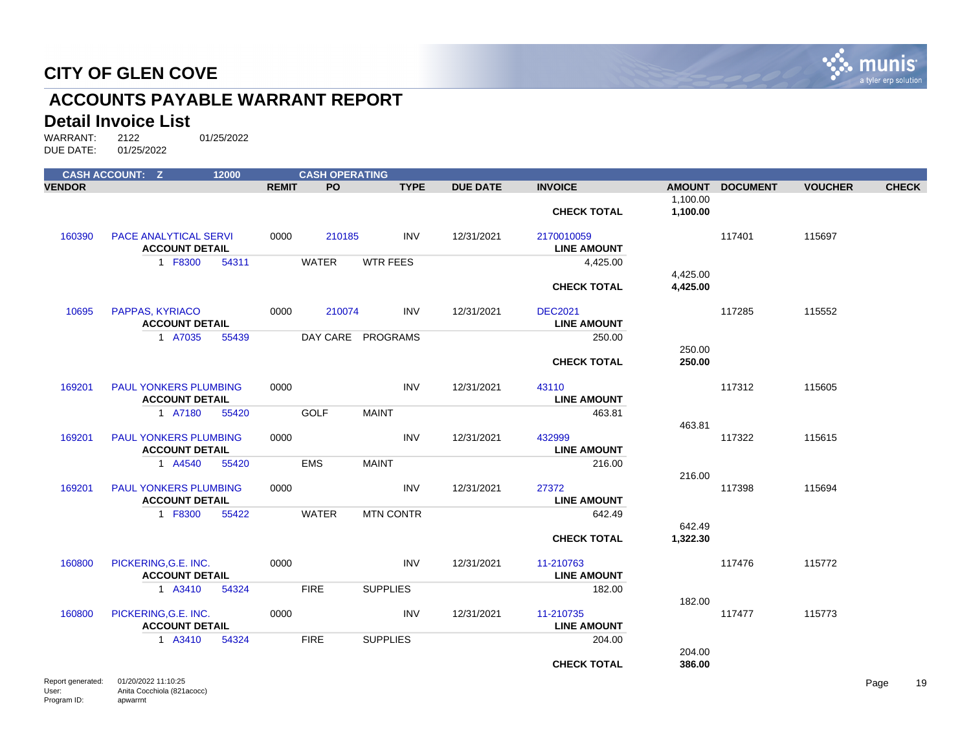

## **ACCOUNTS PAYABLE WARRANT REPORT**

#### **Detail Invoice List**

|               | <b>CASH ACCOUNT: Z</b>                                | 12000 |              | <b>CASH OPERATING</b> |                   |                 |                                      |                      |                 |                |              |
|---------------|-------------------------------------------------------|-------|--------------|-----------------------|-------------------|-----------------|--------------------------------------|----------------------|-----------------|----------------|--------------|
| <b>VENDOR</b> |                                                       |       | <b>REMIT</b> | <b>PO</b>             | <b>TYPE</b>       | <b>DUE DATE</b> | <b>INVOICE</b>                       |                      | AMOUNT DOCUMENT | <b>VOUCHER</b> | <b>CHECK</b> |
|               |                                                       |       |              |                       |                   |                 | <b>CHECK TOTAL</b>                   | 1,100.00<br>1,100.00 |                 |                |              |
| 160390        | PACE ANALYTICAL SERVI<br><b>ACCOUNT DETAIL</b>        |       | 0000         | 210185                | <b>INV</b>        | 12/31/2021      | 2170010059<br><b>LINE AMOUNT</b>     |                      | 117401          | 115697         |              |
|               | 1 F8300                                               | 54311 |              | <b>WATER</b>          | <b>WTR FEES</b>   |                 | 4,425.00                             |                      |                 |                |              |
|               |                                                       |       |              |                       |                   |                 | <b>CHECK TOTAL</b>                   | 4,425.00<br>4,425.00 |                 |                |              |
| 10695         | PAPPAS, KYRIACO<br><b>ACCOUNT DETAIL</b>              |       | 0000         | 210074                | <b>INV</b>        | 12/31/2021      | <b>DEC2021</b><br><b>LINE AMOUNT</b> |                      | 117285          | 115552         |              |
|               | 1 A7035                                               | 55439 |              |                       | DAY CARE PROGRAMS |                 | 250.00                               |                      |                 |                |              |
|               |                                                       |       |              |                       |                   |                 | <b>CHECK TOTAL</b>                   | 250.00<br>250.00     |                 |                |              |
| 169201        | <b>PAUL YONKERS PLUMBING</b><br><b>ACCOUNT DETAIL</b> |       | 0000         |                       | <b>INV</b>        | 12/31/2021      | 43110<br><b>LINE AMOUNT</b>          |                      | 117312          | 115605         |              |
|               | 1 A7180                                               | 55420 |              | <b>GOLF</b>           | <b>MAINT</b>      |                 | 463.81                               |                      |                 |                |              |
| 169201        | <b>PAUL YONKERS PLUMBING</b><br><b>ACCOUNT DETAIL</b> |       | 0000         |                       | <b>INV</b>        | 12/31/2021      | 432999<br><b>LINE AMOUNT</b>         | 463.81               | 117322          | 115615         |              |
|               | 1 A4540                                               | 55420 |              | <b>EMS</b>            | <b>MAINT</b>      |                 | 216.00                               |                      |                 |                |              |
|               |                                                       |       |              |                       |                   |                 |                                      | 216.00               |                 |                |              |
| 169201        | <b>PAUL YONKERS PLUMBING</b><br><b>ACCOUNT DETAIL</b> |       | 0000         |                       | <b>INV</b>        | 12/31/2021      | 27372<br><b>LINE AMOUNT</b>          |                      | 117398          | 115694         |              |
|               | 1 F8300                                               | 55422 |              | <b>WATER</b>          | <b>MTN CONTR</b>  |                 | 642.49                               |                      |                 |                |              |
|               |                                                       |       |              |                       |                   |                 | <b>CHECK TOTAL</b>                   | 642.49<br>1,322.30   |                 |                |              |
| 160800        | PICKERING, G.E. INC.<br><b>ACCOUNT DETAIL</b>         |       | 0000         |                       | <b>INV</b>        | 12/31/2021      | 11-210763<br><b>LINE AMOUNT</b>      |                      | 117476          | 115772         |              |
|               | 1 A3410                                               | 54324 |              | <b>FIRE</b>           | <b>SUPPLIES</b>   |                 | 182.00                               |                      |                 |                |              |
| 160800        | PICKERING, G.E. INC.                                  |       | 0000         |                       | <b>INV</b>        | 12/31/2021      | 11-210735                            | 182.00               | 117477          | 115773         |              |
|               | <b>ACCOUNT DETAIL</b>                                 |       |              |                       |                   |                 | <b>LINE AMOUNT</b>                   |                      |                 |                |              |
|               | 1 A3410                                               | 54324 |              | <b>FIRE</b>           | <b>SUPPLIES</b>   |                 | 204.00                               | 204.00               |                 |                |              |
|               |                                                       |       |              |                       |                   |                 | <b>CHECK TOTAL</b>                   | 386.00               |                 |                |              |
|               | <b>Department of the CAROOCOOCA4-40-OF</b>            |       |              |                       |                   |                 |                                      |                      |                 |                |              |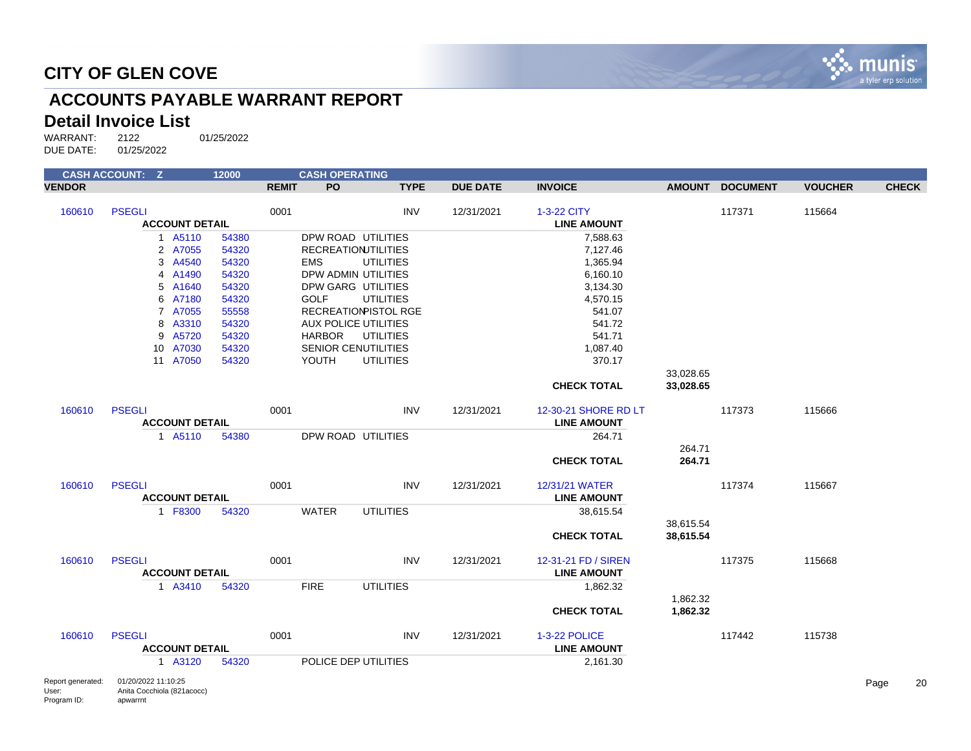

## **ACCOUNTS PAYABLE WARRANT REPORT**

### **Detail Invoice List**

| <b>CASH ACCOUNT: Z</b>     |                                                   | 12000          |              | <b>CASH OPERATING</b> |                                        |                 |                      |           |                 |                |      |              |
|----------------------------|---------------------------------------------------|----------------|--------------|-----------------------|----------------------------------------|-----------------|----------------------|-----------|-----------------|----------------|------|--------------|
| <b>VENDOR</b>              |                                                   |                | <b>REMIT</b> | <b>PO</b>             | <b>TYPE</b>                            | <b>DUE DATE</b> | <b>INVOICE</b>       |           | AMOUNT DOCUMENT | <b>VOUCHER</b> |      | <b>CHECK</b> |
| 160610                     | <b>PSEGLI</b>                                     |                | 0001         |                       | <b>INV</b>                             | 12/31/2021      | 1-3-22 CITY          |           | 117371          | 115664         |      |              |
|                            | <b>ACCOUNT DETAIL</b>                             |                |              |                       |                                        |                 | <b>LINE AMOUNT</b>   |           |                 |                |      |              |
|                            | 1 A5110                                           | 54380          |              |                       | DPW ROAD UTILITIES                     |                 | 7,588.63             |           |                 |                |      |              |
|                            | 2 A7055                                           | 54320          |              |                       | <b>RECREATIONJTILITIES</b>             |                 | 7,127.46             |           |                 |                |      |              |
|                            | 3 A4540                                           | 54320          |              | <b>EMS</b>            | <b>UTILITIES</b>                       |                 | 1,365.94             |           |                 |                |      |              |
|                            | 4 A1490                                           | 54320          |              |                       | DPW ADMIN UTILITIES                    |                 | 6,160.10             |           |                 |                |      |              |
|                            | 5 A1640<br>6 A7180                                | 54320<br>54320 |              | <b>GOLF</b>           | DPW GARG UTILITIES<br><b>UTILITIES</b> |                 | 3,134.30<br>4,570.15 |           |                 |                |      |              |
|                            | 7 A7055                                           | 55558          |              |                       | RECREATIONPISTOL RGE                   |                 | 541.07               |           |                 |                |      |              |
|                            | 8 A3310                                           | 54320          |              |                       | <b>AUX POLICE UTILITIES</b>            |                 | 541.72               |           |                 |                |      |              |
|                            | 9 A5720                                           | 54320          |              | <b>HARBOR</b>         | <b>UTILITIES</b>                       |                 | 541.71               |           |                 |                |      |              |
|                            | 10 A7030                                          | 54320          |              |                       | SENIOR CENUTILITIES                    |                 | 1,087.40             |           |                 |                |      |              |
|                            | 11 A7050                                          | 54320          |              | YOUTH                 | <b>UTILITIES</b>                       |                 | 370.17               |           |                 |                |      |              |
|                            |                                                   |                |              |                       |                                        |                 |                      | 33,028.65 |                 |                |      |              |
|                            |                                                   |                |              |                       |                                        |                 | <b>CHECK TOTAL</b>   | 33,028.65 |                 |                |      |              |
| 160610                     | <b>PSEGLI</b>                                     |                | 0001         |                       | <b>INV</b>                             | 12/31/2021      | 12-30-21 SHORE RD LT |           | 117373          | 115666         |      |              |
|                            | <b>ACCOUNT DETAIL</b>                             |                |              |                       |                                        |                 | <b>LINE AMOUNT</b>   |           |                 |                |      |              |
|                            | 1 A5110                                           | 54380          |              |                       | DPW ROAD UTILITIES                     |                 | 264.71               | 264.71    |                 |                |      |              |
|                            |                                                   |                |              |                       |                                        |                 | <b>CHECK TOTAL</b>   | 264.71    |                 |                |      |              |
| 160610                     | <b>PSEGLI</b>                                     |                | 0001         |                       | <b>INV</b>                             | 12/31/2021      | 12/31/21 WATER       |           | 117374          | 115667         |      |              |
|                            | <b>ACCOUNT DETAIL</b>                             |                |              |                       |                                        |                 | <b>LINE AMOUNT</b>   |           |                 |                |      |              |
|                            | 1 F8300                                           | 54320          |              | <b>WATER</b>          | <b>UTILITIES</b>                       |                 | 38,615.54            |           |                 |                |      |              |
|                            |                                                   |                |              |                       |                                        |                 |                      | 38.615.54 |                 |                |      |              |
|                            |                                                   |                |              |                       |                                        |                 | <b>CHECK TOTAL</b>   | 38,615.54 |                 |                |      |              |
| 160610                     | <b>PSEGLI</b>                                     |                | 0001         |                       | <b>INV</b>                             | 12/31/2021      | 12-31-21 FD / SIREN  |           | 117375          | 115668         |      |              |
|                            | <b>ACCOUNT DETAIL</b>                             |                |              |                       |                                        |                 | <b>LINE AMOUNT</b>   |           |                 |                |      |              |
|                            | 1 A3410                                           | 54320          |              | <b>FIRE</b>           | <b>UTILITIES</b>                       |                 | 1,862.32             | 1,862.32  |                 |                |      |              |
|                            |                                                   |                |              |                       |                                        |                 | <b>CHECK TOTAL</b>   | 1,862.32  |                 |                |      |              |
| 160610                     | <b>PSEGLI</b>                                     |                | 0001         |                       | <b>INV</b>                             | 12/31/2021      | <b>1-3-22 POLICE</b> |           | 117442          | 115738         |      |              |
|                            | <b>ACCOUNT DETAIL</b>                             |                |              |                       |                                        |                 | <b>LINE AMOUNT</b>   |           |                 |                |      |              |
|                            | 1 A3120                                           | 54320          |              |                       | POLICE DEP UTILITIES                   |                 | 2,161.30             |           |                 |                |      |              |
| Report generated:<br>User: | 01/20/2022 11:10:25<br>Anita Cocchiola (821acocc) |                |              |                       |                                        |                 |                      |           |                 |                | Page | 2            |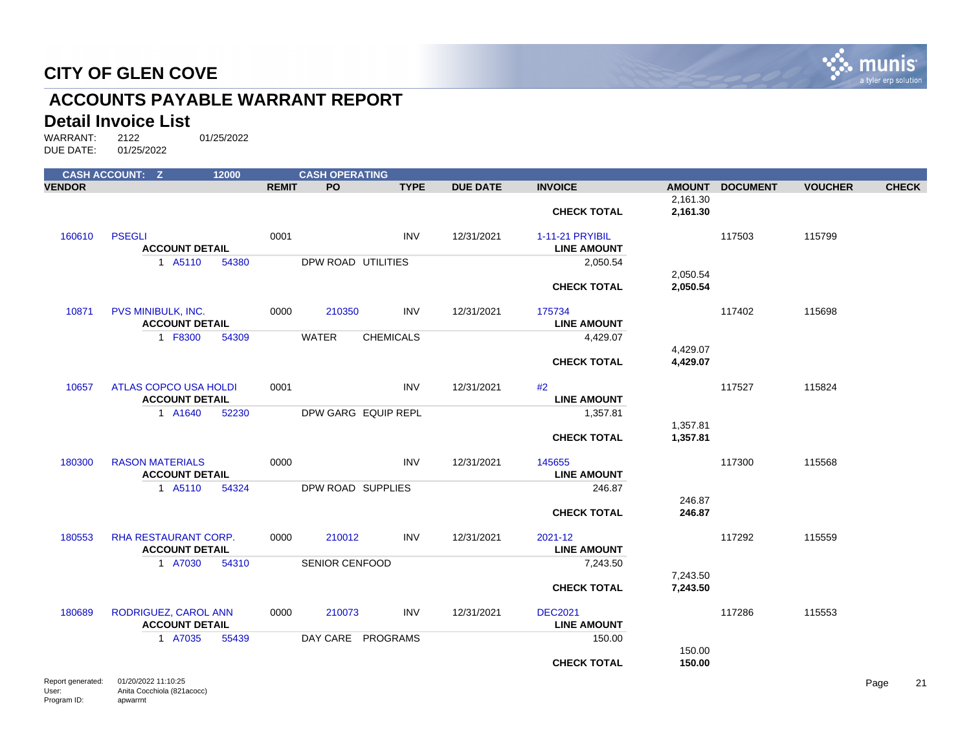

## **ACCOUNTS PAYABLE WARRANT REPORT**

#### **Detail Invoice List**

|               | <b>CASH ACCOUNT: Z</b>                                | 12000 |              | <b>CASH OPERATING</b> |                  |                 |                                       |                      |                 |                |              |
|---------------|-------------------------------------------------------|-------|--------------|-----------------------|------------------|-----------------|---------------------------------------|----------------------|-----------------|----------------|--------------|
| <b>VENDOR</b> |                                                       |       | <b>REMIT</b> | PO                    | <b>TYPE</b>      | <b>DUE DATE</b> | <b>INVOICE</b>                        | <b>AMOUNT</b>        | <b>DOCUMENT</b> | <b>VOUCHER</b> | <b>CHECK</b> |
|               |                                                       |       |              |                       |                  |                 | <b>CHECK TOTAL</b>                    | 2,161.30<br>2,161.30 |                 |                |              |
| 160610        | <b>PSEGLI</b><br><b>ACCOUNT DETAIL</b>                |       | 0001         |                       | <b>INV</b>       | 12/31/2021      | 1-11-21 PRYIBIL<br><b>LINE AMOUNT</b> |                      | 117503          | 115799         |              |
|               | 1 A5110                                               | 54380 |              | DPW ROAD UTILITIES    |                  |                 | 2,050.54                              |                      |                 |                |              |
|               |                                                       |       |              |                       |                  |                 | <b>CHECK TOTAL</b>                    | 2,050.54<br>2,050.54 |                 |                |              |
| 10871         | PVS MINIBULK, INC.<br><b>ACCOUNT DETAIL</b>           |       | 0000         | 210350                | <b>INV</b>       | 12/31/2021      | 175734<br><b>LINE AMOUNT</b>          |                      | 117402          | 115698         |              |
|               | 1 F8300                                               | 54309 |              | <b>WATER</b>          | <b>CHEMICALS</b> |                 | 4,429.07                              |                      |                 |                |              |
|               |                                                       |       |              |                       |                  |                 | <b>CHECK TOTAL</b>                    | 4,429.07<br>4,429.07 |                 |                |              |
| 10657         | <b>ATLAS COPCO USA HOLDI</b><br><b>ACCOUNT DETAIL</b> |       | 0001         |                       | <b>INV</b>       | 12/31/2021      | #2<br><b>LINE AMOUNT</b>              |                      | 117527          | 115824         |              |
|               | 1 A1640                                               | 52230 |              | DPW GARG EQUIP REPL   |                  |                 | 1,357.81                              |                      |                 |                |              |
|               |                                                       |       |              |                       |                  |                 | <b>CHECK TOTAL</b>                    | 1,357.81<br>1,357.81 |                 |                |              |
| 180300        | <b>RASON MATERIALS</b><br><b>ACCOUNT DETAIL</b>       |       | 0000         |                       | <b>INV</b>       | 12/31/2021      | 145655<br><b>LINE AMOUNT</b>          |                      | 117300          | 115568         |              |
|               | 1 A5110                                               | 54324 |              | DPW ROAD SUPPLIES     |                  |                 | 246.87                                |                      |                 |                |              |
|               |                                                       |       |              |                       |                  |                 | <b>CHECK TOTAL</b>                    | 246.87<br>246.87     |                 |                |              |
| 180553        | RHA RESTAURANT CORP.<br><b>ACCOUNT DETAIL</b>         |       | 0000         | 210012                | <b>INV</b>       | 12/31/2021      | 2021-12<br><b>LINE AMOUNT</b>         |                      | 117292          | 115559         |              |
|               | 1 A7030                                               | 54310 |              | <b>SENIOR CENFOOD</b> |                  |                 | 7,243.50                              |                      |                 |                |              |
|               |                                                       |       |              |                       |                  |                 | <b>CHECK TOTAL</b>                    | 7,243.50<br>7,243.50 |                 |                |              |
| 180689        | RODRIGUEZ, CAROL ANN<br><b>ACCOUNT DETAIL</b>         |       | 0000         | 210073                | <b>INV</b>       | 12/31/2021      | <b>DEC2021</b><br><b>LINE AMOUNT</b>  |                      | 117286          | 115553         |              |
|               | 1 A7035                                               | 55439 |              | DAY CARE PROGRAMS     |                  |                 | 150.00                                |                      |                 |                |              |
|               | <b>Department of 100/0000 11:10:05</b>                |       |              |                       |                  |                 | <b>CHECK TOTAL</b>                    | 150.00<br>150.00     |                 |                |              |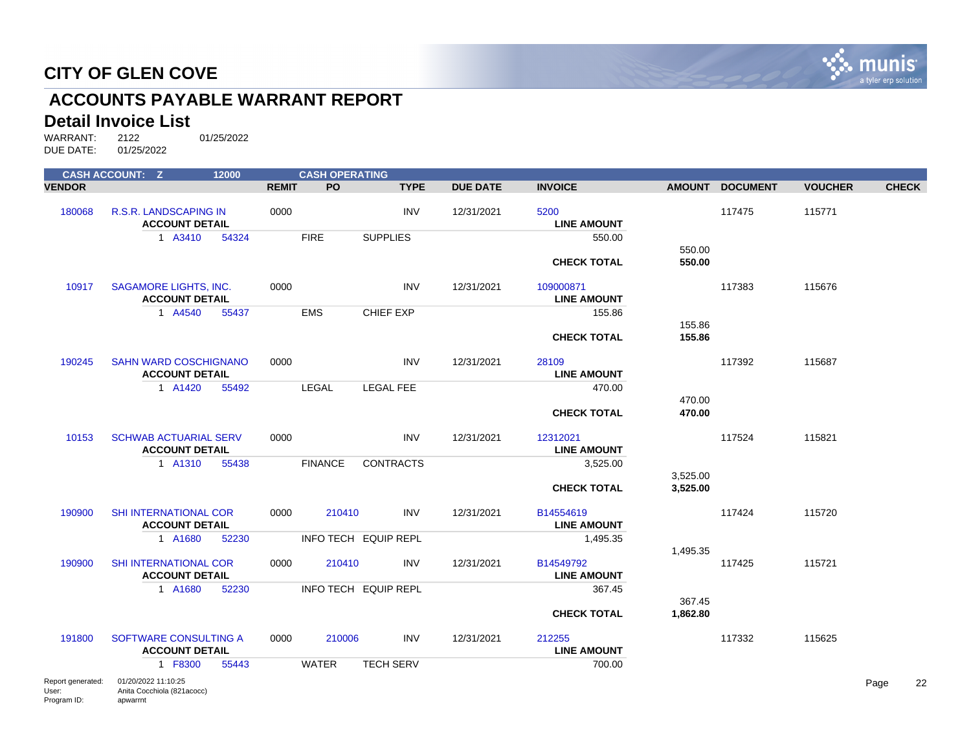

## **ACCOUNTS PAYABLE WARRANT REPORT**

### **Detail Invoice List**

|                                           | <b>CASH ACCOUNT: Z</b>                                        | 12000 |              | <b>CASH OPERATING</b> |                      |                 |                                 |                    |                 |                |              |    |
|-------------------------------------------|---------------------------------------------------------------|-------|--------------|-----------------------|----------------------|-----------------|---------------------------------|--------------------|-----------------|----------------|--------------|----|
| <b>VENDOR</b>                             |                                                               |       | <b>REMIT</b> | PO.                   | <b>TYPE</b>          | <b>DUE DATE</b> | <b>INVOICE</b>                  |                    | AMOUNT DOCUMENT | <b>VOUCHER</b> | <b>CHECK</b> |    |
| 180068                                    | R.S.R. LANDSCAPING IN<br><b>ACCOUNT DETAIL</b>                |       | 0000         |                       | <b>INV</b>           | 12/31/2021      | 5200<br><b>LINE AMOUNT</b>      |                    | 117475          | 115771         |              |    |
|                                           | 1 A3410                                                       | 54324 |              | <b>FIRE</b>           | <b>SUPPLIES</b>      |                 | 550.00<br><b>CHECK TOTAL</b>    | 550.00<br>550.00   |                 |                |              |    |
| 10917                                     | <b>SAGAMORE LIGHTS, INC.</b><br><b>ACCOUNT DETAIL</b>         |       | 0000         |                       | <b>INV</b>           | 12/31/2021      | 109000871<br><b>LINE AMOUNT</b> |                    | 117383          | 115676         |              |    |
|                                           | 1 A4540                                                       | 55437 |              | <b>EMS</b>            | CHIEF EXP            |                 | 155.86                          | 155.86             |                 |                |              |    |
|                                           |                                                               |       |              |                       |                      |                 | <b>CHECK TOTAL</b>              | 155.86             |                 |                |              |    |
| 190245                                    | <b>SAHN WARD COSCHIGNANO</b><br><b>ACCOUNT DETAIL</b>         |       | 0000         |                       | <b>INV</b>           | 12/31/2021      | 28109<br><b>LINE AMOUNT</b>     |                    | 117392          | 115687         |              |    |
|                                           | 1 A1420                                                       | 55492 |              | LEGAL                 | <b>LEGAL FEE</b>     |                 | 470.00<br><b>CHECK TOTAL</b>    | 470.00<br>470.00   |                 |                |              |    |
| 10153                                     | <b>SCHWAB ACTUARIAL SERV</b><br><b>ACCOUNT DETAIL</b>         |       | 0000         |                       | <b>INV</b>           | 12/31/2021      | 12312021<br><b>LINE AMOUNT</b>  |                    | 117524          | 115821         |              |    |
|                                           | 1 A1310                                                       | 55438 |              | <b>FINANCE</b>        | <b>CONTRACTS</b>     |                 | 3,525.00<br><b>CHECK TOTAL</b>  | 3,525.00           |                 |                |              |    |
|                                           |                                                               |       |              |                       |                      |                 |                                 | 3,525.00           |                 |                |              |    |
| 190900                                    | <b>SHI INTERNATIONAL COR</b><br><b>ACCOUNT DETAIL</b>         |       | 0000         | 210410                | <b>INV</b>           | 12/31/2021      | B14554619<br><b>LINE AMOUNT</b> |                    | 117424          | 115720         |              |    |
|                                           | 1 A1680                                                       | 52230 |              |                       | INFO TECH EQUIP REPL |                 | 1,495.35                        |                    |                 |                |              |    |
| 190900                                    | SHI INTERNATIONAL COR<br><b>ACCOUNT DETAIL</b>                |       | 0000         | 210410                | <b>INV</b>           | 12/31/2021      | B14549792<br><b>LINE AMOUNT</b> | 1,495.35           | 117425          | 115721         |              |    |
|                                           | 1 A1680                                                       | 52230 |              |                       | INFO TECH EQUIP REPL |                 | 367.45                          |                    |                 |                |              |    |
|                                           |                                                               |       |              |                       |                      |                 | <b>CHECK TOTAL</b>              | 367.45<br>1,862.80 |                 |                |              |    |
| 191800                                    | SOFTWARE CONSULTING A<br><b>ACCOUNT DETAIL</b>                |       | 0000         | 210006                | <b>INV</b>           | 12/31/2021      | 212255<br><b>LINE AMOUNT</b>    |                    | 117332          | 115625         |              |    |
|                                           | 1 F8300                                                       | 55443 |              | <b>WATER</b>          | <b>TECH SERV</b>     |                 | 700.00                          |                    |                 |                |              |    |
| Report generated:<br>User:<br>Program ID: | 01/20/2022 11:10:25<br>Anita Cocchiola (821acocc)<br>apwarrnt |       |              |                       |                      |                 |                                 |                    |                 |                | Page         | 22 |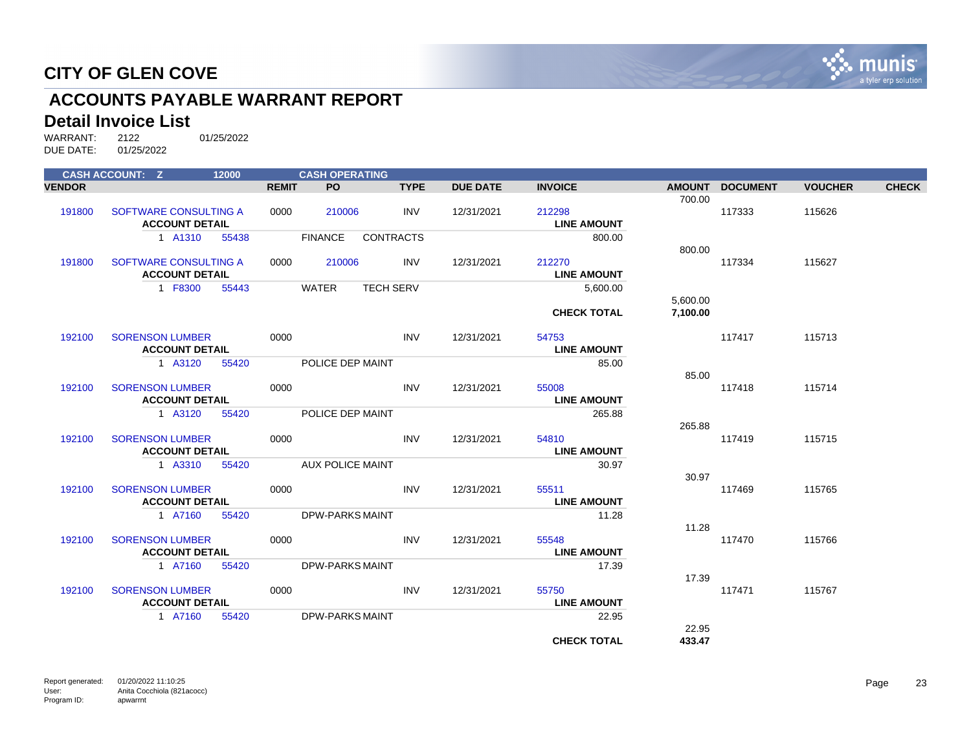

## **ACCOUNTS PAYABLE WARRANT REPORT**

#### **Detail Invoice List**

| <b>CASH ACCOUNT: Z</b> |                        | 12000 |              | <b>CASH OPERATING</b>   |                  |                 |                    |          |                 |                |              |
|------------------------|------------------------|-------|--------------|-------------------------|------------------|-----------------|--------------------|----------|-----------------|----------------|--------------|
| <b>VENDOR</b>          |                        |       | <b>REMIT</b> | <b>PO</b>               | <b>TYPE</b>      | <b>DUE DATE</b> | <b>INVOICE</b>     |          | AMOUNT DOCUMENT | <b>VOUCHER</b> | <b>CHECK</b> |
|                        |                        |       |              |                         |                  |                 |                    | 700.00   |                 |                |              |
| 191800                 | SOFTWARE CONSULTING A  |       | 0000         | 210006                  | <b>INV</b>       | 12/31/2021      | 212298             |          | 117333          | 115626         |              |
|                        | <b>ACCOUNT DETAIL</b>  |       |              |                         |                  |                 | <b>LINE AMOUNT</b> |          |                 |                |              |
|                        | 1 A1310                | 55438 |              | <b>FINANCE</b>          | <b>CONTRACTS</b> |                 | 800.00             |          |                 |                |              |
|                        |                        |       |              |                         |                  |                 |                    | 800.00   |                 |                |              |
| 191800                 | SOFTWARE CONSULTING A  |       | 0000         | 210006                  | INV              | 12/31/2021      | 212270             |          | 117334          | 115627         |              |
|                        | <b>ACCOUNT DETAIL</b>  |       |              |                         |                  |                 | <b>LINE AMOUNT</b> |          |                 |                |              |
|                        | 1 F8300                | 55443 |              | <b>WATER</b>            | <b>TECH SERV</b> |                 | 5,600.00           |          |                 |                |              |
|                        |                        |       |              |                         |                  |                 |                    | 5,600.00 |                 |                |              |
|                        |                        |       |              |                         |                  |                 | <b>CHECK TOTAL</b> | 7.100.00 |                 |                |              |
| 192100                 | <b>SORENSON LUMBER</b> |       | 0000         |                         | <b>INV</b>       | 12/31/2021      | 54753              |          | 117417          | 115713         |              |
|                        | <b>ACCOUNT DETAIL</b>  |       |              |                         |                  |                 | <b>LINE AMOUNT</b> |          |                 |                |              |
|                        | 1 A3120                | 55420 |              | POLICE DEP MAINT        |                  |                 | 85.00              |          |                 |                |              |
|                        |                        |       |              |                         |                  |                 |                    | 85.00    |                 |                |              |
| 192100                 | <b>SORENSON LUMBER</b> |       | 0000         |                         | <b>INV</b>       | 12/31/2021      | 55008              |          | 117418          | 115714         |              |
|                        | <b>ACCOUNT DETAIL</b>  |       |              |                         |                  |                 | <b>LINE AMOUNT</b> |          |                 |                |              |
|                        | 1 A3120                | 55420 |              | POLICE DEP MAINT        |                  |                 | 265.88             |          |                 |                |              |
|                        |                        |       |              |                         |                  |                 |                    | 265.88   |                 |                |              |
| 192100                 | <b>SORENSON LUMBER</b> |       | 0000         |                         | <b>INV</b>       | 12/31/2021      | 54810              |          | 117419          | 115715         |              |
|                        | <b>ACCOUNT DETAIL</b>  |       |              |                         |                  |                 | <b>LINE AMOUNT</b> |          |                 |                |              |
|                        | 1 A3310                | 55420 |              | <b>AUX POLICE MAINT</b> |                  |                 | 30.97              |          |                 |                |              |
|                        |                        |       |              |                         |                  |                 |                    | 30.97    |                 |                |              |
| 192100                 | <b>SORENSON LUMBER</b> |       | 0000         |                         | <b>INV</b>       | 12/31/2021      | 55511              |          | 117469          | 115765         |              |
|                        | <b>ACCOUNT DETAIL</b>  |       |              |                         |                  |                 | <b>LINE AMOUNT</b> |          |                 |                |              |
|                        | 1 A7160                | 55420 |              | <b>DPW-PARKS MAINT</b>  |                  |                 | 11.28              |          |                 |                |              |
|                        |                        |       |              |                         |                  |                 |                    | 11.28    |                 |                |              |
| 192100                 | <b>SORENSON LUMBER</b> |       | 0000         |                         | <b>INV</b>       | 12/31/2021      | 55548              |          | 117470          | 115766         |              |
|                        | <b>ACCOUNT DETAIL</b>  |       |              |                         |                  |                 | <b>LINE AMOUNT</b> |          |                 |                |              |
|                        | 1 A7160                | 55420 |              | <b>DPW-PARKS MAINT</b>  |                  |                 | 17.39              |          |                 |                |              |
|                        |                        |       |              |                         |                  |                 |                    | 17.39    |                 |                |              |
| 192100                 | <b>SORENSON LUMBER</b> |       | 0000         |                         | <b>INV</b>       | 12/31/2021      | 55750              |          | 117471          | 115767         |              |
|                        | <b>ACCOUNT DETAIL</b>  |       |              |                         |                  |                 | <b>LINE AMOUNT</b> |          |                 |                |              |
|                        | 1 A7160                | 55420 |              | <b>DPW-PARKS MAINT</b>  |                  |                 | 22.95              |          |                 |                |              |
|                        |                        |       |              |                         |                  |                 |                    | 22.95    |                 |                |              |
|                        |                        |       |              |                         |                  |                 | <b>CHECK TOTAL</b> | 433.47   |                 |                |              |
|                        |                        |       |              |                         |                  |                 |                    |          |                 |                |              |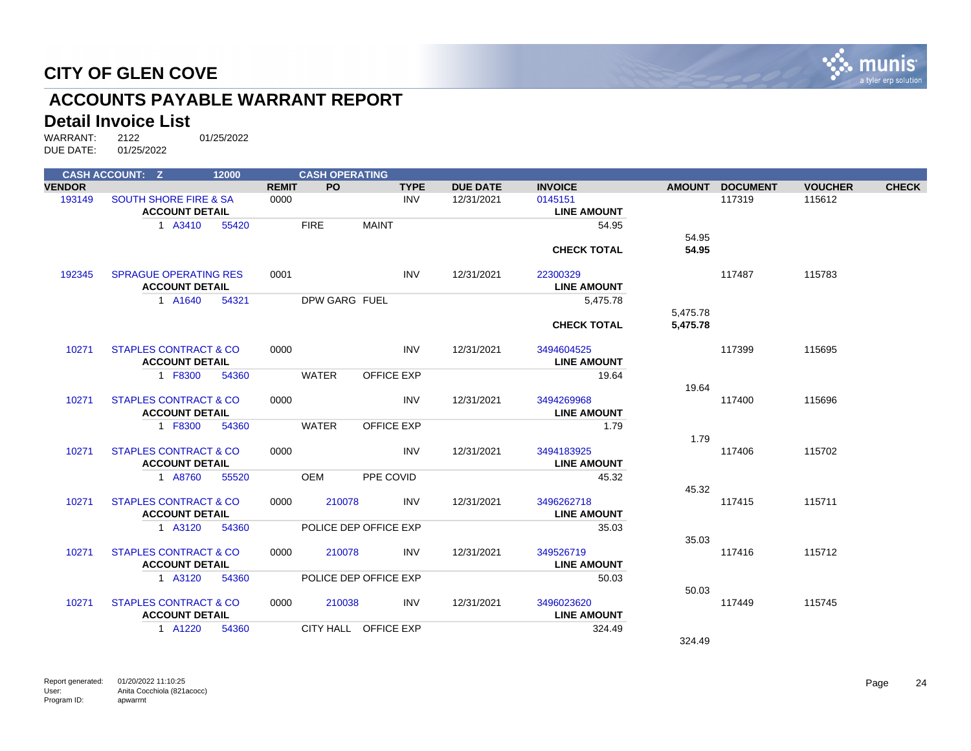

## **ACCOUNTS PAYABLE WARRANT REPORT**

#### **Detail Invoice List**

|               | <b>CASH ACCOUNT: Z</b>           | 12000 |              | <b>CASH OPERATING</b> |                       |                 |                    |          |                 |                |              |
|---------------|----------------------------------|-------|--------------|-----------------------|-----------------------|-----------------|--------------------|----------|-----------------|----------------|--------------|
| <b>VENDOR</b> |                                  |       | <b>REMIT</b> | PO.                   | <b>TYPE</b>           | <b>DUE DATE</b> | <b>INVOICE</b>     |          | AMOUNT DOCUMENT | <b>VOUCHER</b> | <b>CHECK</b> |
| 193149        | <b>SOUTH SHORE FIRE &amp; SA</b> |       | 0000         |                       | <b>INV</b>            | 12/31/2021      | 0145151            |          | 117319          | 115612         |              |
|               | <b>ACCOUNT DETAIL</b>            |       |              |                       |                       |                 | <b>LINE AMOUNT</b> |          |                 |                |              |
|               | 1 A3410                          | 55420 |              | <b>FIRE</b>           | <b>MAINT</b>          |                 | 54.95              |          |                 |                |              |
|               |                                  |       |              |                       |                       |                 |                    | 54.95    |                 |                |              |
|               |                                  |       |              |                       |                       |                 | <b>CHECK TOTAL</b> | 54.95    |                 |                |              |
| 192345        | <b>SPRAGUE OPERATING RES</b>     |       | 0001         |                       | <b>INV</b>            | 12/31/2021      | 22300329           |          | 117487          | 115783         |              |
|               | <b>ACCOUNT DETAIL</b>            |       |              |                       |                       |                 | <b>LINE AMOUNT</b> |          |                 |                |              |
|               | 1 A1640                          | 54321 |              | DPW GARG FUEL         |                       |                 | 5,475.78           |          |                 |                |              |
|               |                                  |       |              |                       |                       |                 |                    | 5,475.78 |                 |                |              |
|               |                                  |       |              |                       |                       |                 | <b>CHECK TOTAL</b> | 5,475.78 |                 |                |              |
| 10271         | <b>STAPLES CONTRACT &amp; CO</b> |       | 0000         |                       | <b>INV</b>            | 12/31/2021      | 3494604525         |          | 117399          | 115695         |              |
|               | <b>ACCOUNT DETAIL</b>            |       |              |                       |                       |                 | <b>LINE AMOUNT</b> |          |                 |                |              |
|               | 1 F8300                          | 54360 |              | <b>WATER</b>          | <b>OFFICE EXP</b>     |                 | 19.64              | 19.64    |                 |                |              |
| 10271         | <b>STAPLES CONTRACT &amp; CO</b> |       | 0000         |                       | <b>INV</b>            | 12/31/2021      | 3494269968         |          | 117400          | 115696         |              |
|               | <b>ACCOUNT DETAIL</b>            |       |              |                       |                       |                 | <b>LINE AMOUNT</b> |          |                 |                |              |
|               | 1 F8300                          | 54360 |              | WATER                 | OFFICE EXP            |                 | 1.79               |          |                 |                |              |
|               |                                  |       |              |                       |                       |                 |                    | 1.79     |                 |                |              |
| 10271         | <b>STAPLES CONTRACT &amp; CO</b> |       | 0000         |                       | <b>INV</b>            | 12/31/2021      | 3494183925         |          | 117406          | 115702         |              |
|               | <b>ACCOUNT DETAIL</b>            |       |              |                       |                       |                 | <b>LINE AMOUNT</b> |          |                 |                |              |
|               | 1 A8760                          | 55520 |              | <b>OEM</b>            | PPE COVID             |                 | 45.32              |          |                 |                |              |
|               |                                  |       |              |                       |                       |                 |                    | 45.32    |                 |                |              |
| 10271         | <b>STAPLES CONTRACT &amp; CO</b> |       | 0000         | 210078                | <b>INV</b>            | 12/31/2021      | 3496262718         |          | 117415          | 115711         |              |
|               | <b>ACCOUNT DETAIL</b>            |       |              |                       |                       |                 | <b>LINE AMOUNT</b> |          |                 |                |              |
|               | 1 A3120                          | 54360 |              |                       | POLICE DEP OFFICE EXP |                 | 35.03              |          |                 |                |              |
|               |                                  |       |              |                       |                       |                 |                    | 35.03    |                 |                |              |
| 10271         | <b>STAPLES CONTRACT &amp; CO</b> |       | 0000         | 210078                | <b>INV</b>            | 12/31/2021      | 349526719          |          | 117416          | 115712         |              |
|               | <b>ACCOUNT DETAIL</b>            |       |              |                       |                       |                 | <b>LINE AMOUNT</b> |          |                 |                |              |
|               | 1 A3120                          | 54360 |              |                       | POLICE DEP OFFICE EXP |                 | 50.03              |          |                 |                |              |
|               |                                  |       |              |                       |                       |                 |                    | 50.03    |                 |                |              |
| 10271         | <b>STAPLES CONTRACT &amp; CO</b> |       | 0000         | 210038                | <b>INV</b>            | 12/31/2021      | 3496023620         |          | 117449          | 115745         |              |
|               | <b>ACCOUNT DETAIL</b>            |       |              |                       |                       |                 | <b>LINE AMOUNT</b> |          |                 |                |              |
|               | 1 A1220                          | 54360 |              |                       | CITY HALL OFFICE EXP  |                 | 324.49             |          |                 |                |              |
|               |                                  |       |              |                       |                       |                 |                    | 324.49   |                 |                |              |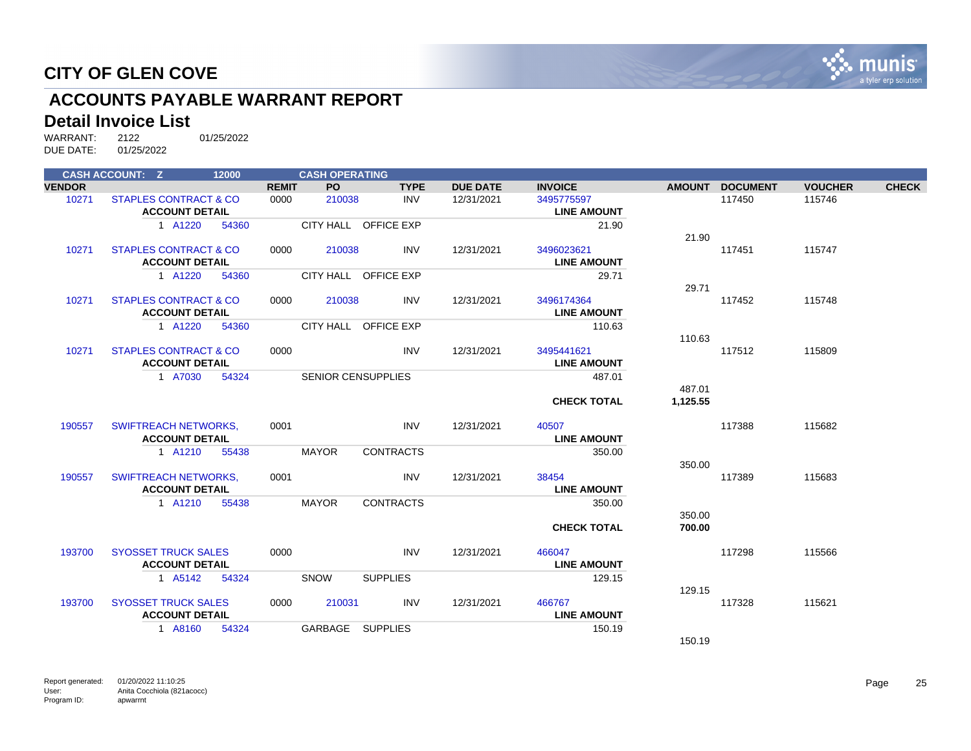

## **ACCOUNTS PAYABLE WARRANT REPORT**

#### **Detail Invoice List**

|               | <b>CASH ACCOUNT: Z</b>           | 12000 |              | <b>CASH OPERATING</b> |                           |                 |                    |          |                 |                |              |
|---------------|----------------------------------|-------|--------------|-----------------------|---------------------------|-----------------|--------------------|----------|-----------------|----------------|--------------|
| <b>VENDOR</b> |                                  |       | <b>REMIT</b> | <b>PO</b>             | <b>TYPE</b>               | <b>DUE DATE</b> | <b>INVOICE</b>     |          | AMOUNT DOCUMENT | <b>VOUCHER</b> | <b>CHECK</b> |
| 10271         | STAPLES CONTRACT & CO            |       | 0000         | 210038                | <b>INV</b>                | 12/31/2021      | 3495775597         |          | 117450          | 115746         |              |
|               | <b>ACCOUNT DETAIL</b>            |       |              |                       |                           |                 | <b>LINE AMOUNT</b> |          |                 |                |              |
|               | 1 A1220                          | 54360 |              |                       | CITY HALL OFFICE EXP      |                 | 21.90              |          |                 |                |              |
|               |                                  |       |              |                       |                           |                 |                    | 21.90    |                 |                |              |
| 10271         | <b>STAPLES CONTRACT &amp; CO</b> |       | 0000         | 210038                | <b>INV</b>                | 12/31/2021      | 3496023621         |          | 117451          | 115747         |              |
|               | <b>ACCOUNT DETAIL</b>            |       |              |                       |                           |                 | <b>LINE AMOUNT</b> |          |                 |                |              |
|               | 1 A1220                          | 54360 |              |                       | CITY HALL OFFICE EXP      |                 | 29.71              |          |                 |                |              |
|               |                                  |       |              |                       |                           |                 |                    | 29.71    |                 |                |              |
| 10271         | <b>STAPLES CONTRACT &amp; CO</b> |       | 0000         | 210038                | INV                       | 12/31/2021      | 3496174364         |          | 117452          | 115748         |              |
|               | <b>ACCOUNT DETAIL</b>            |       |              |                       |                           |                 | <b>LINE AMOUNT</b> |          |                 |                |              |
|               | 1 A1220                          | 54360 |              |                       | CITY HALL OFFICE EXP      |                 | 110.63             |          |                 |                |              |
|               |                                  |       |              |                       |                           |                 |                    | 110.63   |                 |                |              |
| 10271         | <b>STAPLES CONTRACT &amp; CO</b> |       | 0000         |                       | <b>INV</b>                | 12/31/2021      | 3495441621         |          | 117512          | 115809         |              |
|               | <b>ACCOUNT DETAIL</b>            |       |              |                       |                           |                 | <b>LINE AMOUNT</b> |          |                 |                |              |
|               | 1 A7030                          | 54324 |              |                       | <b>SENIOR CENSUPPLIES</b> |                 | 487.01             |          |                 |                |              |
|               |                                  |       |              |                       |                           |                 |                    | 487.01   |                 |                |              |
|               |                                  |       |              |                       |                           |                 | <b>CHECK TOTAL</b> | 1,125.55 |                 |                |              |
| 190557        | <b>SWIFTREACH NETWORKS,</b>      |       | 0001         |                       | <b>INV</b>                | 12/31/2021      | 40507              |          | 117388          | 115682         |              |
|               | <b>ACCOUNT DETAIL</b>            |       |              |                       |                           |                 | <b>LINE AMOUNT</b> |          |                 |                |              |
|               | 1 A1210                          | 55438 |              | <b>MAYOR</b>          | <b>CONTRACTS</b>          |                 | 350.00             |          |                 |                |              |
|               |                                  |       |              |                       |                           |                 |                    | 350.00   |                 |                |              |
| 190557        | <b>SWIFTREACH NETWORKS.</b>      |       | 0001         |                       | <b>INV</b>                | 12/31/2021      | 38454              |          | 117389          | 115683         |              |
|               | <b>ACCOUNT DETAIL</b>            |       |              |                       |                           |                 | <b>LINE AMOUNT</b> |          |                 |                |              |
|               | 1 A1210                          | 55438 |              | <b>MAYOR</b>          | <b>CONTRACTS</b>          |                 | 350.00             |          |                 |                |              |
|               |                                  |       |              |                       |                           |                 |                    | 350.00   |                 |                |              |
|               |                                  |       |              |                       |                           |                 | <b>CHECK TOTAL</b> | 700.00   |                 |                |              |
| 193700        | <b>SYOSSET TRUCK SALES</b>       |       | 0000         |                       | <b>INV</b>                | 12/31/2021      | 466047             |          | 117298          | 115566         |              |
|               | <b>ACCOUNT DETAIL</b>            |       |              |                       |                           |                 | <b>LINE AMOUNT</b> |          |                 |                |              |
|               | 1 A5142                          | 54324 |              | SNOW                  | <b>SUPPLIES</b>           |                 | 129.15             |          |                 |                |              |
|               |                                  |       |              |                       |                           |                 |                    | 129.15   |                 |                |              |
| 193700        | <b>SYOSSET TRUCK SALES</b>       |       | 0000         | 210031                | <b>INV</b>                | 12/31/2021      | 466767             |          | 117328          | 115621         |              |
|               | <b>ACCOUNT DETAIL</b>            |       |              |                       |                           |                 | <b>LINE AMOUNT</b> |          |                 |                |              |
|               | 1 A8160                          | 54324 |              | GARBAGE               | <b>SUPPLIES</b>           |                 | 150.19             |          |                 |                |              |
|               |                                  |       |              |                       |                           |                 |                    | 150.19   |                 |                |              |
|               |                                  |       |              |                       |                           |                 |                    |          |                 |                |              |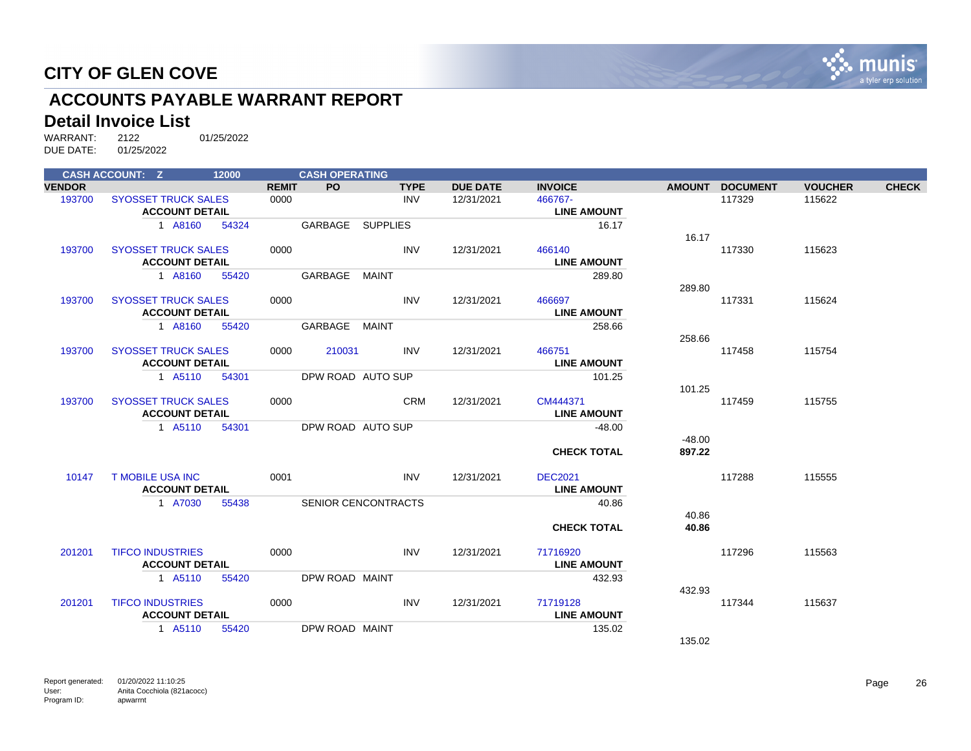

## **ACCOUNTS PAYABLE WARRANT REPORT**

#### **Detail Invoice List**

|               | <b>CASH ACCOUNT: Z</b>     | 12000 |              | <b>CASH OPERATING</b> |                            |                 |                    |               |                 |                |              |
|---------------|----------------------------|-------|--------------|-----------------------|----------------------------|-----------------|--------------------|---------------|-----------------|----------------|--------------|
| <b>VENDOR</b> |                            |       | <b>REMIT</b> | <b>PO</b>             | <b>TYPE</b>                | <b>DUE DATE</b> | <b>INVOICE</b>     | <b>AMOUNT</b> | <b>DOCUMENT</b> | <b>VOUCHER</b> | <b>CHECK</b> |
| 193700        | <b>SYOSSET TRUCK SALES</b> |       | 0000         |                       | <b>INV</b>                 | 12/31/2021      | 466767-            |               | 117329          | 115622         |              |
|               | <b>ACCOUNT DETAIL</b>      |       |              |                       |                            |                 | <b>LINE AMOUNT</b> |               |                 |                |              |
|               | 1 A8160                    | 54324 |              | GARBAGE               | <b>SUPPLIES</b>            |                 | 16.17              |               |                 |                |              |
|               |                            |       |              |                       |                            |                 |                    | 16.17         |                 |                |              |
| 193700        | <b>SYOSSET TRUCK SALES</b> |       | 0000         |                       | <b>INV</b>                 | 12/31/2021      | 466140             |               | 117330          | 115623         |              |
|               | <b>ACCOUNT DETAIL</b>      |       |              |                       |                            |                 | <b>LINE AMOUNT</b> |               |                 |                |              |
|               | 1 A8160                    | 55420 |              | GARBAGE               | MAINT                      |                 | 289.80             |               |                 |                |              |
|               |                            |       |              |                       |                            |                 |                    | 289.80        |                 |                |              |
| 193700        | <b>SYOSSET TRUCK SALES</b> |       | 0000         |                       | <b>INV</b>                 | 12/31/2021      | 466697             |               | 117331          | 115624         |              |
|               | <b>ACCOUNT DETAIL</b>      |       |              |                       |                            |                 | <b>LINE AMOUNT</b> |               |                 |                |              |
|               | 1 A8160                    | 55420 |              | GARBAGE MAINT         |                            |                 | 258.66             |               |                 |                |              |
|               |                            |       |              |                       |                            |                 |                    | 258.66        |                 |                |              |
| 193700        | <b>SYOSSET TRUCK SALES</b> |       | 0000         | 210031                | <b>INV</b>                 | 12/31/2021      | 466751             |               | 117458          | 115754         |              |
|               | <b>ACCOUNT DETAIL</b>      |       |              |                       |                            |                 | <b>LINE AMOUNT</b> |               |                 |                |              |
|               | 1 A5110                    | 54301 |              |                       | DPW ROAD AUTO SUP          |                 | 101.25             |               |                 |                |              |
|               |                            |       |              |                       |                            |                 |                    | 101.25        |                 |                |              |
| 193700        | <b>SYOSSET TRUCK SALES</b> |       | 0000         |                       | <b>CRM</b>                 | 12/31/2021      | CM444371           |               | 117459          | 115755         |              |
|               | <b>ACCOUNT DETAIL</b>      |       |              |                       |                            |                 | <b>LINE AMOUNT</b> |               |                 |                |              |
|               | 1 A5110                    | 54301 |              |                       | DPW ROAD AUTO SUP          |                 | $-48.00$           |               |                 |                |              |
|               |                            |       |              |                       |                            |                 |                    | $-48.00$      |                 |                |              |
|               |                            |       |              |                       |                            |                 | <b>CHECK TOTAL</b> | 897.22        |                 |                |              |
| 10147         | <b>T MOBILE USA INC</b>    |       | 0001         |                       | <b>INV</b>                 | 12/31/2021      | <b>DEC2021</b>     |               | 117288          | 115555         |              |
|               | <b>ACCOUNT DETAIL</b>      |       |              |                       |                            |                 | <b>LINE AMOUNT</b> |               |                 |                |              |
|               | 1 A7030                    | 55438 |              |                       | <b>SENIOR CENCONTRACTS</b> |                 | 40.86              |               |                 |                |              |
|               |                            |       |              |                       |                            |                 |                    | 40.86         |                 |                |              |
|               |                            |       |              |                       |                            |                 | <b>CHECK TOTAL</b> | 40.86         |                 |                |              |
| 201201        | <b>TIFCO INDUSTRIES</b>    |       | 0000         |                       | <b>INV</b>                 | 12/31/2021      | 71716920           |               | 117296          | 115563         |              |
|               | <b>ACCOUNT DETAIL</b>      |       |              |                       |                            |                 | <b>LINE AMOUNT</b> |               |                 |                |              |
|               | 1 A5110                    | 55420 |              | DPW ROAD MAINT        |                            |                 | 432.93             |               |                 |                |              |
|               |                            |       |              |                       |                            |                 |                    | 432.93        |                 |                |              |
| 201201        | <b>TIFCO INDUSTRIES</b>    |       | 0000         |                       | <b>INV</b>                 | 12/31/2021      | 71719128           |               | 117344          | 115637         |              |
|               | <b>ACCOUNT DETAIL</b>      |       |              |                       |                            |                 | <b>LINE AMOUNT</b> |               |                 |                |              |
|               | 1 A5110                    | 55420 |              | DPW ROAD MAINT        |                            |                 | 135.02             |               |                 |                |              |
|               |                            |       |              |                       |                            |                 |                    | 135.02        |                 |                |              |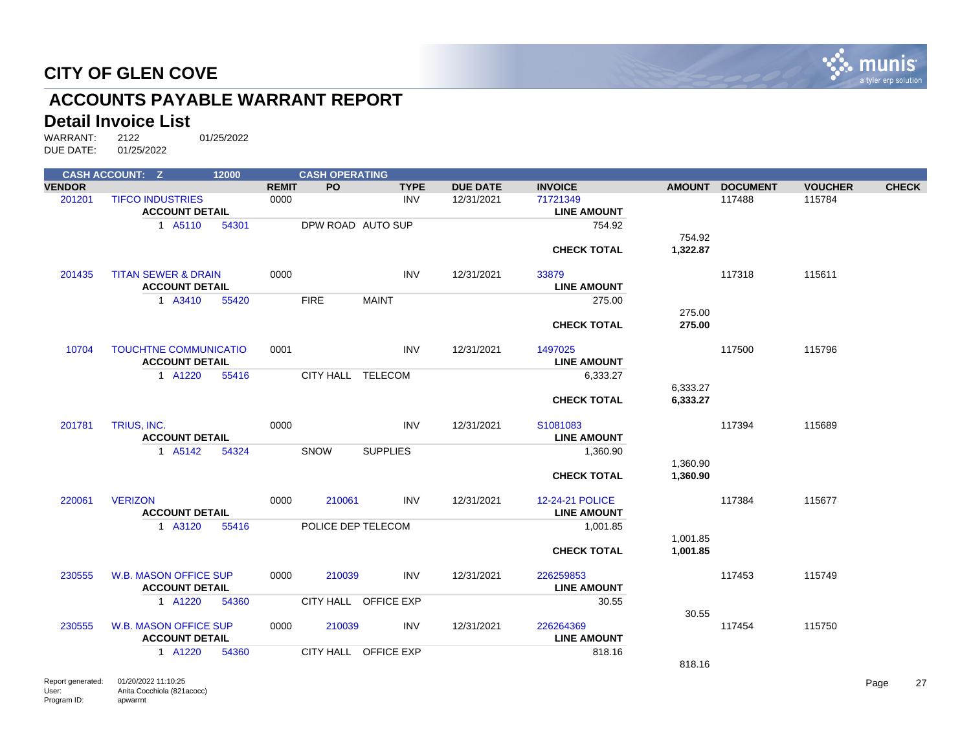

## **ACCOUNTS PAYABLE WARRANT REPORT**

#### **Detail Invoice List**

|               | <b>CASH ACCOUNT: Z</b>         | 12000 |              | <b>CASH OPERATING</b> |                      |                 |                    |               |                 |                |              |
|---------------|--------------------------------|-------|--------------|-----------------------|----------------------|-----------------|--------------------|---------------|-----------------|----------------|--------------|
| <b>VENDOR</b> |                                |       | <b>REMIT</b> | <b>PO</b>             | <b>TYPE</b>          | <b>DUE DATE</b> | <b>INVOICE</b>     | <b>AMOUNT</b> | <b>DOCUMENT</b> | <b>VOUCHER</b> | <b>CHECK</b> |
| 201201        | <b>TIFCO INDUSTRIES</b>        |       | 0000         |                       | <b>INV</b>           | 12/31/2021      | 71721349           |               | 117488          | 115784         |              |
|               | <b>ACCOUNT DETAIL</b>          |       |              |                       |                      |                 | <b>LINE AMOUNT</b> |               |                 |                |              |
|               | 1 A5110                        | 54301 |              | DPW ROAD AUTO SUP     |                      |                 | 754.92             |               |                 |                |              |
|               |                                |       |              |                       |                      |                 |                    | 754.92        |                 |                |              |
|               |                                |       |              |                       |                      |                 | <b>CHECK TOTAL</b> | 1,322.87      |                 |                |              |
|               |                                |       |              |                       |                      |                 |                    |               |                 |                |              |
| 201435        | <b>TITAN SEWER &amp; DRAIN</b> |       | 0000         |                       | <b>INV</b>           | 12/31/2021      | 33879              |               | 117318          | 115611         |              |
|               | <b>ACCOUNT DETAIL</b>          |       |              |                       |                      |                 | <b>LINE AMOUNT</b> |               |                 |                |              |
|               | 1 A3410                        | 55420 |              | <b>FIRE</b>           | <b>MAINT</b>         |                 | 275.00             |               |                 |                |              |
|               |                                |       |              |                       |                      |                 |                    | 275.00        |                 |                |              |
|               |                                |       |              |                       |                      |                 | <b>CHECK TOTAL</b> | 275.00        |                 |                |              |
|               |                                |       |              |                       |                      |                 |                    |               |                 |                |              |
| 10704         | <b>TOUCHTNE COMMUNICATIO</b>   |       | 0001         |                       | <b>INV</b>           | 12/31/2021      | 1497025            |               | 117500          | 115796         |              |
|               | <b>ACCOUNT DETAIL</b>          |       |              |                       |                      |                 | <b>LINE AMOUNT</b> |               |                 |                |              |
|               | 1 A1220                        | 55416 |              | CITY HALL TELECOM     |                      |                 | 6,333.27           |               |                 |                |              |
|               |                                |       |              |                       |                      |                 |                    | 6,333.27      |                 |                |              |
|               |                                |       |              |                       |                      |                 | <b>CHECK TOTAL</b> | 6,333.27      |                 |                |              |
|               |                                |       |              |                       |                      |                 |                    |               |                 |                |              |
| 201781        | TRIUS, INC.                    |       | 0000         |                       | <b>INV</b>           | 12/31/2021      | S1081083           |               | 117394          | 115689         |              |
|               | <b>ACCOUNT DETAIL</b>          |       |              |                       |                      |                 | <b>LINE AMOUNT</b> |               |                 |                |              |
|               | 1 A5142                        | 54324 |              | SNOW                  | <b>SUPPLIES</b>      |                 | 1,360.90           |               |                 |                |              |
|               |                                |       |              |                       |                      |                 |                    | 1,360.90      |                 |                |              |
|               |                                |       |              |                       |                      |                 | <b>CHECK TOTAL</b> | 1,360.90      |                 |                |              |
|               |                                |       |              |                       |                      |                 |                    |               |                 |                |              |
| 220061        | <b>VERIZON</b>                 |       | 0000         | 210061                | <b>INV</b>           | 12/31/2021      | 12-24-21 POLICE    |               | 117384          | 115677         |              |
|               | <b>ACCOUNT DETAIL</b>          |       |              |                       |                      |                 | <b>LINE AMOUNT</b> |               |                 |                |              |
|               | 1 A3120                        | 55416 |              | POLICE DEP TELECOM    |                      |                 | 1,001.85           |               |                 |                |              |
|               |                                |       |              |                       |                      |                 |                    | 1,001.85      |                 |                |              |
|               |                                |       |              |                       |                      |                 | <b>CHECK TOTAL</b> | 1,001.85      |                 |                |              |
|               |                                |       |              |                       |                      |                 |                    |               |                 |                |              |
| 230555        | <b>W.B. MASON OFFICE SUP</b>   |       | 0000         | 210039                | <b>INV</b>           | 12/31/2021      | 226259853          |               | 117453          | 115749         |              |
|               | <b>ACCOUNT DETAIL</b>          |       |              |                       |                      |                 | <b>LINE AMOUNT</b> |               |                 |                |              |
|               | 1 A1220                        | 54360 |              |                       | CITY HALL OFFICE EXP |                 | 30.55              |               |                 |                |              |
|               |                                |       |              |                       |                      |                 |                    | 30.55         |                 |                |              |
| 230555        | <b>W.B. MASON OFFICE SUP</b>   |       | 0000         | 210039                | <b>INV</b>           | 12/31/2021      | 226264369          |               | 117454          | 115750         |              |
|               | <b>ACCOUNT DETAIL</b>          |       |              |                       |                      |                 | <b>LINE AMOUNT</b> |               |                 |                |              |
|               | 1 A1220                        | 54360 |              |                       | CITY HALL OFFICE EXP |                 | 818.16             |               |                 |                |              |
|               |                                |       |              |                       |                      |                 |                    | 818.16        |                 |                |              |
|               |                                |       |              |                       |                      |                 |                    |               |                 |                |              |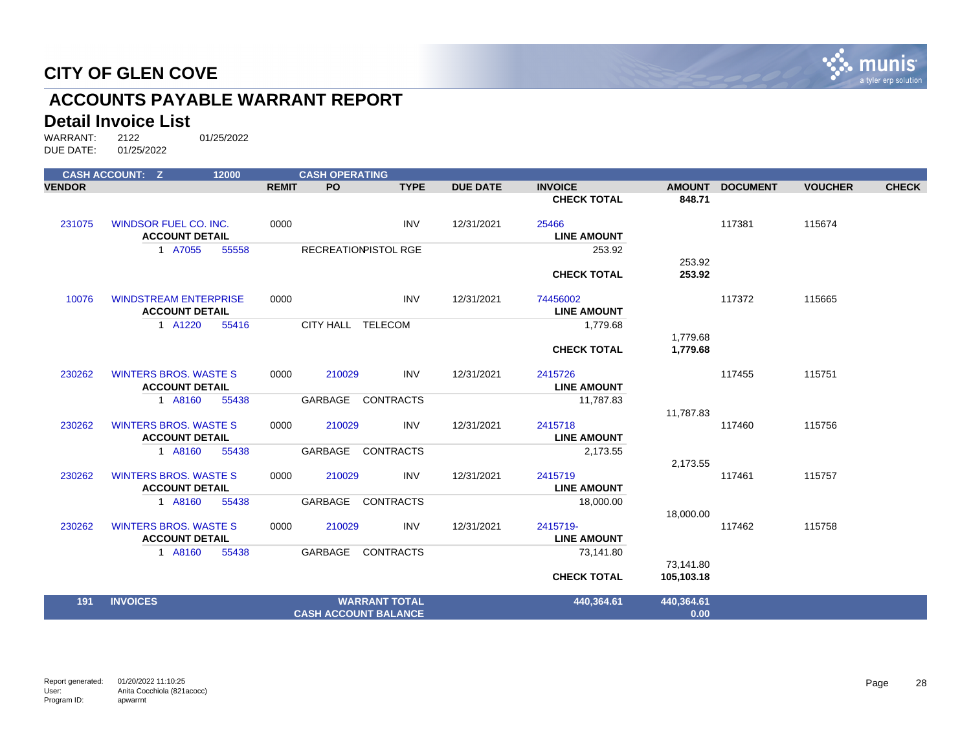

## **ACCOUNTS PAYABLE WARRANT REPORT**

#### **Detail Invoice List**

|               | <b>CASH ACCOUNT: Z</b>                                | 12000 |              | <b>CASH OPERATING</b> |                             |                 |                               |            |                 |                |              |
|---------------|-------------------------------------------------------|-------|--------------|-----------------------|-----------------------------|-----------------|-------------------------------|------------|-----------------|----------------|--------------|
| <b>VENDOR</b> |                                                       |       | <b>REMIT</b> | PO                    | <b>TYPE</b>                 | <b>DUE DATE</b> | <b>INVOICE</b>                |            | AMOUNT DOCUMENT | <b>VOUCHER</b> | <b>CHECK</b> |
|               |                                                       |       |              |                       |                             |                 | <b>CHECK TOTAL</b>            | 848.71     |                 |                |              |
| 231075        | <b>WINDSOR FUEL CO. INC.</b>                          |       | 0000         |                       | <b>INV</b>                  | 12/31/2021      | 25466                         |            | 117381          | 115674         |              |
|               | <b>ACCOUNT DETAIL</b>                                 |       |              |                       |                             |                 | <b>LINE AMOUNT</b>            |            |                 |                |              |
|               | 1 A7055                                               | 55558 |              |                       | <b>RECREATIONPISTOL RGE</b> |                 | 253.92                        |            |                 |                |              |
|               |                                                       |       |              |                       |                             |                 |                               | 253.92     |                 |                |              |
|               |                                                       |       |              |                       |                             |                 | <b>CHECK TOTAL</b>            | 253.92     |                 |                |              |
| 10076         | <b>WINDSTREAM ENTERPRISE</b>                          |       | 0000         |                       | <b>INV</b>                  | 12/31/2021      | 74456002                      |            | 117372          | 115665         |              |
|               | <b>ACCOUNT DETAIL</b>                                 |       |              |                       |                             |                 | <b>LINE AMOUNT</b>            |            |                 |                |              |
|               | 1 A1220                                               | 55416 |              | CITY HALL TELECOM     |                             |                 | 1,779.68                      |            |                 |                |              |
|               |                                                       |       |              |                       |                             |                 |                               | 1,779.68   |                 |                |              |
|               |                                                       |       |              |                       |                             |                 | <b>CHECK TOTAL</b>            | 1,779.68   |                 |                |              |
| 230262        | <b>WINTERS BROS. WASTE S</b>                          |       | 0000         | 210029                | <b>INV</b>                  | 12/31/2021      | 2415726                       |            | 117455          | 115751         |              |
|               | <b>ACCOUNT DETAIL</b>                                 |       |              |                       |                             |                 | <b>LINE AMOUNT</b>            |            |                 |                |              |
|               | 1 A8160                                               | 55438 |              | GARBAGE               | <b>CONTRACTS</b>            |                 | 11,787.83                     |            |                 |                |              |
|               |                                                       |       |              |                       |                             |                 |                               | 11,787.83  |                 |                |              |
| 230262        | <b>WINTERS BROS, WASTE S</b><br><b>ACCOUNT DETAIL</b> |       | 0000         | 210029                | <b>INV</b>                  | 12/31/2021      | 2415718<br><b>LINE AMOUNT</b> |            | 117460          | 115756         |              |
|               |                                                       |       |              |                       | <b>CONTRACTS</b>            |                 |                               |            |                 |                |              |
|               | 1 A8160                                               | 55438 |              | GARBAGE               |                             |                 | 2,173.55                      | 2,173.55   |                 |                |              |
| 230262        | <b>WINTERS BROS, WASTE S</b>                          |       | 0000         | 210029                | <b>INV</b>                  | 12/31/2021      | 2415719                       |            | 117461          | 115757         |              |
|               | <b>ACCOUNT DETAIL</b>                                 |       |              |                       |                             |                 | <b>LINE AMOUNT</b>            |            |                 |                |              |
|               | 1 A8160                                               | 55438 |              | GARBAGE               | <b>CONTRACTS</b>            |                 | 18,000.00                     |            |                 |                |              |
|               |                                                       |       |              |                       |                             |                 |                               | 18,000.00  |                 |                |              |
| 230262        | <b>WINTERS BROS, WASTE S</b>                          |       | 0000         | 210029                | <b>INV</b>                  | 12/31/2021      | 2415719-                      |            | 117462          | 115758         |              |
|               | <b>ACCOUNT DETAIL</b>                                 |       |              |                       |                             |                 | <b>LINE AMOUNT</b>            |            |                 |                |              |
|               | 1 A8160                                               | 55438 |              | GARBAGE               | <b>CONTRACTS</b>            |                 | 73,141.80                     |            |                 |                |              |
|               |                                                       |       |              |                       |                             |                 |                               | 73,141.80  |                 |                |              |
|               |                                                       |       |              |                       |                             |                 | <b>CHECK TOTAL</b>            | 105,103.18 |                 |                |              |
| 191           | <b>INVOICES</b>                                       |       |              |                       | <b>WARRANT TOTAL</b>        |                 | 440,364.61                    | 440,364.61 |                 |                |              |
|               |                                                       |       |              |                       | <b>CASH ACCOUNT BALANCE</b> |                 |                               | 0.00       |                 |                |              |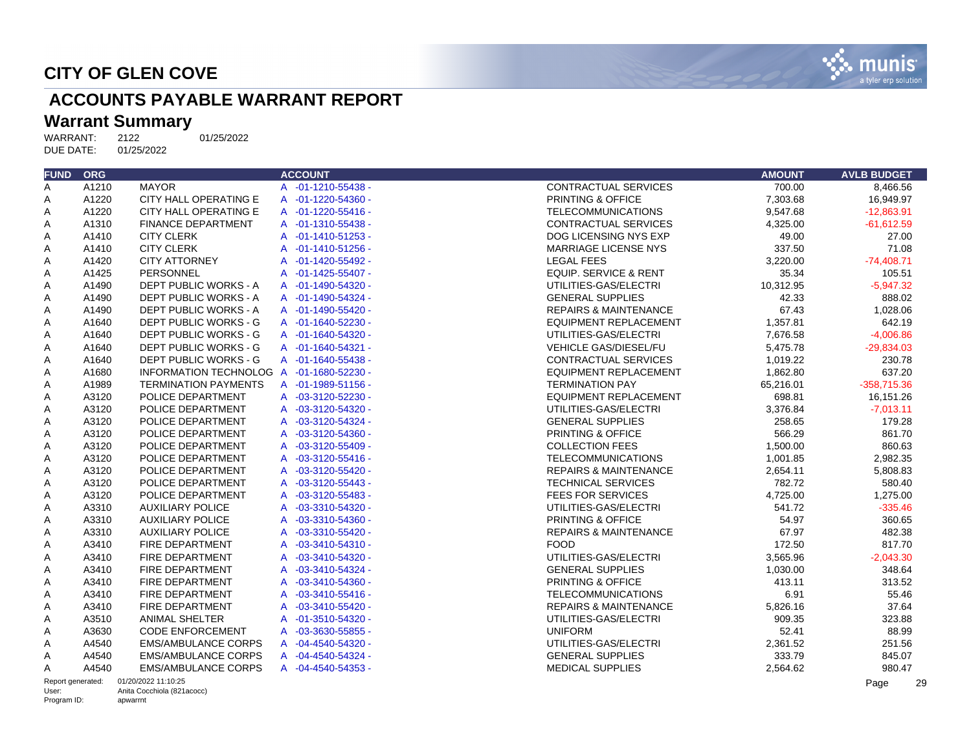

## **ACCOUNTS PAYABLE WARRANT REPORT**

## Warrant Summary<br>WARRANT: 2122

WARRANT: 2122 01/25/2022<br>DUE DATE: 01/25/2022 DUE DATE:

| <b>FUND</b> | <b>ORG</b> |                                          | <b>ACCOUNT</b>     |                                  | <b>AMOUNT</b> | <b>AVLB BUDGET</b> |
|-------------|------------|------------------------------------------|--------------------|----------------------------------|---------------|--------------------|
| A           | A1210      | <b>MAYOR</b>                             | A -01-1210-55438 - | <b>CONTRACTUAL SERVICES</b>      | 700.00        | 8.466.56           |
| Α           | A1220      | CITY HALL OPERATING E                    | A -01-1220-54360 - | PRINTING & OFFICE                | 7,303.68      | 16,949.97          |
| A           | A1220      | CITY HALL OPERATING E                    | A -01-1220-55416 - | <b>TELECOMMUNICATIONS</b>        | 9,547.68      | $-12.863.91$       |
| A           | A1310      | <b>FINANCE DEPARTMENT</b>                | A -01-1310-55438 - | <b>CONTRACTUAL SERVICES</b>      | 4.325.00      | $-61.612.59$       |
| A           | A1410      | <b>CITY CLERK</b>                        | A -01-1410-51253 - | DOG LICENSING NYS EXP            | 49.00         | 27.00              |
| Α           | A1410      | <b>CITY CLERK</b>                        | A -01-1410-51256 - | <b>MARRIAGE LICENSE NYS</b>      | 337.50        | 71.08              |
| Α           | A1420      | <b>CITY ATTORNEY</b>                     | A -01-1420-55492 - | <b>LEGAL FEES</b>                | 3,220.00      | $-74,408.71$       |
| Α           | A1425      | <b>PERSONNEL</b>                         | A -01-1425-55407 - | <b>EQUIP. SERVICE &amp; RENT</b> | 35.34         | 105.51             |
| A           | A1490      | DEPT PUBLIC WORKS - A                    | A -01-1490-54320 - | UTILITIES-GAS/ELECTRI            | 10,312.95     | $-5.947.32$        |
| A           | A1490      | DEPT PUBLIC WORKS - A                    | A -01-1490-54324 - | <b>GENERAL SUPPLIES</b>          | 42.33         | 888.02             |
| A           | A1490      | DEPT PUBLIC WORKS - A                    | A -01-1490-55420 - | <b>REPAIRS &amp; MAINTENANCE</b> | 67.43         | 1.028.06           |
| A           | A1640      | DEPT PUBLIC WORKS - G                    | A -01-1640-52230 - | <b>EQUIPMENT REPLACEMENT</b>     | 1,357.81      | 642.19             |
| A           | A1640      | DEPT PUBLIC WORKS - G                    | A -01-1640-54320 - | UTILITIES-GAS/ELECTRI            | 7,676.58      | $-4,006.86$        |
| A           | A1640      | DEPT PUBLIC WORKS - G                    | A -01-1640-54321 - | <b>VEHICLE GAS/DIESEL/FU</b>     | 5.475.78      | $-29.834.03$       |
| A           | A1640      | DEPT PUBLIC WORKS - G                    | A -01-1640-55438 - | <b>CONTRACTUAL SERVICES</b>      | 1,019.22      | 230.78             |
| Α           | A1680      | INFORMATION TECHNOLOG A -01-1680-52230 - |                    | <b>EQUIPMENT REPLACEMENT</b>     | 1,862.80      | 637.20             |
| Α           | A1989      | <b>TERMINATION PAYMENTS</b>              | A -01-1989-51156 - | <b>TERMINATION PAY</b>           | 65,216.01     | $-358,715.36$      |
| A           | A3120      | POLICE DEPARTMENT                        | A -03-3120-52230 - | <b>EQUIPMENT REPLACEMENT</b>     | 698.81        | 16,151.26          |
| Α           | A3120      | POLICE DEPARTMENT                        | A -03-3120-54320 - | UTILITIES-GAS/ELECTRI            | 3,376.84      | $-7,013.11$        |
| Α           | A3120      | POLICE DEPARTMENT                        | A -03-3120-54324 - | <b>GENERAL SUPPLIES</b>          | 258.65        | 179.28             |
| Α           | A3120      | POLICE DEPARTMENT                        | A -03-3120-54360 - | PRINTING & OFFICE                | 566.29        | 861.70             |
| Α           | A3120      | POLICE DEPARTMENT                        | A -03-3120-55409 - | <b>COLLECTION FEES</b>           | 1,500.00      | 860.63             |
| A           | A3120      | POLICE DEPARTMENT                        | A -03-3120-55416 - | <b>TELECOMMUNICATIONS</b>        | 1,001.85      | 2,982.35           |
| A           | A3120      | POLICE DEPARTMENT                        | A -03-3120-55420 - | <b>REPAIRS &amp; MAINTENANCE</b> | 2.654.11      | 5.808.83           |
| Α           | A3120      | POLICE DEPARTMENT                        | A -03-3120-55443 - | <b>TECHNICAL SERVICES</b>        | 782.72        | 580.40             |
| Α           | A3120      | POLICE DEPARTMENT                        | A -03-3120-55483 - | <b>FEES FOR SERVICES</b>         | 4,725.00      | 1,275.00           |
| Α           | A3310      | <b>AUXILIARY POLICE</b>                  | A -03-3310-54320 - | UTILITIES-GAS/ELECTRI            | 541.72        | $-335.46$          |
| Α           | A3310      | <b>AUXILIARY POLICE</b>                  | A -03-3310-54360 - | PRINTING & OFFICE                | 54.97         | 360.65             |
| Α           | A3310      | <b>AUXILIARY POLICE</b>                  | A -03-3310-55420 - | <b>REPAIRS &amp; MAINTENANCE</b> | 67.97         | 482.38             |
| Α           | A3410      | FIRE DEPARTMENT                          | A -03-3410-54310 - | <b>FOOD</b>                      | 172.50        | 817.70             |
| Α           | A3410      | FIRE DEPARTMENT                          | A -03-3410-54320 - | UTILITIES-GAS/ELECTRI            | 3,565.96      | $-2,043.30$        |
| Α           | A3410      | FIRE DEPARTMENT                          | A -03-3410-54324 - | <b>GENERAL SUPPLIES</b>          | 1,030.00      | 348.64             |
| Α           | A3410      | FIRE DEPARTMENT                          | A -03-3410-54360 - | PRINTING & OFFICE                | 413.11        | 313.52             |
| Α           | A3410      | FIRE DEPARTMENT                          | A -03-3410-55416 - | <b>TELECOMMUNICATIONS</b>        | 6.91          | 55.46              |
| Α           | A3410      | <b>FIRE DEPARTMENT</b>                   | A -03-3410-55420 - | <b>REPAIRS &amp; MAINTENANCE</b> | 5,826.16      | 37.64              |
| Α           | A3510      | <b>ANIMAL SHELTER</b>                    | A -01-3510-54320 - | UTILITIES-GAS/ELECTRI            | 909.35        | 323.88             |
| Α           | A3630      | <b>CODE ENFORCEMENT</b>                  | A -03-3630-55855 - | <b>UNIFORM</b>                   | 52.41         | 88.99              |
| Α           | A4540      | <b>EMS/AMBULANCE CORPS</b>               | A -04-4540-54320 - | UTILITIES-GAS/ELECTRI            | 2,361.52      | 251.56             |
| Α           | A4540      | <b>EMS/AMBULANCE CORPS</b>               | A -04-4540-54324 - | <b>GENERAL SUPPLIES</b>          | 333.79        | 845.07             |
| Α           | A4540      | <b>EMS/AMBULANCE CORPS</b>               | A -04-4540-54353 - | <b>MEDICAL SUPPLIES</b>          | 2,564.62      | 980.47             |

Report generated: 01/20/2022 11:10:25 User:

Program ID:

Page 29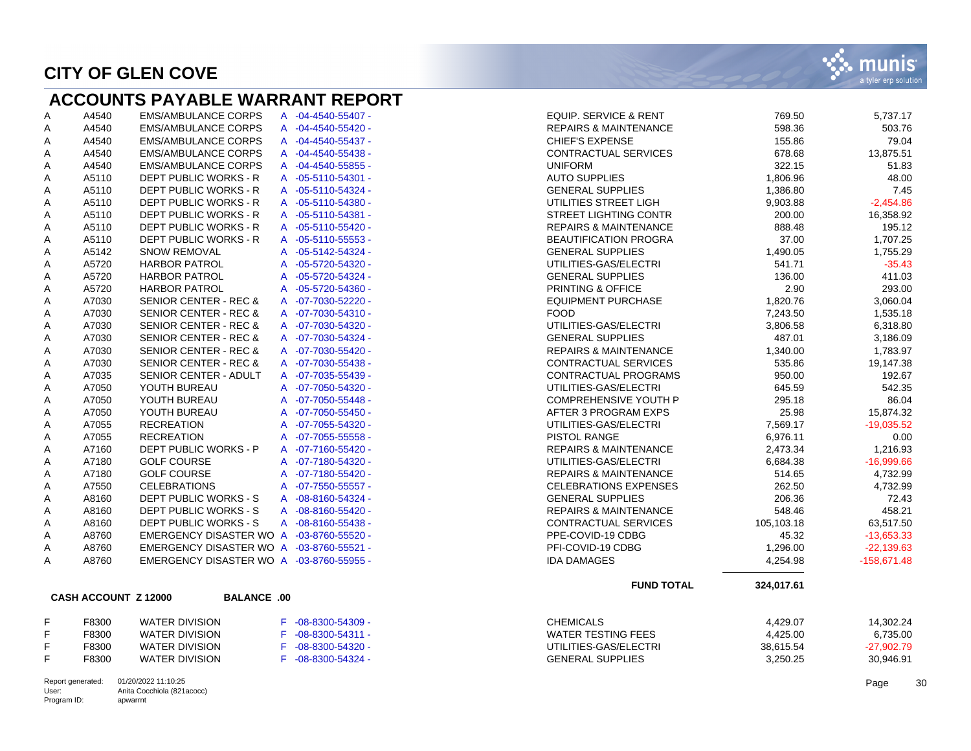## **ACCOUNTS PAYABLE WARRANT REPORT**

| Α | A4540 | <b>EMS/AMBULANCE CORPS</b>       | A              | $-04 - 4540 - 55407 -$ |
|---|-------|----------------------------------|----------------|------------------------|
| Α | A4540 | <b>EMS/AMBULANCE CORPS</b>       | A              | $-04 - 4540 - 55420 -$ |
| Α | A4540 | <b>EMS/AMBULANCE CORPS</b>       | A              | $-04 - 4540 - 55437 -$ |
| Α | A4540 | <b>EMS/AMBULANCE CORPS</b>       | A              | $-04 - 4540 - 55438 -$ |
| Α | A4540 | <b>EMS/AMBULANCE CORPS</b>       | А              | $-04 - 4540 - 55855 -$ |
| Α | A5110 | <b>DEPT PUBLIC WORKS - R</b>     | A              | $-05 - 5110 - 54301 -$ |
| Α | A5110 | <b>DEPT PUBLIC WORKS - R</b>     | A              | $-05 - 5110 - 54324 -$ |
| Α | A5110 | <b>DEPT PUBLIC WORKS - R</b>     | A              | $-05 - 5110 - 54380 -$ |
| Α | A5110 | DEPT PUBLIC WORKS - R            | $\overline{A}$ | $-05 - 5110 - 54381 -$ |
| Α | A5110 | <b>DEPT PUBLIC WORKS - R</b>     | A              | $-05 - 5110 - 55420 -$ |
| Α | A5110 | <b>DEPT PUBLIC WORKS - R</b>     | A              | $-05 - 5110 - 55553 -$ |
| Α | A5142 | <b>SNOW REMOVAL</b>              | A              | $-05 - 5142 - 54324 -$ |
| Α | A5720 | <b>HARBOR PATROL</b>             | A              | $-05 - 5720 - 54320 -$ |
| Α | A5720 | <b>HARBOR PATROL</b>             | A              | $-05 - 5720 - 54324 -$ |
| Α | A5720 | <b>HARBOR PATROL</b>             | A              | $-05 - 5720 - 54360 -$ |
| Α | A7030 | <b>SENIOR CENTER - REC &amp;</b> | A              | $-07 - 7030 - 52220 -$ |
| Α | A7030 | <b>SENIOR CENTER - REC &amp;</b> | A              | $-07 - 7030 - 54310 -$ |
| Α | A7030 | <b>SENIOR CENTER - REC &amp;</b> | A              | $-07 - 7030 - 54320 -$ |
| Α | A7030 | <b>SENIOR CENTER - REC &amp;</b> | A              | $-07 - 7030 - 54324 -$ |
| Α | A7030 | <b>SENIOR CENTER - REC &amp;</b> | A              | $-07 - 7030 - 55420 -$ |
| Α | A7030 | <b>SENIOR CENTER - REC &amp;</b> | A              | $-07 - 7030 - 55438 -$ |
| Α | A7035 | <b>SENIOR CENTER - ADULT</b>     | A              | $-07 - 7035 - 55439 -$ |
| Α | A7050 | YOUTH BUREAU                     | A              | $-07 - 7050 - 54320 -$ |
| Α | A7050 | YOUTH BUREAU                     | A              | $-07 - 7050 - 55448 -$ |
| Α | A7050 | YOUTH BUREAU                     | A              | $-07 - 7050 - 55450 -$ |
| Α | A7055 | <b>RECREATION</b>                | $\overline{A}$ | $-07 - 7055 - 54320 -$ |
| Α | A7055 | <b>RECREATION</b>                | $\overline{A}$ | $-07 - 7055 - 55558 -$ |
| Α | A7160 | DEPT PUBLIC WORKS - P            | A              | $-07 - 7160 - 55420 -$ |
| Α | A7180 | <b>GOLF COURSE</b>               | A              | $-07 - 7180 - 54320 -$ |
| Α | A7180 | <b>GOLF COURSE</b>               | A              | $-07 - 7180 - 55420 -$ |
| Α | A7550 | <b>CELEBRATIONS</b>              | $\overline{A}$ | $-07 - 7550 - 55557 -$ |
| Α | A8160 | <b>DEPT PUBLIC WORKS - S</b>     | $\overline{A}$ | $-08 - 8160 - 54324 -$ |
| Α | A8160 | <b>DEPT PUBLIC WORKS - S</b>     | $\overline{A}$ | $-08 - 8160 - 55420 -$ |
| Α | A8160 | <b>DEPT PUBLIC WORKS - S</b>     | A              | $-08 - 8160 - 55438 -$ |
| A | A8760 | <b>EMERGENCY DISASTER WO</b>     | A              | $-03 - 8760 - 55520 -$ |
| A | A8760 | <b>EMERGENCY DISASTER WO</b>     | A              | $-03 - 8760 - 55521 -$ |
| Α | A8760 | <b>EMERGENCY DISASTER WO</b>     | А              | $-03 - 8760 - 55955 -$ |

| Α | A4540                | <b>EMS/AMBULANCE CORPS</b>               |              | A -04-4540-55407 -     | <b>EQUIP. SERVICE &amp; RENT</b><br>769.50   | 5,737.17      |
|---|----------------------|------------------------------------------|--------------|------------------------|----------------------------------------------|---------------|
| Α | A4540                | <b>EMS/AMBULANCE CORPS</b>               |              | A -04-4540-55420 -     | <b>REPAIRS &amp; MAINTENANCE</b><br>598.36   | 503.76        |
| Α | A4540                | <b>EMS/AMBULANCE CORPS</b>               |              | A -04-4540-55437 -     | <b>CHIEF'S EXPENSE</b><br>155.86             | 79.04         |
| Α | A4540                | <b>EMS/AMBULANCE CORPS</b>               |              | A -04-4540-55438 -     | <b>CONTRACTUAL SERVICES</b><br>678.68        | 13,875.51     |
| Α | A4540                | <b>EMS/AMBULANCE CORPS</b>               |              | A -04-4540-55855 -     | <b>UNIFORM</b><br>322.15                     | 51.83         |
| Α | A5110                | DEPT PUBLIC WORKS - R                    |              | A -05-5110-54301 -     | <b>AUTO SUPPLIES</b><br>1,806.96             | 48.00         |
| Α | A5110                | DEPT PUBLIC WORKS - R                    |              | A -05-5110-54324 -     | <b>GENERAL SUPPLIES</b><br>1,386.80          | 7.45          |
| А | A5110                | DEPT PUBLIC WORKS - R                    |              | A -05-5110-54380 -     | UTILITIES STREET LIGH<br>9,903.88            | $-2,454.86$   |
| А | A5110                | DEPT PUBLIC WORKS - R                    |              | A -05-5110-54381 -     | <b>STREET LIGHTING CONTR</b><br>200.00       | 16,358.92     |
| А | A5110                | <b>DEPT PUBLIC WORKS - R</b>             |              | A -05-5110-55420 -     | <b>REPAIRS &amp; MAINTENANCE</b><br>888.48   | 195.12        |
| А | A5110                | DEPT PUBLIC WORKS - R                    |              | A -05-5110-55553 -     | <b>BEAUTIFICATION PROGRA</b><br>37.00        | 1,707.25      |
| Α | A5142                | <b>SNOW REMOVAL</b>                      |              | A -05-5142-54324 -     | <b>GENERAL SUPPLIES</b><br>1,490.05          | 1,755.29      |
| Α | A5720                | <b>HARBOR PATROL</b>                     | $\mathsf{A}$ | $-05 - 5720 - 54320 -$ | UTILITIES-GAS/ELECTRI<br>541.71              | $-35.43$      |
| А | A5720                | <b>HARBOR PATROL</b>                     |              | A -05-5720-54324 -     | 136.00<br><b>GENERAL SUPPLIES</b>            | 411.03        |
| Α | A5720                | <b>HARBOR PATROL</b>                     |              | A -05-5720-54360 -     | PRINTING & OFFICE<br>2.90                    | 293.00        |
| Α | A7030                | <b>SENIOR CENTER - REC &amp;</b>         |              | A -07-7030-52220 -     | <b>EQUIPMENT PURCHASE</b><br>1,820.76        | 3,060.04      |
| А | A7030                | <b>SENIOR CENTER - REC &amp;</b>         |              | A -07-7030-54310 -     | <b>FOOD</b><br>7,243.50                      | 1,535.18      |
| Α | A7030                | SENIOR CENTER - REC &                    |              | A -07-7030-54320 -     | UTILITIES-GAS/ELECTRI<br>3,806.58            | 6,318.80      |
| А | A7030                | <b>SENIOR CENTER - REC &amp;</b>         |              | A -07-7030-54324 -     | <b>GENERAL SUPPLIES</b><br>487.01            | 3,186.09      |
| Α | A7030                | <b>SENIOR CENTER - REC &amp;</b>         |              | A -07-7030-55420 -     | <b>REPAIRS &amp; MAINTENANCE</b><br>1,340.00 | 1,783.97      |
| Α | A7030                | <b>SENIOR CENTER - REC &amp;</b>         |              | A -07-7030-55438 -     | CONTRACTUAL SERVICES<br>535.86               | 19,147.38     |
| А | A7035                | SENIOR CENTER - ADULT                    |              | A -07-7035-55439 -     | <b>CONTRACTUAL PROGRAMS</b><br>950.00        | 192.67        |
| Α | A7050                | YOUTH BUREAU                             |              | A -07-7050-54320 -     | 645.59<br>UTILITIES-GAS/ELECTRI              | 542.35        |
| Α | A7050                | YOUTH BUREAU                             | $\mathsf{A}$ | $-07 - 7050 - 55448 -$ | COMPREHENSIVE YOUTH P<br>295.18              | 86.04         |
| Α | A7050                | YOUTH BUREAU                             |              | A -07-7050-55450 -     | AFTER 3 PROGRAM EXPS<br>25.98                | 15,874.32     |
| Α | A7055                | <b>RECREATION</b>                        |              | A -07-7055-54320 -     | 7,569.17<br>UTILITIES-GAS/ELECTRI            | $-19,035.52$  |
| Α | A7055                | <b>RECREATION</b>                        |              | A -07-7055-55558 -     | 6,976.11<br><b>PISTOL RANGE</b>              | 0.00          |
| Α | A7160                | DEPT PUBLIC WORKS - P                    |              | A -07-7160-55420 -     | <b>REPAIRS &amp; MAINTENANCE</b><br>2,473.34 | 1,216.93      |
| Α | A7180                | <b>GOLF COURSE</b>                       |              | A -07-7180-54320 -     | UTILITIES-GAS/ELECTRI<br>6,684.38            | $-16,999.66$  |
| А | A7180                | <b>GOLF COURSE</b>                       | A            | $-07 - 7180 - 55420 -$ | 514.65<br><b>REPAIRS &amp; MAINTENANCE</b>   | 4,732.99      |
| Α | A7550                | <b>CELEBRATIONS</b>                      |              | A -07-7550-55557 -     | <b>CELEBRATIONS EXPENSES</b><br>262.50       | 4,732.99      |
| А | A8160                | DEPT PUBLIC WORKS - S                    |              | A -08-8160-54324 -     | <b>GENERAL SUPPLIES</b><br>206.36            | 72.43         |
| А | A8160                | DEPT PUBLIC WORKS - S                    |              | A -08-8160-55420 -     | 548.46<br><b>REPAIRS &amp; MAINTENANCE</b>   | 458.21        |
| Α | A8160                | DEPT PUBLIC WORKS - S                    |              | A -08-8160-55438 -     | CONTRACTUAL SERVICES<br>105,103.18           | 63,517.50     |
| Α | A8760                | EMERGENCY DISASTER WO A -03-8760-55520 - |              |                        | PPE-COVID-19 CDBG<br>45.32                   | $-13,653.33$  |
| Α | A8760                | EMERGENCY DISASTER WO A -03-8760-55521 - |              |                        | PFI-COVID-19 CDBG<br>1,296.00                | $-22,139.63$  |
| Α | A8760                | EMERGENCY DISASTER WO A -03-8760-55955 - |              |                        | <b>IDA DAMAGES</b><br>4,254.98               | $-158,671.48$ |
|   |                      |                                          |              |                        | <b>FUND TOTAL</b><br>324,017.61              |               |
|   | CASH ACCOUNT Z 12000 | <b>BALANCE .00</b>                       |              |                        |                                              |               |
|   | F8300                | <b>WATER DIVISION</b>                    |              | F -08-8300-54309 -     | <b>CHEMICALS</b><br>4,429.07                 | 14,302.24     |
|   | F8300                | <b>WATER DIVISION</b>                    | F.           | $-08 - 8300 - 54311 -$ | <b>WATER TESTING FEES</b><br>4,425.00        | 6,735.00      |
|   | F8300                | <b>WATER DIVISION</b>                    | F.           | $-08 - 8300 - 54320 -$ | UTILITIES-GAS/ELECTRI<br>38,615.54           | $-27.902.79$  |
| F | F8300                | <b>WATER DIVISION</b>                    |              | F -08-8300-54324 -     | <b>GENERAL SUPPLIES</b><br>3,250.25          | 30,946.91     |
|   |                      |                                          |              |                        |                                              |               |

#### **CASH ACCOUNT Z 12000 BALANCE .00**

| F | F8300        | WATER DIVISION        | F -08-8300-54309 |
|---|--------------|-----------------------|------------------|
| F | F8300        | <b>WATER DIVISION</b> | F -08-8300-54311 |
| F | F8300        | WATER DIVISION        | F -08-8300-54320 |
| F | <b>E8300</b> | WATER DIVISION        | E -08-8300-54324 |

| Report generated: | 01/20/2022 11:10:25        |
|-------------------|----------------------------|
| User:             | Anita Cocchiola (821acocc) |
| Program ID:       | apwarrnt                   |

Page 30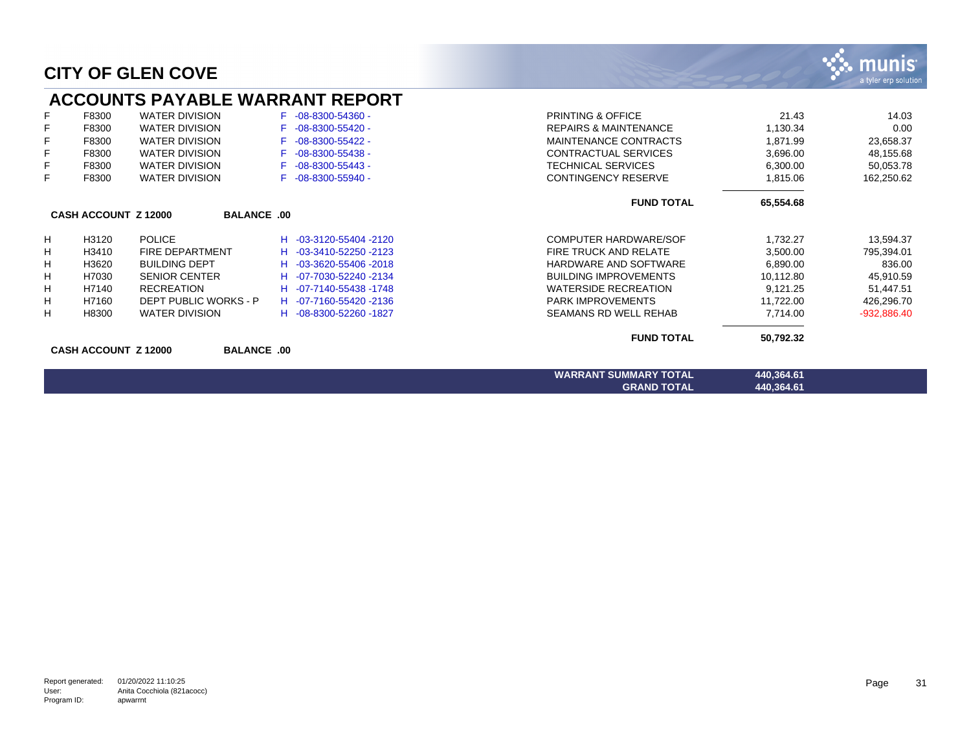|    |                             | <b>ACCOUNTS PAYABLE WARRANT REPORT</b> |                          |                                  |            |               |
|----|-----------------------------|----------------------------------------|--------------------------|----------------------------------|------------|---------------|
| F  | F8300                       | <b>WATER DIVISION</b>                  | $F -08 - 8300 - 54360 -$ | <b>PRINTING &amp; OFFICE</b>     | 21.43      | 14.03         |
| F  | F8300                       | <b>WATER DIVISION</b>                  | $F -08 - 8300 - 55420 -$ | <b>REPAIRS &amp; MAINTENANCE</b> | 1,130.34   | 0.00          |
| F  | F8300                       | <b>WATER DIVISION</b>                  | -08-8300-55422 -         | MAINTENANCE CONTRACTS            | 1,871.99   | 23,658.37     |
| F  | F8300                       | <b>WATER DIVISION</b>                  | $-08 - 8300 - 55438 -$   | CONTRACTUAL SERVICES             | 3,696.00   | 48,155.68     |
| F  | F8300                       | <b>WATER DIVISION</b>                  | $F -08 - 8300 - 55443 -$ | <b>TECHNICAL SERVICES</b>        | 6,300.00   | 50,053.78     |
| F  | F8300                       | <b>WATER DIVISION</b>                  | F -08-8300-55940 -       | <b>CONTINGENCY RESERVE</b>       | 1,815.06   | 162,250.62    |
|    |                             |                                        |                          | <b>FUND TOTAL</b>                | 65,554.68  |               |
|    | <b>CASH ACCOUNT Z 12000</b> | <b>BALANCE .00</b>                     |                          |                                  |            |               |
| H. | H3120                       | <b>POLICE</b>                          | H -03-3120-55404 -2120   | COMPUTER HARDWARE/SOF            | 1,732.27   | 13,594.37     |
| H  | H3410                       | <b>FIRE DEPARTMENT</b>                 | H -03-3410-52250 -2123   | <b>FIRE TRUCK AND RELATE</b>     | 3,500.00   | 795,394.01    |
| н  | H3620                       | <b>BUILDING DEPT</b>                   | H -03-3620-55406-2018    | HARDWARE AND SOFTWARE            | 6,890.00   | 836.00        |
| H  | H7030                       | <b>SENIOR CENTER</b>                   | H -07-7030-52240 -2134   | <b>BUILDING IMPROVEMENTS</b>     | 10,112.80  | 45,910.59     |
| H  | H7140                       | <b>RECREATION</b>                      | H -07-7140-55438 -1748   | <b>WATERSIDE RECREATION</b>      | 9,121.25   | 51,447.51     |
| H  | H7160                       | DEPT PUBLIC WORKS - P                  | H -07-7160-55420-2136    | <b>PARK IMPROVEMENTS</b>         | 11,722.00  | 426,296.70    |
| H  | H8300                       | <b>WATER DIVISION</b>                  | H -08-8300-52260 -1827   | SEAMANS RD WELL REHAB            | 7,714.00   | $-932,886.40$ |
|    |                             |                                        |                          | <b>FUND TOTAL</b>                | 50,792.32  |               |
|    | <b>CASH ACCOUNT Z 12000</b> | <b>BALANCE .00</b>                     |                          |                                  |            |               |
|    |                             |                                        |                          | <b>WARRANT SUMMARY TOTAL</b>     | 440,364.61 |               |
|    |                             |                                        |                          | <b>GRAND TOTAL</b>               | 440,364.61 |               |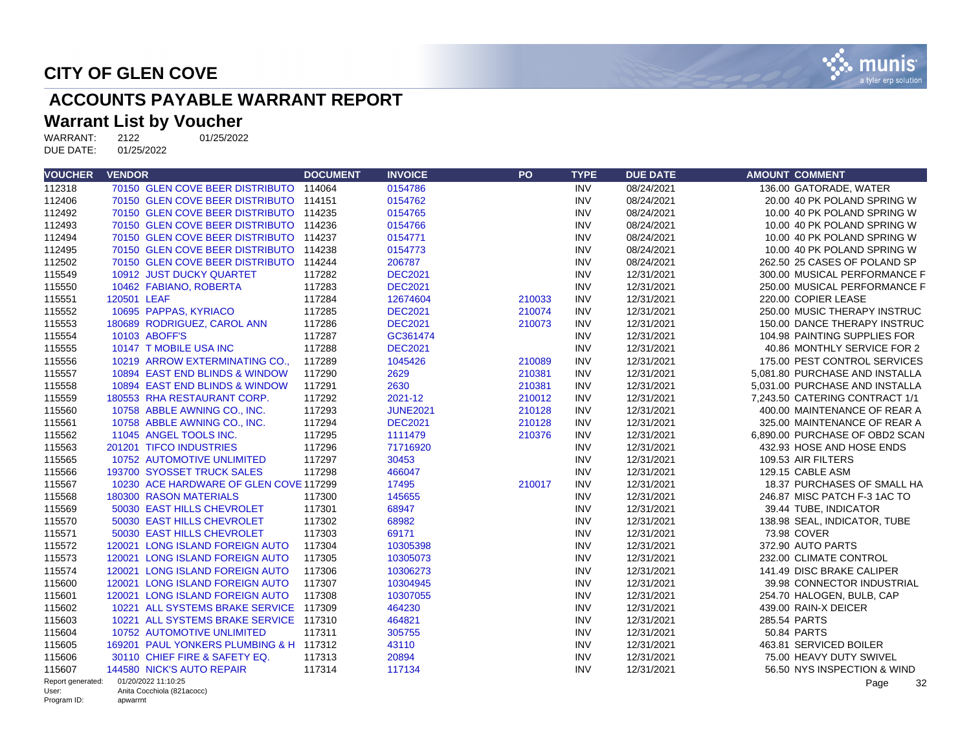

## **ACCOUNTS PAYABLE WARRANT REPORT**

# **Warrant List by Voucher**<br>WARRANT: 2122 01/25/2022

WARRANT: 2122<br>DUE DATE: 01/25/2022 DUE DATE:

| <b>VOUCHER</b>       | <b>VENDOR</b>                           | <b>DOCUMENT</b> | <b>INVOICE</b>  | PO     | <b>TYPE</b> | <b>DUE DATE</b> | <b>AMOUNT COMMENT</b>          |
|----------------------|-----------------------------------------|-----------------|-----------------|--------|-------------|-----------------|--------------------------------|
| 112318               | 70150 GLEN COVE BEER DISTRIBUTO 114064  |                 | 0154786         |        | <b>INV</b>  | 08/24/2021      | 136.00 GATORADE, WATER         |
| 112406               | 70150 GLEN COVE BEER DISTRIBUTO 114151  |                 | 0154762         |        | <b>INV</b>  | 08/24/2021      | 20.00 40 PK POLAND SPRING W    |
| 112492               | 70150 GLEN COVE BEER DISTRIBUTO 114235  |                 | 0154765         |        | <b>INV</b>  | 08/24/2021      | 10.00 40 PK POLAND SPRING W    |
| 112493               | 70150 GLEN COVE BEER DISTRIBUTO 114236  |                 | 0154766         |        | <b>INV</b>  | 08/24/2021      | 10.00 40 PK POLAND SPRING W    |
| 112494               | 70150 GLEN COVE BEER DISTRIBUTO 114237  |                 | 0154771         |        | <b>INV</b>  | 08/24/2021      | 10.00 40 PK POLAND SPRING W    |
| 112495               | 70150 GLEN COVE BEER DISTRIBUTO 114238  |                 | 0154773         |        | <b>INV</b>  | 08/24/2021      | 10.00 40 PK POLAND SPRING W    |
| 112502               | 70150 GLEN COVE BEER DISTRIBUTO 114244  |                 | 206787          |        | <b>INV</b>  | 08/24/2021      | 262.50 25 CASES OF POLAND SP   |
| 115549               | 10912 JUST DUCKY QUARTET                | 117282          | <b>DEC2021</b>  |        | <b>INV</b>  | 12/31/2021      | 300.00 MUSICAL PERFORMANCE F   |
| 115550               | 10462 FABIANO, ROBERTA                  | 117283          | <b>DEC2021</b>  |        | <b>INV</b>  | 12/31/2021      | 250.00 MUSICAL PERFORMANCE F   |
| 115551               | 120501 LEAF                             | 117284          | 12674604        | 210033 | <b>INV</b>  | 12/31/2021      | 220.00 COPIER LEASE            |
| 115552               | 10695 PAPPAS, KYRIACO                   | 117285          | <b>DEC2021</b>  | 210074 | <b>INV</b>  | 12/31/2021      | 250.00 MUSIC THERAPY INSTRUC   |
| 115553               | 180689 RODRIGUEZ, CAROL ANN             | 117286          | <b>DEC2021</b>  | 210073 | <b>INV</b>  | 12/31/2021      | 150.00 DANCE THERAPY INSTRUC   |
| 115554               | 10103 ABOFF'S                           | 117287          | GC361474        |        | <b>INV</b>  | 12/31/2021      | 104.98 PAINTING SUPPLIES FOR   |
| 115555               | 10147 T MOBILE USA INC                  | 117288          | <b>DEC2021</b>  |        | <b>INV</b>  | 12/31/2021      | 40.86 MONTHLY SERVICE FOR 2    |
| 115556               | 10219 ARROW EXTERMINATING CO            | 117289          | 1045426         | 210089 | <b>INV</b>  | 12/31/2021      | 175.00 PEST CONTROL SERVICES   |
| 115557               | 10894 EAST END BLINDS & WINDOW          | 117290          | 2629            | 210381 | <b>INV</b>  | 12/31/2021      | 5.081.80 PURCHASE AND INSTALLA |
| 115558               | 10894 EAST END BLINDS & WINDOW          | 117291          | 2630            | 210381 | <b>INV</b>  | 12/31/2021      | 5,031.00 PURCHASE AND INSTALLA |
| 115559               | 180553 RHA RESTAURANT CORP.             | 117292          | 2021-12         | 210012 | <b>INV</b>  | 12/31/2021      | 7,243.50 CATERING CONTRACT 1/1 |
| 115560               | 10758 ABBLE AWNING CO., INC.            | 117293          | <b>JUNE2021</b> | 210128 | <b>INV</b>  | 12/31/2021      | 400.00 MAINTENANCE OF REAR A   |
| 115561               | 10758 ABBLE AWNING CO., INC.            | 117294          | <b>DEC2021</b>  | 210128 | <b>INV</b>  | 12/31/2021      | 325.00 MAINTENANCE OF REAR A   |
| 115562               | 11045 ANGEL TOOLS INC.                  | 117295          | 1111479         | 210376 | <b>INV</b>  | 12/31/2021      | 6.890.00 PURCHASE OF OBD2 SCAN |
| 115563               | 201201 TIFCO INDUSTRIES                 | 117296          | 71716920        |        | <b>INV</b>  | 12/31/2021      | 432.93 HOSE AND HOSE ENDS      |
| 115565               | 10752 AUTOMOTIVE UNLIMITED              | 117297          | 30453           |        | <b>INV</b>  | 12/31/2021      | 109.53 AIR FILTERS             |
| 115566               | 193700 SYOSSET TRUCK SALES              | 117298          | 466047          |        | <b>INV</b>  | 12/31/2021      | 129.15 CABLE ASM               |
| 115567               | 10230 ACE HARDWARE OF GLEN COVE 117299  |                 | 17495           | 210017 | <b>INV</b>  | 12/31/2021      | 18.37 PURCHASES OF SMALL HA    |
| 115568               | 180300 RASON MATERIALS                  | 117300          | 145655          |        | <b>INV</b>  | 12/31/2021      | 246.87 MISC PATCH F-3 1AC TO   |
| 115569               | 50030 EAST HILLS CHEVROLET              | 117301          | 68947           |        | <b>INV</b>  | 12/31/2021      | 39.44 TUBE, INDICATOR          |
| 115570               | 50030 EAST HILLS CHEVROLET              | 117302          | 68982           |        | <b>INV</b>  | 12/31/2021      | 138.98 SEAL, INDICATOR, TUBE   |
| 115571               | 50030 EAST HILLS CHEVROLET              | 117303          | 69171           |        | <b>INV</b>  | 12/31/2021      | 73.98 COVER                    |
| 115572               | 120021 LONG ISLAND FOREIGN AUTO         | 117304          | 10305398        |        | <b>INV</b>  | 12/31/2021      | 372.90 AUTO PARTS              |
| 115573               | 120021 LONG ISLAND FOREIGN AUTO         | 117305          | 10305073        |        | <b>INV</b>  | 12/31/2021      | 232.00 CLIMATE CONTROL         |
| 115574               | 120021 LONG ISLAND FOREIGN AUTO         | 117306          | 10306273        |        | <b>INV</b>  | 12/31/2021      | 141.49 DISC BRAKE CALIPER      |
| 115600               | 120021 LONG ISLAND FOREIGN AUTO         | 117307          | 10304945        |        | <b>INV</b>  | 12/31/2021      | 39.98 CONNECTOR INDUSTRIAL     |
| 115601               | 120021 LONG ISLAND FOREIGN AUTO         | 117308          | 10307055        |        | <b>INV</b>  | 12/31/2021      | 254.70 HALOGEN, BULB, CAP      |
| 115602               | 10221 ALL SYSTEMS BRAKE SERVICE 117309  |                 | 464230          |        | <b>INV</b>  | 12/31/2021      | 439.00 RAIN-X DEICER           |
| 115603               | 10221 ALL SYSTEMS BRAKE SERVICE 117310  |                 | 464821          |        | <b>INV</b>  | 12/31/2021      | 285.54 PARTS                   |
| 115604               | <b>10752 AUTOMOTIVE UNLIMITED</b>       | 117311          | 305755          |        | <b>INV</b>  | 12/31/2021      | 50.84 PARTS                    |
| 115605               | 169201 PAUL YONKERS PLUMBING & H 117312 |                 | 43110           |        | <b>INV</b>  | 12/31/2021      | 463.81 SERVICED BOILER         |
| 115606               | 30110 CHIEF FIRE & SAFETY EQ.           | 117313          | 20894           |        | <b>INV</b>  | 12/31/2021      | 75.00 HEAVY DUTY SWIVEL        |
| 115607               | 144580 NICK'S AUTO REPAIR               | 117314          | 117134          |        | <b>INV</b>  | 12/31/2021      | 56.50 NYS INSPECTION & WIND    |
| Report generated:    | 01/20/2022 11:10:25                     |                 |                 |        |             |                 | 32<br>Page                     |
| User:<br>Program ID: | Anita Cocchiola (821acocc)<br>apwarrnt  |                 |                 |        |             |                 |                                |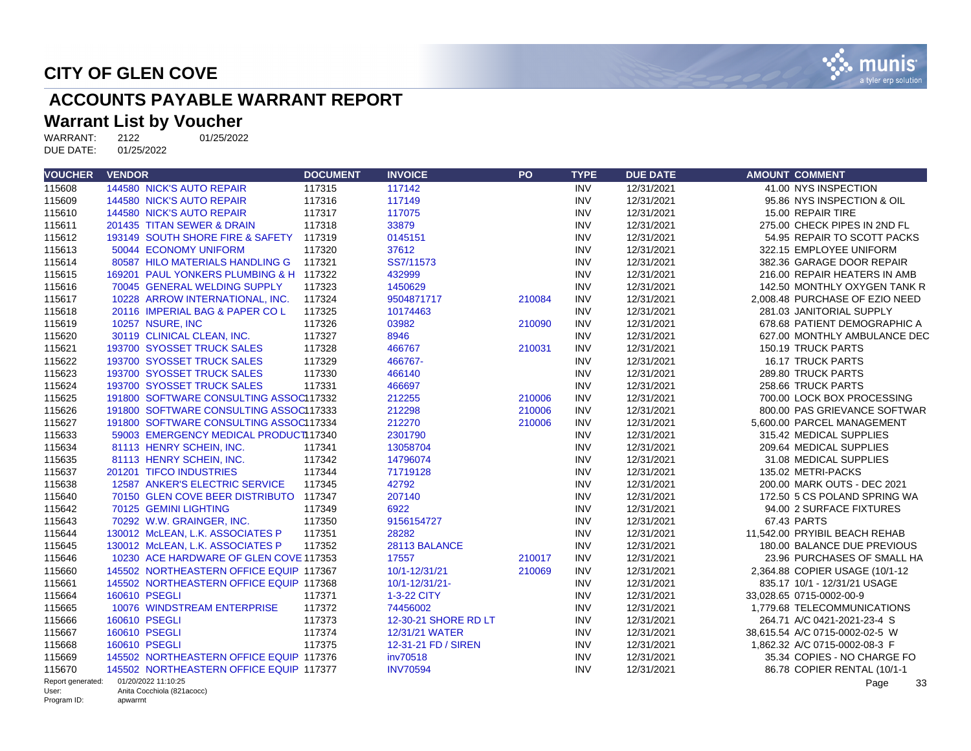

## **ACCOUNTS PAYABLE WARRANT REPORT**

# **Warrant List by Voucher**<br>WARRANT: 2122 01/25/2022

WARRANT: 2122<br>DUE DATE: 01/25/2022 DUE DATE:

| <b>VOUCHER</b>             | <b>VENDOR</b>                           | <b>DOCUMENT</b> | <b>INVOICE</b>       | <b>PO</b> | <b>TYPE</b> | <b>DUE DATE</b> | <b>AMOUNT COMMENT</b>          |
|----------------------------|-----------------------------------------|-----------------|----------------------|-----------|-------------|-----------------|--------------------------------|
| 115608                     | 144580 NICK'S AUTO REPAIR               | 117315          | 117142               |           | <b>INV</b>  | 12/31/2021      | 41.00 NYS INSPECTION           |
| 115609                     | 144580 NICK'S AUTO REPAIR               | 117316          | 117149               |           | <b>INV</b>  | 12/31/2021      | 95.86 NYS INSPECTION & OIL     |
| 115610                     | 144580 NICK'S AUTO REPAIR               | 117317          | 117075               |           | <b>INV</b>  | 12/31/2021      | 15.00 REPAIR TIRE              |
| 115611                     | 201435 TITAN SEWER & DRAIN              | 117318          | 33879                |           | <b>INV</b>  | 12/31/2021      | 275.00 CHECK PIPES IN 2ND FL   |
| 115612                     | 193149 SOUTH SHORE FIRE & SAFETY        | 117319          | 0145151              |           | <b>INV</b>  | 12/31/2021      | 54.95 REPAIR TO SCOTT PACKS    |
| 115613                     | 50044 ECONOMY UNIFORM                   | 117320          | 37612                |           | <b>INV</b>  | 12/31/2021      | 322.15 EMPLOYEE UNIFORM        |
| 115614                     | 80587 HILO MATERIALS HANDLING G         | 117321          | SS7/11573            |           | <b>INV</b>  | 12/31/2021      | 382.36 GARAGE DOOR REPAIR      |
| 115615                     | 169201 PAUL YONKERS PLUMBING & H 117322 |                 | 432999               |           | <b>INV</b>  | 12/31/2021      | 216.00 REPAIR HEATERS IN AMB   |
| 115616                     | 70045 GENERAL WELDING SUPPLY            | 117323          | 1450629              |           | <b>INV</b>  | 12/31/2021      | 142.50 MONTHLY OXYGEN TANK R   |
| 115617                     | 10228 ARROW INTERNATIONAL, INC.         | 117324          | 9504871717           | 210084    | <b>INV</b>  | 12/31/2021      | 2,008.48 PURCHASE OF EZIO NEED |
| 115618                     | 20116 IMPERIAL BAG & PAPER COL          | 117325          | 10174463             |           | <b>INV</b>  | 12/31/2021      | 281.03 JANITORIAL SUPPLY       |
| 115619                     | 10257 NSURE, INC                        | 117326          | 03982                | 210090    | <b>INV</b>  | 12/31/2021      | 678.68 PATIENT DEMOGRAPHIC A   |
| 115620                     | 30119 CLINICAL CLEAN, INC.              | 117327          | 8946                 |           | <b>INV</b>  | 12/31/2021      | 627.00 MONTHLY AMBULANCE DEC   |
| 115621                     | 193700 SYOSSET TRUCK SALES              | 117328          | 466767               | 210031    | <b>INV</b>  | 12/31/2021      | 150.19 TRUCK PARTS             |
| 115622                     | 193700 SYOSSET TRUCK SALES              | 117329          | 466767-              |           | <b>INV</b>  | 12/31/2021      | 16.17 TRUCK PARTS              |
| 115623                     | 193700 SYOSSET TRUCK SALES              | 117330          | 466140               |           | <b>INV</b>  | 12/31/2021      | 289.80 TRUCK PARTS             |
| 115624                     | 193700 SYOSSET TRUCK SALES              | 117331          | 466697               |           | <b>INV</b>  | 12/31/2021      | 258.66 TRUCK PARTS             |
| 115625                     | 191800 SOFTWARE CONSULTING ASSOC117332  |                 | 212255               | 210006    | <b>INV</b>  | 12/31/2021      | 700.00 LOCK BOX PROCESSING     |
| 115626                     | 191800 SOFTWARE CONSULTING ASSOC117333  |                 | 212298               | 210006    | <b>INV</b>  | 12/31/2021      | 800.00 PAS GRIEVANCE SOFTWAR   |
| 115627                     | 191800 SOFTWARE CONSULTING ASSOC117334  |                 | 212270               | 210006    | <b>INV</b>  | 12/31/2021      | 5,600.00 PARCEL MANAGEMENT     |
| 115633                     | 59003 EMERGENCY MEDICAL PRODUCT117340   |                 | 2301790              |           | <b>INV</b>  | 12/31/2021      | 315.42 MEDICAL SUPPLIES        |
| 115634                     | 81113 HENRY SCHEIN, INC.                | 117341          | 13058704             |           | <b>INV</b>  | 12/31/2021      | 209.64 MEDICAL SUPPLIES        |
| 115635                     | 81113 HENRY SCHEIN, INC.                | 117342          | 14796074             |           | <b>INV</b>  | 12/31/2021      | 31.08 MEDICAL SUPPLIES         |
| 115637                     | 201201 TIFCO INDUSTRIES                 | 117344          | 71719128             |           | <b>INV</b>  | 12/31/2021      | 135.02 METRI-PACKS             |
| 115638                     | 12587 ANKER'S ELECTRIC SERVICE          | 117345          | 42792                |           | <b>INV</b>  | 12/31/2021      | 200.00 MARK OUTS - DEC 2021    |
| 115640                     | 70150 GLEN COVE BEER DISTRIBUTO 117347  |                 | 207140               |           | <b>INV</b>  | 12/31/2021      | 172.50 5 CS POLAND SPRING WA   |
| 115642                     | 70125 GEMINI LIGHTING                   | 117349          | 6922                 |           | <b>INV</b>  | 12/31/2021      | 94.00 2 SURFACE FIXTURES       |
| 115643                     | 70292 W.W. GRAINGER, INC.               | 117350          | 9156154727           |           | <b>INV</b>  | 12/31/2021      | 67.43 PARTS                    |
| 115644                     | 130012 McLEAN, L.K. ASSOCIATES P        | 117351          | 28282                |           | <b>INV</b>  | 12/31/2021      | 11,542.00 PRYIBIL BEACH REHAB  |
| 115645                     | 130012 McLEAN, L.K. ASSOCIATES P        | 117352          | 28113 BALANCE        |           | <b>INV</b>  | 12/31/2021      | 180.00 BALANCE DUE PREVIOUS    |
| 115646                     | 10230 ACE HARDWARE OF GLEN COVE 117353  |                 | 17557                | 210017    | <b>INV</b>  | 12/31/2021      | 23.96 PURCHASES OF SMALL HA    |
| 115660                     | 145502 NORTHEASTERN OFFICE EQUIP 117367 |                 | 10/1-12/31/21        | 210069    | <b>INV</b>  | 12/31/2021      | 2,364.88 COPIER USAGE (10/1-12 |
| 115661                     | 145502 NORTHEASTERN OFFICE EQUIP 117368 |                 | 10/1-12/31/21-       |           | <b>INV</b>  | 12/31/2021      | 835.17 10/1 - 12/31/21 USAGE   |
| 115664                     | 160610 PSEGLI                           | 117371          | 1-3-22 CITY          |           | <b>INV</b>  | 12/31/2021      | 33.028.65 0715-0002-00-9       |
| 115665                     | 10076 WINDSTREAM ENTERPRISE             | 117372          | 74456002             |           | <b>INV</b>  | 12/31/2021      | 1.779.68 TELECOMMUNICATIONS    |
| 115666                     | 160610 PSEGLI                           | 117373          | 12-30-21 SHORE RD LT |           | <b>INV</b>  | 12/31/2021      | 264.71 A/C 0421-2021-23-4 S    |
| 115667                     | 160610 PSEGLI                           | 117374          | 12/31/21 WATER       |           | <b>INV</b>  | 12/31/2021      | 38,615.54 A/C 0715-0002-02-5 W |
| 115668                     | 160610 PSEGLI                           | 117375          | 12-31-21 FD / SIREN  |           | <b>INV</b>  | 12/31/2021      | 1,862.32 A/C 0715-0002-08-3 F  |
| 115669                     | 145502 NORTHEASTERN OFFICE EQUIP 117376 |                 | inv70518             |           | <b>INV</b>  | 12/31/2021      | 35.34 COPIES - NO CHARGE FO    |
| 115670                     | 145502 NORTHEASTERN OFFICE EQUIP 117377 |                 | <b>INV70594</b>      |           | <b>INV</b>  | 12/31/2021      | 86.78 COPIER RENTAL (10/1-1    |
| Report generated:<br>User: | 01/20/2022 11:10:25                     |                 |                      |           |             |                 | Page<br>33                     |
| Program ID:                | Anita Cocchiola (821acocc)<br>apwarrnt  |                 |                      |           |             |                 |                                |

Program ID: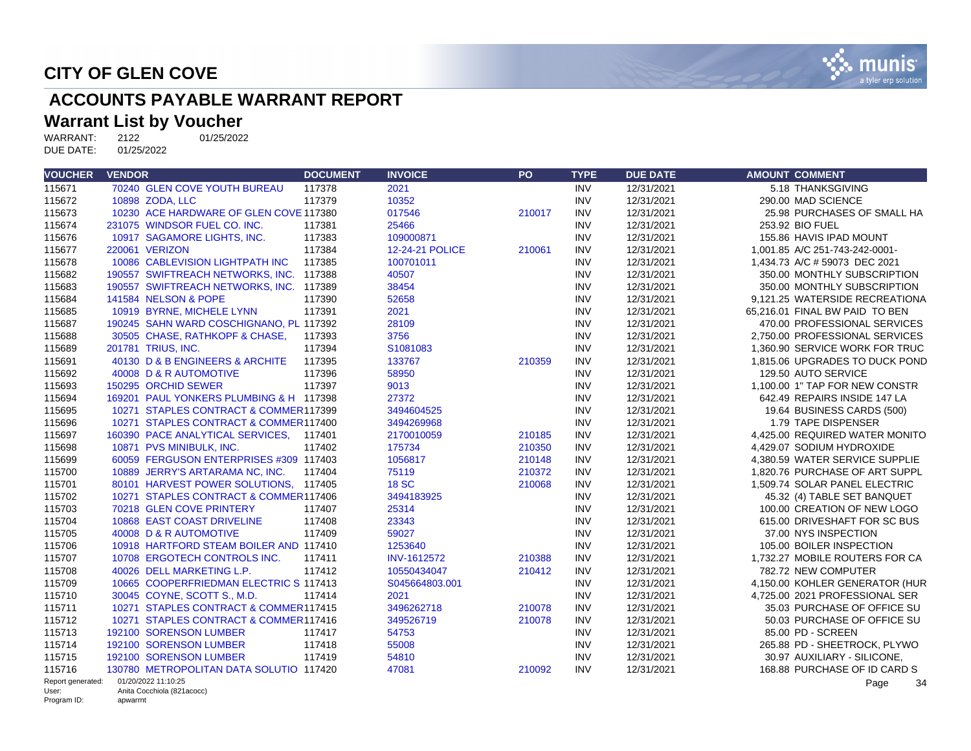

## **ACCOUNTS PAYABLE WARRANT REPORT**

# **Warrant List by Voucher**<br>WARRANT: 2122 01/25/2022

WARRANT: 2122<br>DUE DATE: 01/25/2022 DUE DATE:

| <b>VOUCHER</b>             | <b>VENDOR</b>                           | <b>DOCUMENT</b> | <b>INVOICE</b>         | PO     | <b>TYPE</b> | <b>DUE DATE</b> | <b>AMOUNT COMMENT</b>          |
|----------------------------|-----------------------------------------|-----------------|------------------------|--------|-------------|-----------------|--------------------------------|
| 115671                     | 70240 GLEN COVE YOUTH BUREAU            | 117378          | 2021                   |        | <b>INV</b>  | 12/31/2021      | 5.18 THANKSGIVING              |
| 115672                     | 10898 ZODA, LLC                         | 117379          | 10352                  |        | <b>INV</b>  | 12/31/2021      | 290.00 MAD SCIENCE             |
| 115673                     | 10230 ACE HARDWARE OF GLEN COVE 117380  |                 | 017546                 | 210017 | <b>INV</b>  | 12/31/2021      | 25.98 PURCHASES OF SMALL HA    |
| 115674                     | 231075 WINDSOR FUEL CO. INC.            | 117381          | 25466                  |        | <b>INV</b>  | 12/31/2021      | 253.92 BIO FUEL                |
| 115676                     | 10917 SAGAMORE LIGHTS, INC.             | 117383          | 109000871              |        | <b>INV</b>  | 12/31/2021      | 155.86 HAVIS IPAD MOUNT        |
| 115677                     | 220061 VERIZON                          | 117384          | <b>12-24-21 POLICE</b> | 210061 | <b>INV</b>  | 12/31/2021      | 1.001.85 A/C 251-743-242-0001- |
| 115678                     | 10086 CABLEVISION LIGHTPATH INC         | 117385          | 100701011              |        | <b>INV</b>  | 12/31/2021      | 1,434.73 A/C # 59073 DEC 2021  |
| 115682                     | 190557 SWIFTREACH NETWORKS, INC.        | 117388          | 40507                  |        | <b>INV</b>  | 12/31/2021      | 350.00 MONTHLY SUBSCRIPTION    |
| 115683                     | 190557 SWIFTREACH NETWORKS, INC. 117389 |                 | 38454                  |        | <b>INV</b>  | 12/31/2021      | 350.00 MONTHLY SUBSCRIPTION    |
| 115684                     | 141584 NELSON & POPE                    | 117390          | 52658                  |        | <b>INV</b>  | 12/31/2021      | 9.121.25 WATERSIDE RECREATIONA |
| 115685                     | 10919 BYRNE, MICHELE LYNN               | 117391          | 2021                   |        | <b>INV</b>  | 12/31/2021      | 65,216.01 FINAL BW PAID TO BEN |
| 115687                     | 190245 SAHN WARD COSCHIGNANO, PL 117392 |                 | 28109                  |        | <b>INV</b>  | 12/31/2021      | 470.00 PROFESSIONAL SERVICES   |
| 115688                     | 30505 CHASE, RATHKOPF & CHASE,          | 117393          | 3756                   |        | <b>INV</b>  | 12/31/2021      | 2.750.00 PROFESSIONAL SERVICES |
| 115689                     | 201781 TRIUS, INC.                      | 117394          | S1081083               |        | <b>INV</b>  | 12/31/2021      | 1.360.90 SERVICE WORK FOR TRUC |
| 115691                     | 40130 D & B ENGINEERS & ARCHITE         | 117395          | 133767                 | 210359 | <b>INV</b>  | 12/31/2021      | 1,815.06 UPGRADES TO DUCK POND |
| 115692                     | 40008 D & R AUTOMOTIVE                  | 117396          | 58950                  |        | <b>INV</b>  | 12/31/2021      | 129.50 AUTO SERVICE            |
| 115693                     | 150295 ORCHID SEWER                     | 117397          | 9013                   |        | <b>INV</b>  | 12/31/2021      | 1,100.00 1" TAP FOR NEW CONSTR |
| 115694                     | 169201 PAUL YONKERS PLUMBING & H 117398 |                 | 27372                  |        | <b>INV</b>  | 12/31/2021      | 642.49 REPAIRS INSIDE 147 LA   |
| 115695                     | 10271 STAPLES CONTRACT & COMMER117399   |                 | 3494604525             |        | <b>INV</b>  | 12/31/2021      | 19.64 BUSINESS CARDS (500)     |
| 115696                     | 10271 STAPLES CONTRACT & COMMER117400   |                 | 3494269968             |        | <b>INV</b>  | 12/31/2021      | 1.79 TAPE DISPENSER            |
| 115697                     | 160390 PACE ANALYTICAL SERVICES.        | 117401          | 2170010059             | 210185 | <b>INV</b>  | 12/31/2021      | 4.425.00 REQUIRED WATER MONITO |
| 115698                     | 10871 PVS MINIBULK, INC.                | 117402          | 175734                 | 210350 | <b>INV</b>  | 12/31/2021      | 4,429.07 SODIUM HYDROXIDE      |
| 115699                     | 60059 FERGUSON ENTERPRISES #309 117403  |                 | 1056817                | 210148 | <b>INV</b>  | 12/31/2021      | 4,380.59 WATER SERVICE SUPPLIE |
| 115700                     | 10889 JERRY'S ARTARAMA NC, INC.         | 117404          | 75119                  | 210372 | <b>INV</b>  | 12/31/2021      | 1.820.76 PURCHASE OF ART SUPPL |
| 115701                     | 80101 HARVEST POWER SOLUTIONS, 117405   |                 | <b>18 SC</b>           | 210068 | <b>INV</b>  | 12/31/2021      | 1,509.74 SOLAR PANEL ELECTRIC  |
| 115702                     | 10271 STAPLES CONTRACT & COMMER117406   |                 | 3494183925             |        | <b>INV</b>  | 12/31/2021      | 45.32 (4) TABLE SET BANQUET    |
| 115703                     | 70218 GLEN COVE PRINTERY                | 117407          | 25314                  |        | <b>INV</b>  | 12/31/2021      | 100.00 CREATION OF NEW LOGO    |
| 115704                     | 10868 EAST COAST DRIVELINE              | 117408          | 23343                  |        | <b>INV</b>  | 12/31/2021      | 615.00 DRIVESHAFT FOR SC BUS   |
| 115705                     | 40008 D & R AUTOMOTIVE                  | 117409          | 59027                  |        | <b>INV</b>  | 12/31/2021      | 37.00 NYS INSPECTION           |
| 115706                     | 10918 HARTFORD STEAM BOILER AND 117410  |                 | 1253640                |        | <b>INV</b>  | 12/31/2021      | 105.00 BOILER INSPECTION       |
| 115707                     | 10708 ERGOTECH CONTROLS INC.            | 117411          | <b>INV-1612572</b>     | 210388 | <b>INV</b>  | 12/31/2021      | 1.732.27 MOBILE ROUTERS FOR CA |
| 115708                     | 40026 DELL MARKETING L.P.               | 117412          | 10550434047            | 210412 | <b>INV</b>  | 12/31/2021      | 782.72 NEW COMPUTER            |
| 115709                     | 10665 COOPERFRIEDMAN ELECTRIC S 117413  |                 | S045664803.001         |        | <b>INV</b>  | 12/31/2021      | 4.150.00 KOHLER GENERATOR (HUR |
| 115710                     | 30045 COYNE, SCOTT S., M.D.             | 117414          | 2021                   |        | <b>INV</b>  | 12/31/2021      | 4,725.00 2021 PROFESSIONAL SER |
| 115711                     | 10271 STAPLES CONTRACT & COMMER117415   |                 | 3496262718             | 210078 | <b>INV</b>  | 12/31/2021      | 35.03 PURCHASE OF OFFICE SU    |
| 115712                     | 10271 STAPLES CONTRACT & COMMER117416   |                 | 349526719              | 210078 | <b>INV</b>  | 12/31/2021      | 50.03 PURCHASE OF OFFICE SU    |
| 115713                     | 192100 SORENSON LUMBER                  | 117417          | 54753                  |        | <b>INV</b>  | 12/31/2021      | 85.00 PD - SCREEN              |
| 115714                     | 192100 SORENSON LUMBER                  | 117418          | 55008                  |        | <b>INV</b>  | 12/31/2021      | 265.88 PD - SHEETROCK, PLYWO   |
| 115715                     | 192100 SORENSON LUMBER                  | 117419          | 54810                  |        | <b>INV</b>  | 12/31/2021      | 30.97 AUXILIARY - SILICONE,    |
| 115716                     | 130780 METROPOLITAN DATA SOLUTIO 117420 |                 | 47081                  | 210092 | <b>INV</b>  | 12/31/2021      | 168.88 PURCHASE OF ID CARD S   |
| Report generated:<br>User: | 01/20/2022 11:10:25                     |                 |                        |        |             |                 | Page<br>34                     |
| Program ID:                | Anita Cocchiola (821acocc)<br>apwarrnt  |                 |                        |        |             |                 |                                |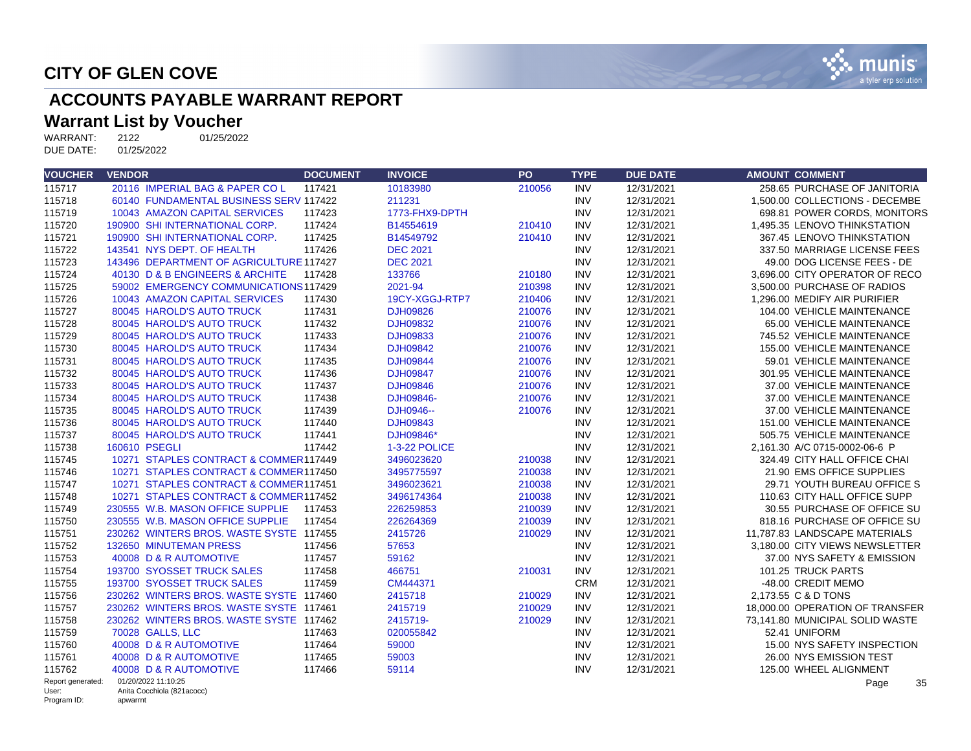

## **ACCOUNTS PAYABLE WARRANT REPORT**

# **Warrant List by Voucher**<br>WARRANT: 2122 01/25/2022

WARRANT: 2122<br>DUE DATE: 01/25/2022 DUE DATE:

| <b>VOUCHER</b>       | <b>VENDOR</b>                           | <b>DOCUMENT</b> | <b>INVOICE</b>  | <b>PO</b> | <b>TYPE</b> | <b>DUE DATE</b> | <b>AMOUNT COMMENT</b>           |
|----------------------|-----------------------------------------|-----------------|-----------------|-----------|-------------|-----------------|---------------------------------|
| 115717               | 20116 IMPERIAL BAG & PAPER COL          | 117421          | 10183980        | 210056    | <b>INV</b>  | 12/31/2021      | 258.65 PURCHASE OF JANITORIA    |
| 115718               | 60140 FUNDAMENTAL BUSINESS SERV 117422  |                 | 211231          |           | <b>INV</b>  | 12/31/2021      | 1.500.00 COLLECTIONS - DECEMBE  |
| 115719               | 10043 AMAZON CAPITAL SERVICES           | 117423          | 1773-FHX9-DPTH  |           | <b>INV</b>  | 12/31/2021      | 698.81 POWER CORDS, MONITORS    |
| 115720               | 190900 SHI INTERNATIONAL CORP.          | 117424          | B14554619       | 210410    | <b>INV</b>  | 12/31/2021      | 1.495.35 LENOVO THINKSTATION    |
| 115721               | 190900 SHI INTERNATIONAL CORP.          | 117425          | B14549792       | 210410    | <b>INV</b>  | 12/31/2021      | 367.45 LENOVO THINKSTATION      |
| 115722               | 143541 NYS DEPT. OF HEALTH              | 117426          | <b>DEC 2021</b> |           | <b>INV</b>  | 12/31/2021      | 337.50 MARRIAGE LICENSE FEES    |
| 115723               | 143496 DEPARTMENT OF AGRICULTURE 117427 |                 | <b>DEC 2021</b> |           | <b>INV</b>  | 12/31/2021      | 49.00 DOG LICENSE FEES - DE     |
| 115724               | 40130 D & B ENGINEERS & ARCHITE         | 117428          | 133766          | 210180    | <b>INV</b>  | 12/31/2021      | 3,696.00 CITY OPERATOR OF RECO  |
| 115725               | 59002 EMERGENCY COMMUNICATIONS 117429   |                 | 2021-94         | 210398    | <b>INV</b>  | 12/31/2021      | 3,500.00 PURCHASE OF RADIOS     |
| 115726               | 10043 AMAZON CAPITAL SERVICES           | 117430          | 19CY-XGGJ-RTP7  | 210406    | <b>INV</b>  | 12/31/2021      | 1.296.00 MEDIFY AIR PURIFIER    |
| 115727               | 80045 HAROLD'S AUTO TRUCK               | 117431          | <b>DJH09826</b> | 210076    | <b>INV</b>  | 12/31/2021      | 104.00 VEHICLE MAINTENANCE      |
| 115728               | 80045 HAROLD'S AUTO TRUCK               | 117432          | DJH09832        | 210076    | <b>INV</b>  | 12/31/2021      | 65.00 VEHICLE MAINTENANCE       |
| 115729               | 80045 HAROLD'S AUTO TRUCK               | 117433          | DJH09833        | 210076    | <b>INV</b>  | 12/31/2021      | 745.52 VEHICLE MAINTENANCE      |
| 115730               | 80045 HAROLD'S AUTO TRUCK               | 117434          | <b>DJH09842</b> | 210076    | <b>INV</b>  | 12/31/2021      | 155.00 VEHICLE MAINTENANCE      |
| 115731               | 80045 HAROLD'S AUTO TRUCK               | 117435          | <b>DJH09844</b> | 210076    | <b>INV</b>  | 12/31/2021      | 59.01 VEHICLE MAINTENANCE       |
| 115732               | 80045 HAROLD'S AUTO TRUCK               | 117436          | <b>DJH09847</b> | 210076    | <b>INV</b>  | 12/31/2021      | 301.95 VEHICLE MAINTENANCE      |
| 115733               | 80045 HAROLD'S AUTO TRUCK               | 117437          | DJH09846        | 210076    | <b>INV</b>  | 12/31/2021      | 37.00 VEHICLE MAINTENANCE       |
| 115734               | 80045 HAROLD'S AUTO TRUCK               | 117438          | DJH09846-       | 210076    | <b>INV</b>  | 12/31/2021      | 37.00 VEHICLE MAINTENANCE       |
| 115735               | 80045 HAROLD'S AUTO TRUCK               | 117439          | DJH0946--       | 210076    | <b>INV</b>  | 12/31/2021      | 37.00 VEHICLE MAINTENANCE       |
| 115736               | 80045 HAROLD'S AUTO TRUCK               | 117440          | <b>DJH09843</b> |           | <b>INV</b>  | 12/31/2021      | 151.00 VEHICLE MAINTENANCE      |
| 115737               | 80045 HAROLD'S AUTO TRUCK               | 117441          | DJH09846*       |           | <b>INV</b>  | 12/31/2021      | 505.75 VEHICLE MAINTENANCE      |
| 115738               | 160610 PSEGLI                           | 117442          | 1-3-22 POLICE   |           | <b>INV</b>  | 12/31/2021      | 2,161.30 A/C 0715-0002-06-6 P   |
| 115745               | 10271 STAPLES CONTRACT & COMMER117449   |                 | 3496023620      | 210038    | <b>INV</b>  | 12/31/2021      | 324.49 CITY HALL OFFICE CHAI    |
| 115746               | 10271 STAPLES CONTRACT & COMMER117450   |                 | 3495775597      | 210038    | <b>INV</b>  | 12/31/2021      | 21.90 EMS OFFICE SUPPLIES       |
| 115747               | 10271 STAPLES CONTRACT & COMMER117451   |                 | 3496023621      | 210038    | <b>INV</b>  | 12/31/2021      | 29.71 YOUTH BUREAU OFFICE S     |
| 115748               | 10271 STAPLES CONTRACT & COMMER117452   |                 | 3496174364      | 210038    | <b>INV</b>  | 12/31/2021      | 110.63 CITY HALL OFFICE SUPP    |
| 115749               | 230555 W.B. MASON OFFICE SUPPLIE        | 117453          | 226259853       | 210039    | <b>INV</b>  | 12/31/2021      | 30.55 PURCHASE OF OFFICE SU     |
| 115750               | 230555 W.B. MASON OFFICE SUPPLIE        | 117454          | 226264369       | 210039    | <b>INV</b>  | 12/31/2021      | 818.16 PURCHASE OF OFFICE SU    |
| 115751               | 230262 WINTERS BROS, WASTE SYSTE 117455 |                 | 2415726         | 210029    | <b>INV</b>  | 12/31/2021      | 11.787.83 LANDSCAPE MATERIALS   |
| 115752               | 132650 MINUTEMAN PRESS                  | 117456          | 57653           |           | <b>INV</b>  | 12/31/2021      | 3,180.00 CITY VIEWS NEWSLETTER  |
| 115753               | 40008 D & R AUTOMOTIVE                  | 117457          | 59162           |           | <b>INV</b>  | 12/31/2021      | 37.00 NYS SAFETY & EMISSION     |
| 115754               | 193700 SYOSSET TRUCK SALES              | 117458          | 466751          | 210031    | <b>INV</b>  | 12/31/2021      | 101.25 TRUCK PARTS              |
| 115755               | 193700 SYOSSET TRUCK SALES              | 117459          | CM444371        |           | <b>CRM</b>  | 12/31/2021      | -48.00 CREDIT MEMO              |
| 115756               | 230262 WINTERS BROS. WASTE SYSTE 117460 |                 | 2415718         | 210029    | <b>INV</b>  | 12/31/2021      | 2,173.55 C & D TONS             |
| 115757               | 230262 WINTERS BROS. WASTE SYSTE 117461 |                 | 2415719         | 210029    | <b>INV</b>  | 12/31/2021      | 18,000.00 OPERATION OF TRANSFER |
| 115758               | 230262 WINTERS BROS. WASTE SYSTE 117462 |                 | 2415719-        | 210029    | <b>INV</b>  | 12/31/2021      | 73,141.80 MUNICIPAL SOLID WASTE |
| 115759               | 70028 GALLS, LLC                        | 117463          | 020055842       |           | <b>INV</b>  | 12/31/2021      | 52.41 UNIFORM                   |
| 115760               | 40008 D & R AUTOMOTIVE                  | 117464          | 59000           |           | <b>INV</b>  | 12/31/2021      | 15.00 NYS SAFETY INSPECTION     |
| 115761               | 40008 D & R AUTOMOTIVE                  | 117465          | 59003           |           | <b>INV</b>  | 12/31/2021      | 26.00 NYS EMISSION TEST         |
| 115762               | 40008 D & R AUTOMOTIVE                  | 117466          | 59114           |           | <b>INV</b>  | 12/31/2021      | 125.00 WHEEL ALIGNMENT          |
| Report generated:    | 01/20/2022 11:10:25                     |                 |                 |           |             |                 | 35<br>Page                      |
| User:<br>Program ID: | Anita Cocchiola (821acocc)<br>apwarrnt  |                 |                 |           |             |                 |                                 |